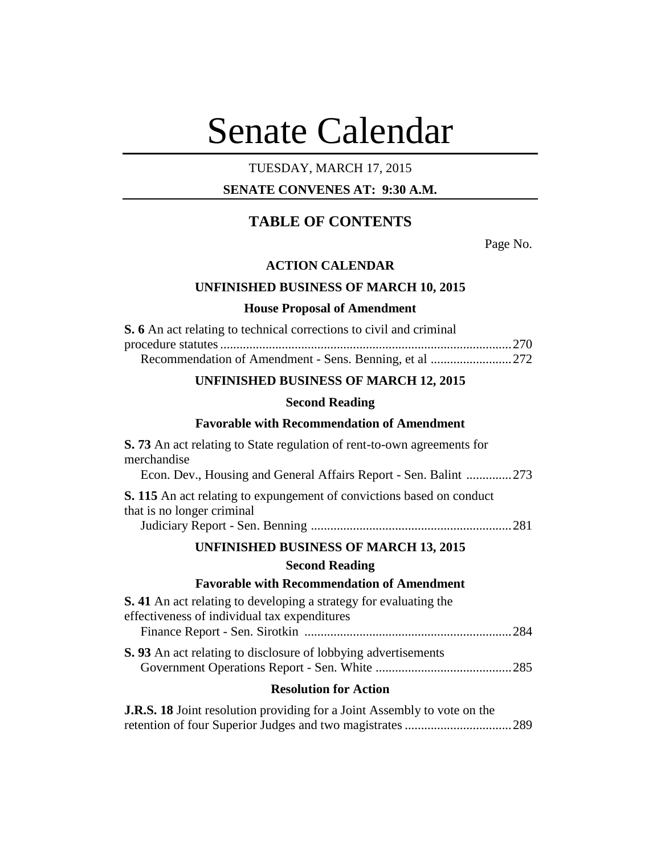# Senate Calendar

## TUESDAY, MARCH 17, 2015

## **SENATE CONVENES AT: 9:30 A.M.**

# **TABLE OF CONTENTS**

Page No.

## **ACTION CALENDAR**

## **UNFINISHED BUSINESS OF MARCH 10, 2015**

#### **House Proposal of Amendment**

| <b>S.</b> 6 An act relating to technical corrections to civil and criminal |  |
|----------------------------------------------------------------------------|--|
|                                                                            |  |
|                                                                            |  |

## **UNFINISHED BUSINESS OF MARCH 12, 2015**

#### **Second Reading**

## **Favorable with Recommendation of Amendment**

| <b>S.</b> 73 An act relating to State regulation of rent-to-own agreements for<br>merchandise                            |
|--------------------------------------------------------------------------------------------------------------------------|
| Econ. Dev., Housing and General Affairs Report - Sen. Balint 273                                                         |
| <b>S. 115</b> An act relating to expungement of convictions based on conduct<br>that is no longer criminal               |
|                                                                                                                          |
| <b>UNFINISHED BUSINESS OF MARCH 13, 2015</b>                                                                             |
| <b>Second Reading</b>                                                                                                    |
| <b>Favorable with Recommendation of Amendment</b>                                                                        |
| <b>S.</b> 41 An act relating to developing a strategy for evaluating the<br>effectiveness of individual tax expenditures |
| .284                                                                                                                     |
| <b>S.</b> 93 An act relating to disclosure of lobbying advertisements                                                    |
|                                                                                                                          |

## **Resolution for Action**

| <b>J.R.S. 18</b> Joint resolution providing for a Joint Assembly to vote on the |  |
|---------------------------------------------------------------------------------|--|
|                                                                                 |  |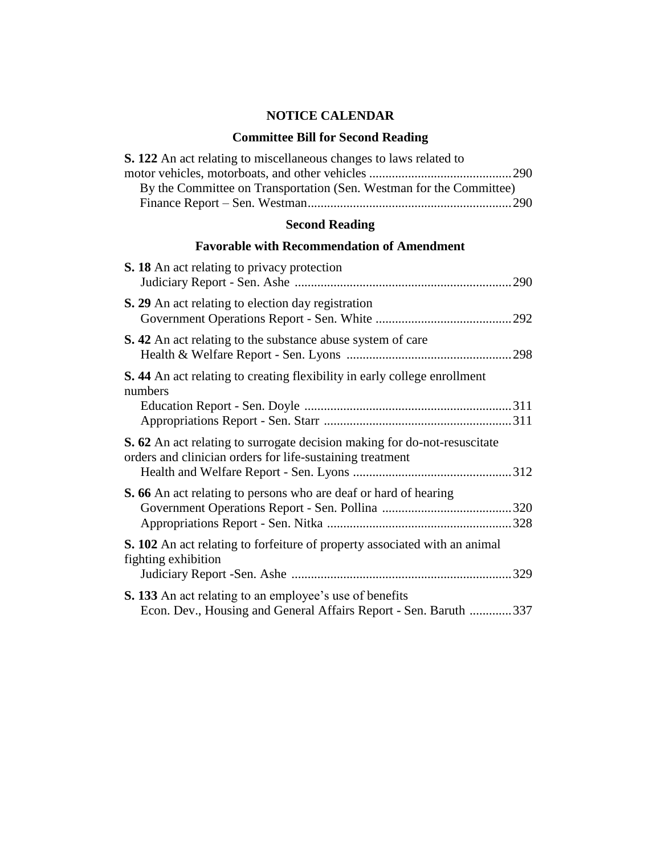## **NOTICE CALENDAR**

## **Committee Bill for Second Reading**

| <b>S. 122</b> An act relating to miscellaneous changes to laws related to                                                              |
|----------------------------------------------------------------------------------------------------------------------------------------|
| By the Committee on Transportation (Sen. Westman for the Committee)                                                                    |
| <b>Second Reading</b>                                                                                                                  |
| <b>Favorable with Recommendation of Amendment</b>                                                                                      |
| <b>S. 18</b> An act relating to privacy protection                                                                                     |
| S. 29 An act relating to election day registration                                                                                     |
| <b>S.</b> 42 An act relating to the substance abuse system of care                                                                     |
| <b>S.</b> 44 An act relating to creating flexibility in early college enrollment<br>numbers                                            |
|                                                                                                                                        |
| S. 62 An act relating to surrogate decision making for do-not-resuscitate<br>orders and clinician orders for life-sustaining treatment |

|  | <b>S. 133</b> An act relating to an employee's use of benefits |  |                                                                  |
|--|----------------------------------------------------------------|--|------------------------------------------------------------------|
|  |                                                                |  | Econ. Dev., Housing and General Affairs Report - Sen. Baruth 337 |

**S. 102** An act relating to forfeiture of property associated with an animal

Health and Welfare Report - Sen. Lyons .................................................312

 Government Operations Report - Sen. Pollina ........................................320 Appropriations Report - Sen. Nitka .........................................................328

Judiciary Report -Sen. Ashe ....................................................................329

**S. 66** An act relating to persons who are deaf or hard of hearing

fighting exhibition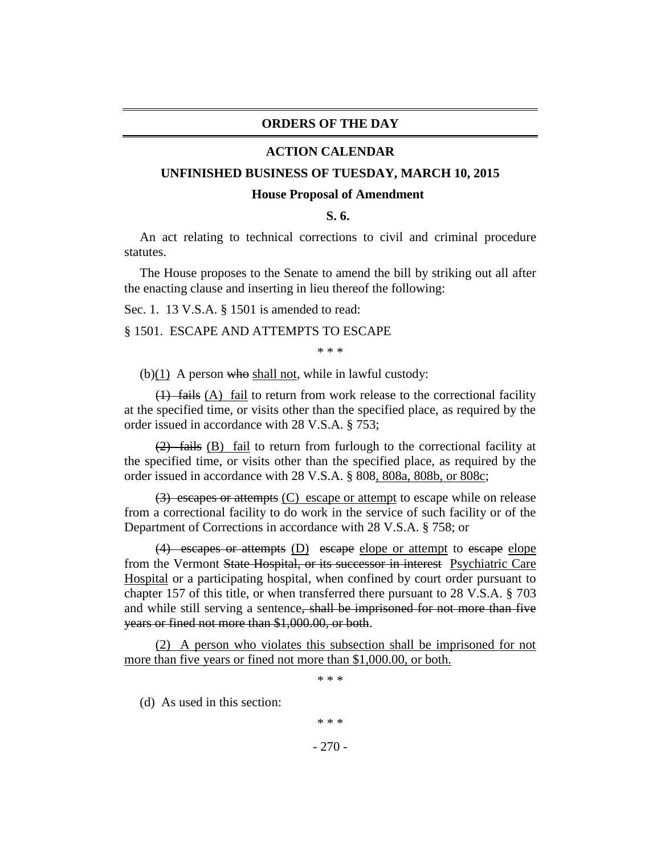## **ORDERS OF THE DAY**

#### **ACTION CALENDAR**

#### **UNFINISHED BUSINESS OF TUESDAY, MARCH 10, 2015**

#### **House Proposal of Amendment**

**S. 6.**

An act relating to technical corrections to civil and criminal procedure statutes.

The House proposes to the Senate to amend the bill by striking out all after the enacting clause and inserting in lieu thereof the following:

Sec. 1. 13 V.S.A. § 1501 is amended to read:

#### § 1501. ESCAPE AND ATTEMPTS TO ESCAPE

\* \* \*

(b) $(1)$  A person who shall not, while in lawful custody:

 $(1)$  fails (A) fail to return from work release to the correctional facility at the specified time, or visits other than the specified place, as required by the order issued in accordance with 28 V.S.A. § 753;

(2) fails (B) fail to return from furlough to the correctional facility at the specified time, or visits other than the specified place, as required by the order issued in accordance with 28 V.S.A. § 808, 808a, 808b, or 808c;

(3) escapes or attempts (C) escape or attempt to escape while on release from a correctional facility to do work in the service of such facility or of the Department of Corrections in accordance with 28 V.S.A. § 758; or

(4) escapes or attempts (D) escape elope or attempt to escape elope from the Vermont State Hospital, or its successor in interest Psychiatric Care Hospital or a participating hospital, when confined by court order pursuant to chapter 157 of this title, or when transferred there pursuant to 28 V.S.A. § 703 and while still serving a sentence, shall be imprisoned for not more than five years or fined not more than \$1,000.00, or both.

(2) A person who violates this subsection shall be imprisoned for not more than five years or fined not more than \$1,000.00, or both.

\* \* \*

(d) As used in this section:

\* \* \*

- 270 -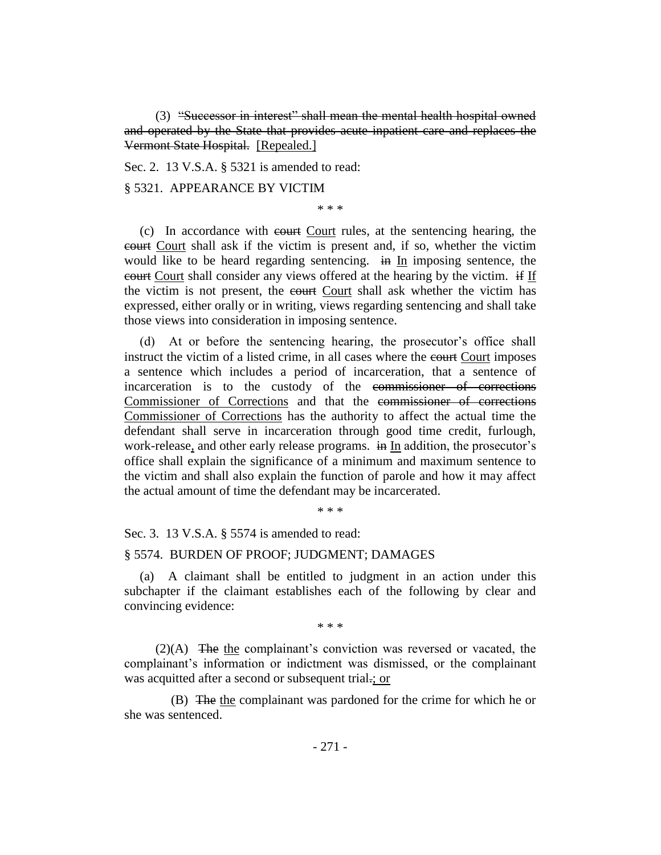(3) "Successor in interest" shall mean the mental health hospital owned and operated by the State that provides acute inpatient care and replaces the Vermont State Hospital. [Repealed.]

Sec. 2. 13 V.S.A. § 5321 is amended to read:

#### § 5321. APPEARANCE BY VICTIM

\* \* \*

(c) In accordance with court Court rules, at the sentencing hearing, the court Court shall ask if the victim is present and, if so, whether the victim would like to be heard regarding sentencing. in In imposing sentence, the court Court shall consider any views offered at the hearing by the victim. if If the victim is not present, the court Court shall ask whether the victim has expressed, either orally or in writing, views regarding sentencing and shall take those views into consideration in imposing sentence.

(d) At or before the sentencing hearing, the prosecutor's office shall instruct the victim of a listed crime, in all cases where the court imposes a sentence which includes a period of incarceration, that a sentence of incarceration is to the custody of the commissioner of corrections Commissioner of Corrections and that the commissioner of corrections Commissioner of Corrections has the authority to affect the actual time the defendant shall serve in incarceration through good time credit, furlough, work-release, and other early release programs. in In addition, the prosecutor's office shall explain the significance of a minimum and maximum sentence to the victim and shall also explain the function of parole and how it may affect the actual amount of time the defendant may be incarcerated.

\* \* \*

Sec. 3. 13 V.S.A. § 5574 is amended to read:

#### § 5574. BURDEN OF PROOF; JUDGMENT; DAMAGES

(a) A claimant shall be entitled to judgment in an action under this subchapter if the claimant establishes each of the following by clear and convincing evidence:

\* \* \*

(2)(A) The the complainant's conviction was reversed or vacated, the complainant's information or indictment was dismissed, or the complainant was acquitted after a second or subsequent trial.; or

(B) The the complainant was pardoned for the crime for which he or she was sentenced.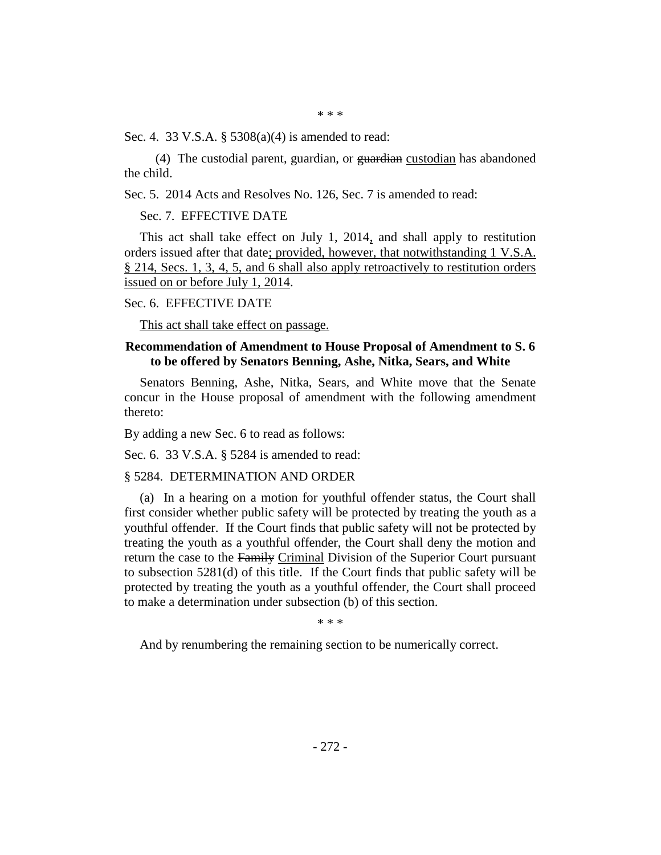\* \* \*

Sec. 4. 33 V.S.A. § 5308(a)(4) is amended to read:

(4) The custodial parent, guardian, or  $\frac{1}{2}$  eustodian has abandoned the child.

Sec. 5. 2014 Acts and Resolves No. 126, Sec. 7 is amended to read:

## Sec. 7. EFFECTIVE DATE

This act shall take effect on July 1, 2014, and shall apply to restitution orders issued after that date; provided, however, that notwithstanding 1 V.S.A. § 214, Secs. 1, 3, 4, 5, and 6 shall also apply retroactively to restitution orders issued on or before July 1, 2014.

#### Sec. 6. EFFECTIVE DATE

This act shall take effect on passage.

## **Recommendation of Amendment to House Proposal of Amendment to S. 6 to be offered by Senators Benning, Ashe, Nitka, Sears, and White**

Senators Benning, Ashe, Nitka, Sears, and White move that the Senate concur in the House proposal of amendment with the following amendment thereto:

By adding a new Sec. 6 to read as follows:

Sec. 6. 33 V.S.A. § 5284 is amended to read:

#### § 5284. DETERMINATION AND ORDER

(a) In a hearing on a motion for youthful offender status, the Court shall first consider whether public safety will be protected by treating the youth as a youthful offender. If the Court finds that public safety will not be protected by treating the youth as a youthful offender, the Court shall deny the motion and return the case to the Family Criminal Division of the Superior Court pursuant to subsection 5281(d) of this title. If the Court finds that public safety will be protected by treating the youth as a youthful offender, the Court shall proceed to make a determination under subsection (b) of this section.

\* \* \*

And by renumbering the remaining section to be numerically correct.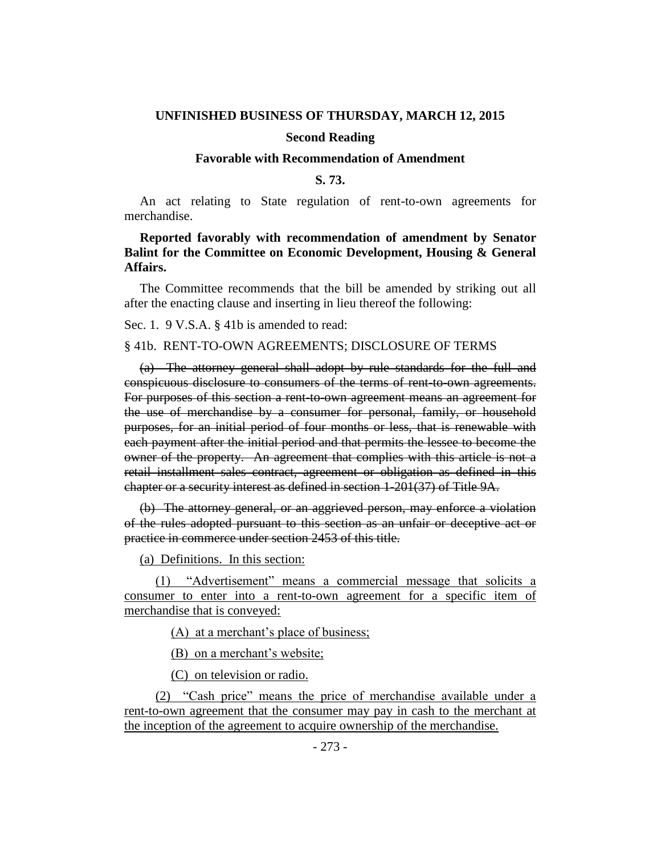#### **UNFINISHED BUSINESS OF THURSDAY, MARCH 12, 2015**

#### **Second Reading**

#### **Favorable with Recommendation of Amendment**

#### **S. 73.**

An act relating to State regulation of rent-to-own agreements for merchandise.

## **Reported favorably with recommendation of amendment by Senator Balint for the Committee on Economic Development, Housing & General Affairs.**

The Committee recommends that the bill be amended by striking out all after the enacting clause and inserting in lieu thereof the following:

Sec. 1. 9 V.S.A. § 41b is amended to read:

#### § 41b. RENT-TO-OWN AGREEMENTS; DISCLOSURE OF TERMS

(a) The attorney general shall adopt by rule standards for the full and conspicuous disclosure to consumers of the terms of rent-to-own agreements. For purposes of this section a rent-to-own agreement means an agreement for the use of merchandise by a consumer for personal, family, or household purposes, for an initial period of four months or less, that is renewable with each payment after the initial period and that permits the lessee to become the owner of the property. An agreement that complies with this article is not a retail installment sales contract, agreement or obligation as defined in this chapter or a security interest as defined in section 1-201(37) of Title 9A.

(b) The attorney general, or an aggrieved person, may enforce a violation of the rules adopted pursuant to this section as an unfair or deceptive act or practice in commerce under section 2453 of this title.

(a) Definitions. In this section:

(1) "Advertisement" means a commercial message that solicits a consumer to enter into a rent-to-own agreement for a specific item of merchandise that is conveyed:

(A) at a merchant's place of business;

(B) on a merchant's website;

(C) on television or radio.

(2) "Cash price" means the price of merchandise available under a rent-to-own agreement that the consumer may pay in cash to the merchant at the inception of the agreement to acquire ownership of the merchandise.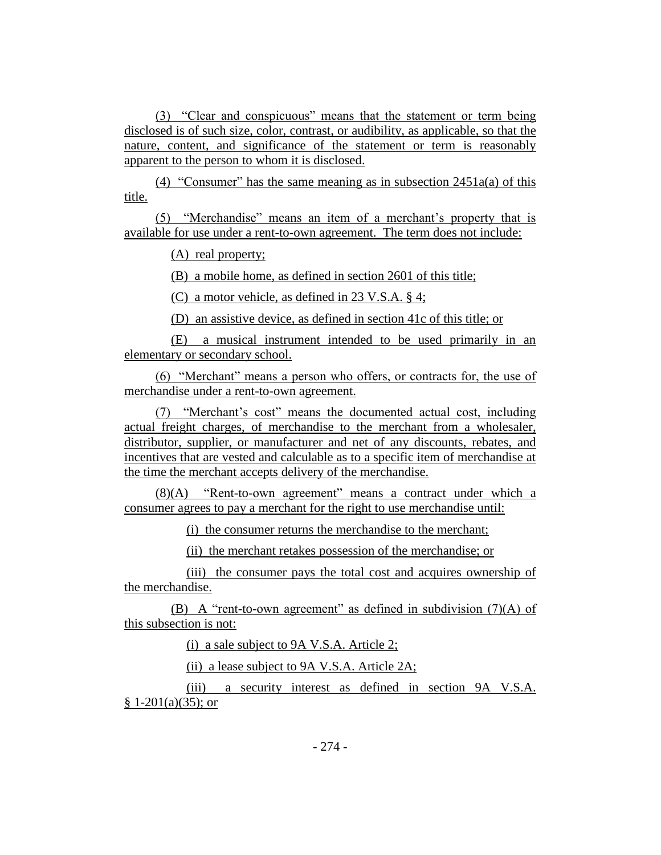(3) "Clear and conspicuous" means that the statement or term being disclosed is of such size, color, contrast, or audibility, as applicable, so that the nature, content, and significance of the statement or term is reasonably apparent to the person to whom it is disclosed.

(4) "Consumer" has the same meaning as in subsection  $2451a(a)$  of this title.

(5) "Merchandise" means an item of a merchant's property that is available for use under a rent-to-own agreement. The term does not include:

(A) real property;

(B) a mobile home, as defined in section 2601 of this title;

(C) a motor vehicle, as defined in 23 V.S.A. § 4;

(D) an assistive device, as defined in section 41c of this title; or

(E) a musical instrument intended to be used primarily in an elementary or secondary school.

(6) "Merchant" means a person who offers, or contracts for, the use of merchandise under a rent-to-own agreement.

(7) "Merchant's cost" means the documented actual cost, including actual freight charges, of merchandise to the merchant from a wholesaler, distributor, supplier, or manufacturer and net of any discounts, rebates, and incentives that are vested and calculable as to a specific item of merchandise at the time the merchant accepts delivery of the merchandise.

(8)(A) "Rent-to-own agreement" means a contract under which a consumer agrees to pay a merchant for the right to use merchandise until:

(i) the consumer returns the merchandise to the merchant;

(ii) the merchant retakes possession of the merchandise; or

(iii) the consumer pays the total cost and acquires ownership of the merchandise.

(B) A "rent-to-own agreement" as defined in subdivision  $(7)(A)$  of this subsection is not:

(i) a sale subject to 9A V.S.A. Article 2;

(ii) a lease subject to 9A V.S.A. Article 2A;

(iii) a security interest as defined in section 9A V.S.A.  $§ 1-201(a)(35);$  or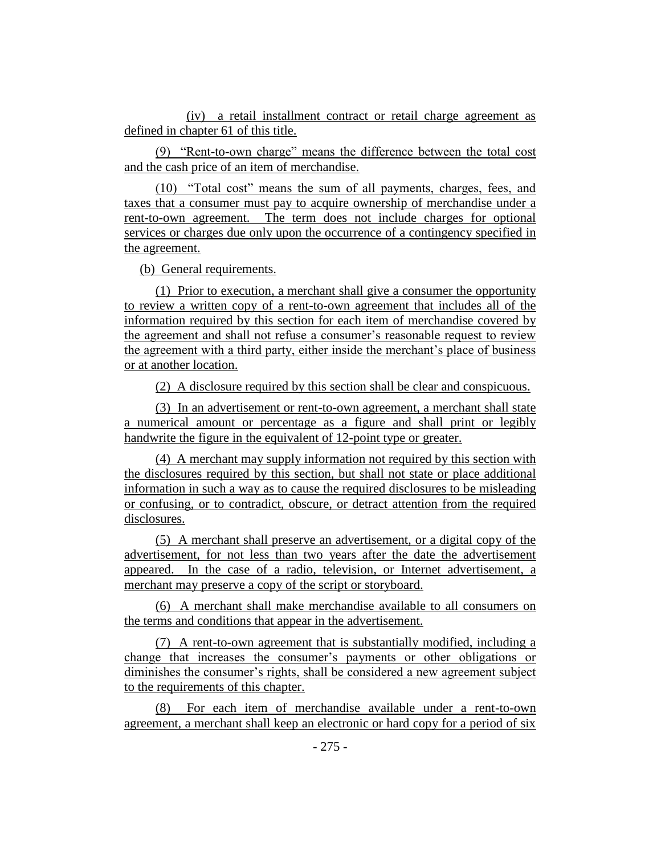(iv) a retail installment contract or retail charge agreement as defined in chapter 61 of this title.

(9) "Rent-to-own charge" means the difference between the total cost and the cash price of an item of merchandise.

(10) "Total cost" means the sum of all payments, charges, fees, and taxes that a consumer must pay to acquire ownership of merchandise under a rent-to-own agreement. The term does not include charges for optional services or charges due only upon the occurrence of a contingency specified in the agreement.

(b) General requirements.

(1) Prior to execution, a merchant shall give a consumer the opportunity to review a written copy of a rent-to-own agreement that includes all of the information required by this section for each item of merchandise covered by the agreement and shall not refuse a consumer's reasonable request to review the agreement with a third party, either inside the merchant's place of business or at another location.

(2) A disclosure required by this section shall be clear and conspicuous.

(3) In an advertisement or rent-to-own agreement, a merchant shall state a numerical amount or percentage as a figure and shall print or legibly handwrite the figure in the equivalent of 12-point type or greater.

(4) A merchant may supply information not required by this section with the disclosures required by this section, but shall not state or place additional information in such a way as to cause the required disclosures to be misleading or confusing, or to contradict, obscure, or detract attention from the required disclosures.

(5) A merchant shall preserve an advertisement, or a digital copy of the advertisement, for not less than two years after the date the advertisement appeared. In the case of a radio, television, or Internet advertisement, a merchant may preserve a copy of the script or storyboard.

(6) A merchant shall make merchandise available to all consumers on the terms and conditions that appear in the advertisement.

(7) A rent-to-own agreement that is substantially modified, including a change that increases the consumer's payments or other obligations or diminishes the consumer's rights, shall be considered a new agreement subject to the requirements of this chapter.

(8) For each item of merchandise available under a rent-to-own agreement, a merchant shall keep an electronic or hard copy for a period of six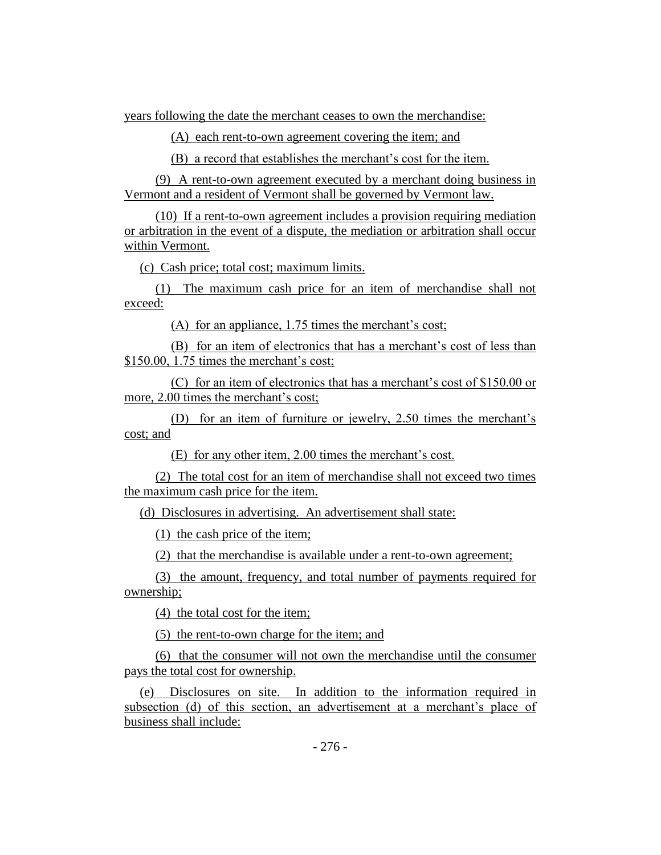years following the date the merchant ceases to own the merchandise:

(A) each rent-to-own agreement covering the item; and

(B) a record that establishes the merchant's cost for the item.

(9) A rent-to-own agreement executed by a merchant doing business in Vermont and a resident of Vermont shall be governed by Vermont law.

(10) If a rent-to-own agreement includes a provision requiring mediation or arbitration in the event of a dispute, the mediation or arbitration shall occur within Vermont.

(c) Cash price; total cost; maximum limits.

(1) The maximum cash price for an item of merchandise shall not exceed:

(A) for an appliance, 1.75 times the merchant's cost;

(B) for an item of electronics that has a merchant's cost of less than \$150.00, 1.75 times the merchant's cost;

(C) for an item of electronics that has a merchant's cost of \$150.00 or more, 2.00 times the merchant's cost;

(D) for an item of furniture or jewelry, 2.50 times the merchant's cost; and

(E) for any other item, 2.00 times the merchant's cost.

(2) The total cost for an item of merchandise shall not exceed two times the maximum cash price for the item.

(d) Disclosures in advertising. An advertisement shall state:

(1) the cash price of the item;

(2) that the merchandise is available under a rent-to-own agreement;

(3) the amount, frequency, and total number of payments required for ownership;

(4) the total cost for the item;

(5) the rent-to-own charge for the item; and

(6) that the consumer will not own the merchandise until the consumer pays the total cost for ownership.

(e) Disclosures on site. In addition to the information required in subsection (d) of this section, an advertisement at a merchant's place of business shall include: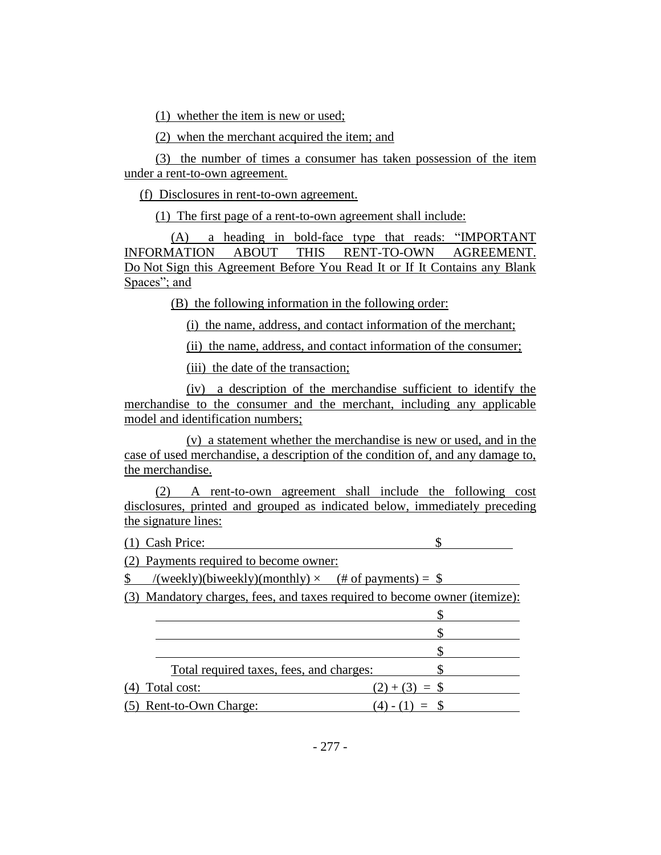(1) whether the item is new or used;

(2) when the merchant acquired the item; and

(3) the number of times a consumer has taken possession of the item under a rent-to-own agreement.

(f) Disclosures in rent-to-own agreement.

(1) The first page of a rent-to-own agreement shall include:

(A) a heading in bold-face type that reads: "IMPORTANT INFORMATION ABOUT THIS RENT-TO-OWN AGREEMENT. Do Not Sign this Agreement Before You Read It or If It Contains any Blank Spaces"; and

(B) the following information in the following order:

(i) the name, address, and contact information of the merchant;

(ii) the name, address, and contact information of the consumer;

(iii) the date of the transaction;

(iv) a description of the merchandise sufficient to identify the merchandise to the consumer and the merchant, including any applicable model and identification numbers;

(v) a statement whether the merchandise is new or used, and in the case of used merchandise, a description of the condition of, and any damage to, the merchandise.

(2) A rent-to-own agreement shall include the following cost disclosures, printed and grouped as indicated below, immediately preceding the signature lines:

(1)Cash Price: \$

(2) Payments required to become owner:

 $\text{\$}$  /(weekly)(biweekly)(monthly)  $\times$  (# of payments) =  $\text{\$}$ 

(3) Mandatory charges, fees, and taxes required to become owner (itemize):

|               | Total required taxes, fees, and charges: |                |
|---------------|------------------------------------------|----------------|
| ) Total cost: |                                          | $(2)+(3) =$ \$ |
|               | (5) Rent-to-Own Charge:                  |                |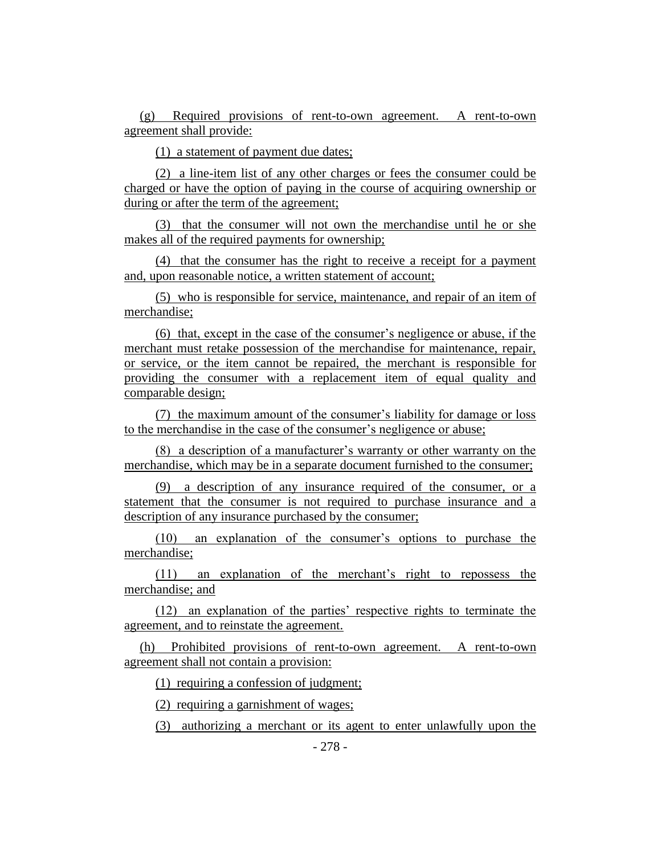(g) Required provisions of rent-to-own agreement. A rent-to-own agreement shall provide:

(1) a statement of payment due dates;

(2) a line-item list of any other charges or fees the consumer could be charged or have the option of paying in the course of acquiring ownership or during or after the term of the agreement;

(3) that the consumer will not own the merchandise until he or she makes all of the required payments for ownership;

(4) that the consumer has the right to receive a receipt for a payment and, upon reasonable notice, a written statement of account;

(5) who is responsible for service, maintenance, and repair of an item of merchandise;

(6) that, except in the case of the consumer's negligence or abuse, if the merchant must retake possession of the merchandise for maintenance, repair, or service, or the item cannot be repaired, the merchant is responsible for providing the consumer with a replacement item of equal quality and comparable design;

(7) the maximum amount of the consumer's liability for damage or loss to the merchandise in the case of the consumer's negligence or abuse;

(8) a description of a manufacturer's warranty or other warranty on the merchandise, which may be in a separate document furnished to the consumer;

(9) a description of any insurance required of the consumer, or a statement that the consumer is not required to purchase insurance and a description of any insurance purchased by the consumer;

(10) an explanation of the consumer's options to purchase the merchandise;

(11) an explanation of the merchant's right to repossess the merchandise; and

(12) an explanation of the parties' respective rights to terminate the agreement, and to reinstate the agreement.

(h) Prohibited provisions of rent-to-own agreement. A rent-to-own agreement shall not contain a provision:

(1) requiring a confession of judgment;

(2) requiring a garnishment of wages;

(3) authorizing a merchant or its agent to enter unlawfully upon the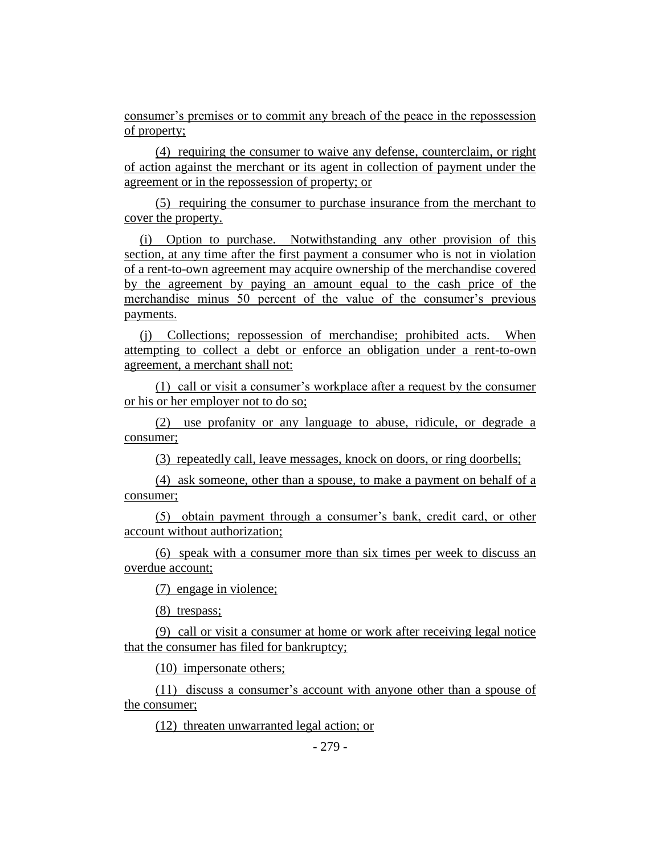consumer's premises or to commit any breach of the peace in the repossession of property;

(4) requiring the consumer to waive any defense, counterclaim, or right of action against the merchant or its agent in collection of payment under the agreement or in the repossession of property; or

(5) requiring the consumer to purchase insurance from the merchant to cover the property.

(i) Option to purchase. Notwithstanding any other provision of this section, at any time after the first payment a consumer who is not in violation of a rent-to-own agreement may acquire ownership of the merchandise covered by the agreement by paying an amount equal to the cash price of the merchandise minus 50 percent of the value of the consumer's previous payments.

(j) Collections; repossession of merchandise; prohibited acts. When attempting to collect a debt or enforce an obligation under a rent-to-own agreement, a merchant shall not:

(1) call or visit a consumer's workplace after a request by the consumer or his or her employer not to do so;

(2) use profanity or any language to abuse, ridicule, or degrade a consumer;

(3) repeatedly call, leave messages, knock on doors, or ring doorbells;

(4) ask someone, other than a spouse, to make a payment on behalf of a consumer;

(5) obtain payment through a consumer's bank, credit card, or other account without authorization;

(6) speak with a consumer more than six times per week to discuss an overdue account;

(7) engage in violence;

(8) trespass;

(9) call or visit a consumer at home or work after receiving legal notice that the consumer has filed for bankruptcy;

(10) impersonate others;

(11) discuss a consumer's account with anyone other than a spouse of the consumer;

(12) threaten unwarranted legal action; or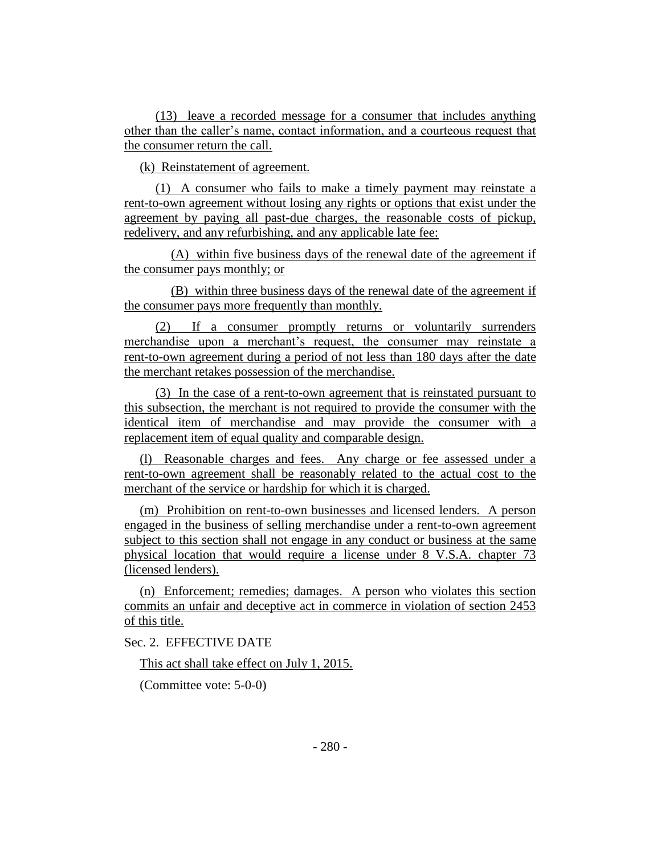(13) leave a recorded message for a consumer that includes anything other than the caller's name, contact information, and a courteous request that the consumer return the call.

(k) Reinstatement of agreement.

(1) A consumer who fails to make a timely payment may reinstate a rent-to-own agreement without losing any rights or options that exist under the agreement by paying all past-due charges, the reasonable costs of pickup, redelivery, and any refurbishing, and any applicable late fee:

(A) within five business days of the renewal date of the agreement if the consumer pays monthly; or

(B) within three business days of the renewal date of the agreement if the consumer pays more frequently than monthly.

(2) If a consumer promptly returns or voluntarily surrenders merchandise upon a merchant's request, the consumer may reinstate a rent-to-own agreement during a period of not less than 180 days after the date the merchant retakes possession of the merchandise.

(3) In the case of a rent-to-own agreement that is reinstated pursuant to this subsection, the merchant is not required to provide the consumer with the identical item of merchandise and may provide the consumer with a replacement item of equal quality and comparable design.

(l) Reasonable charges and fees. Any charge or fee assessed under a rent-to-own agreement shall be reasonably related to the actual cost to the merchant of the service or hardship for which it is charged.

(m) Prohibition on rent-to-own businesses and licensed lenders. A person engaged in the business of selling merchandise under a rent-to-own agreement subject to this section shall not engage in any conduct or business at the same physical location that would require a license under 8 V.S.A. chapter 73 (licensed lenders).

(n) Enforcement; remedies; damages. A person who violates this section commits an unfair and deceptive act in commerce in violation of section 2453 of this title.

Sec. 2. EFFECTIVE DATE

This act shall take effect on July 1, 2015.

(Committee vote: 5-0-0)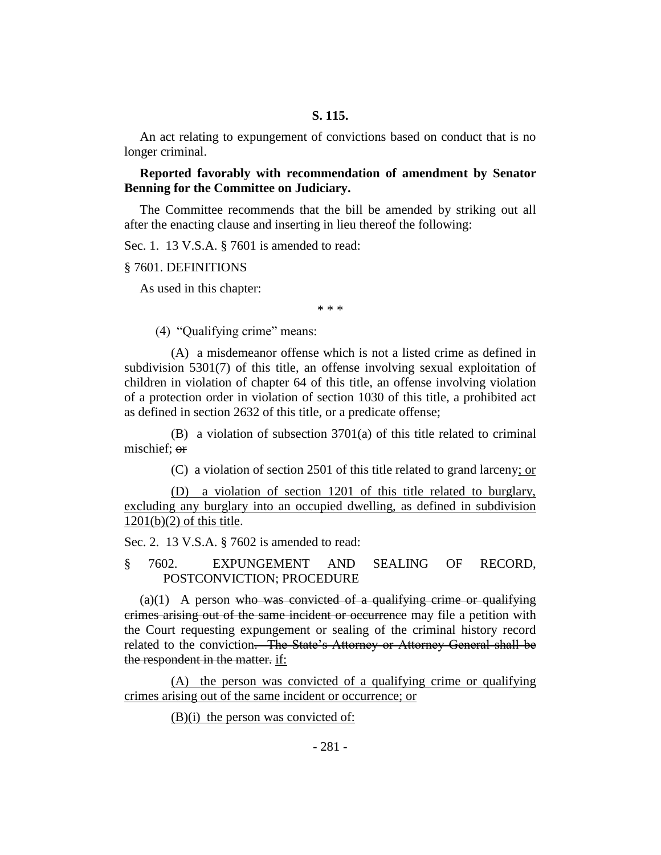An act relating to expungement of convictions based on conduct that is no longer criminal.

**Reported favorably with recommendation of amendment by Senator Benning for the Committee on Judiciary.**

The Committee recommends that the bill be amended by striking out all after the enacting clause and inserting in lieu thereof the following:

Sec. 1. 13 V.S.A. § 7601 is amended to read:

§ 7601. DEFINITIONS

As used in this chapter:

\* \* \*

(4) "Qualifying crime" means:

(A) a misdemeanor offense which is not a listed crime as defined in subdivision 5301(7) of this title, an offense involving sexual exploitation of children in violation of chapter 64 of this title, an offense involving violation of a protection order in violation of section 1030 of this title, a prohibited act as defined in section 2632 of this title, or a predicate offense;

(B) a violation of subsection 3701(a) of this title related to criminal mischief; or

(C) a violation of section 2501 of this title related to grand larceny; or

(D) a violation of section 1201 of this title related to burglary, excluding any burglary into an occupied dwelling, as defined in subdivision 1201(b)(2) of this title.

Sec. 2. 13 V.S.A. § 7602 is amended to read:

§ 7602. EXPUNGEMENT AND SEALING OF RECORD, POSTCONVICTION; PROCEDURE

 $(a)(1)$  A person who was convicted of a qualifying crime or qualifying crimes arising out of the same incident or occurrence may file a petition with the Court requesting expungement or sealing of the criminal history record related to the conviction. The State's Attorney or Attorney General shall be the respondent in the matter. if:

(A) the person was convicted of a qualifying crime or qualifying crimes arising out of the same incident or occurrence; or

 $(B)(i)$  the person was convicted of: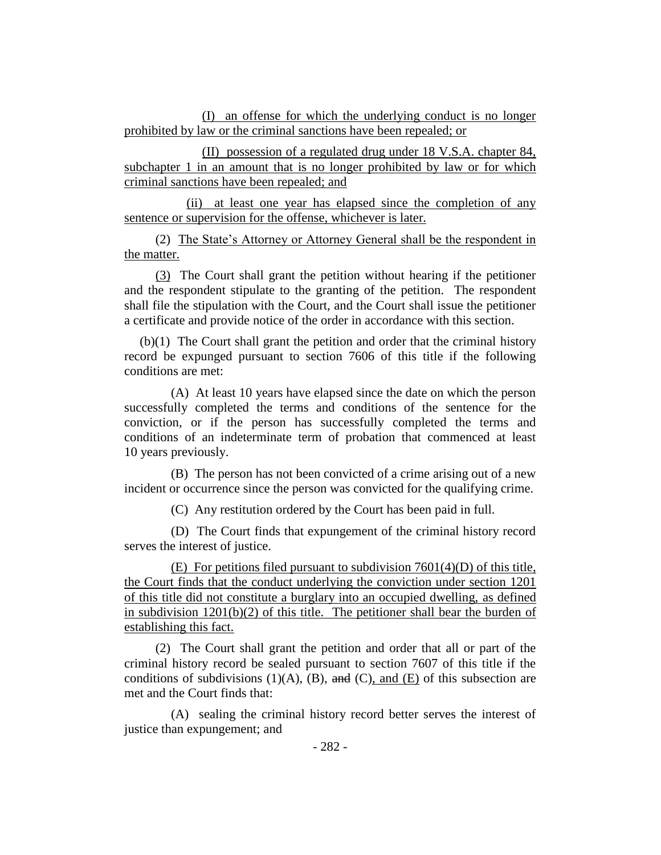(I) an offense for which the underlying conduct is no longer prohibited by law or the criminal sanctions have been repealed; or

(II) possession of a regulated drug under 18 V.S.A. chapter 84, subchapter 1 in an amount that is no longer prohibited by law or for which criminal sanctions have been repealed; and

(ii) at least one year has elapsed since the completion of any sentence or supervision for the offense, whichever is later.

(2) The State's Attorney or Attorney General shall be the respondent in the matter.

(3) The Court shall grant the petition without hearing if the petitioner and the respondent stipulate to the granting of the petition. The respondent shall file the stipulation with the Court, and the Court shall issue the petitioner a certificate and provide notice of the order in accordance with this section.

(b)(1) The Court shall grant the petition and order that the criminal history record be expunged pursuant to section 7606 of this title if the following conditions are met:

(A) At least 10 years have elapsed since the date on which the person successfully completed the terms and conditions of the sentence for the conviction, or if the person has successfully completed the terms and conditions of an indeterminate term of probation that commenced at least 10 years previously.

(B) The person has not been convicted of a crime arising out of a new incident or occurrence since the person was convicted for the qualifying crime.

(C) Any restitution ordered by the Court has been paid in full.

(D) The Court finds that expungement of the criminal history record serves the interest of justice.

(E) For petitions filed pursuant to subdivision  $7601(4)$ (D) of this title, the Court finds that the conduct underlying the conviction under section 1201 of this title did not constitute a burglary into an occupied dwelling, as defined in subdivision  $1201(b)(2)$  of this title. The petitioner shall bear the burden of establishing this fact.

(2) The Court shall grant the petition and order that all or part of the criminal history record be sealed pursuant to section 7607 of this title if the conditions of subdivisions  $(1)(A)$ ,  $(B)$ , and  $(C)$ , and  $(E)$  of this subsection are met and the Court finds that:

(A) sealing the criminal history record better serves the interest of justice than expungement; and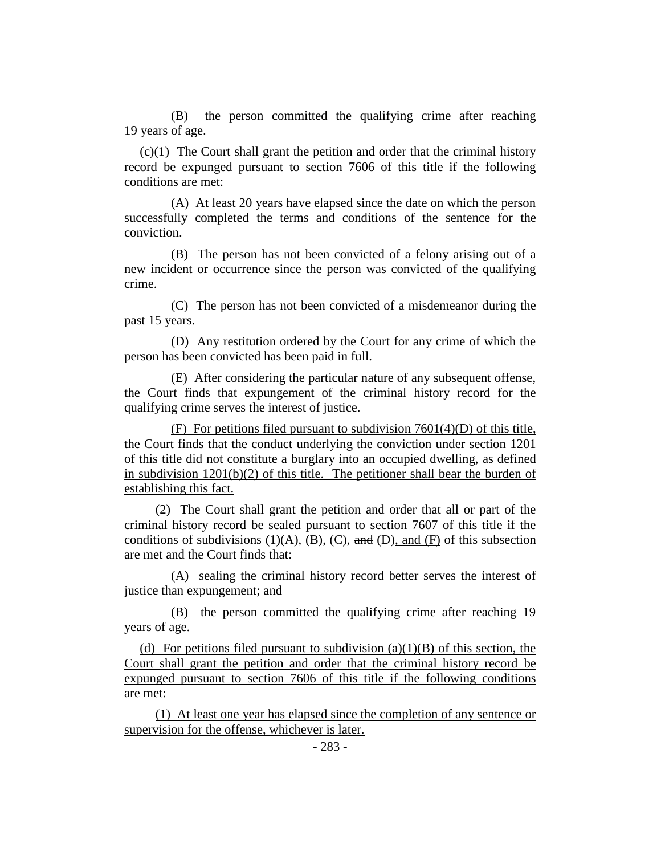(B) the person committed the qualifying crime after reaching 19 years of age.

(c)(1) The Court shall grant the petition and order that the criminal history record be expunged pursuant to section 7606 of this title if the following conditions are met:

(A) At least 20 years have elapsed since the date on which the person successfully completed the terms and conditions of the sentence for the conviction.

(B) The person has not been convicted of a felony arising out of a new incident or occurrence since the person was convicted of the qualifying crime.

(C) The person has not been convicted of a misdemeanor during the past 15 years.

(D) Any restitution ordered by the Court for any crime of which the person has been convicted has been paid in full.

(E) After considering the particular nature of any subsequent offense, the Court finds that expungement of the criminal history record for the qualifying crime serves the interest of justice.

(F) For petitions filed pursuant to subdivision 7601(4)(D) of this title, the Court finds that the conduct underlying the conviction under section 1201 of this title did not constitute a burglary into an occupied dwelling, as defined in subdivision  $1201(b)(2)$  of this title. The petitioner shall bear the burden of establishing this fact.

(2) The Court shall grant the petition and order that all or part of the criminal history record be sealed pursuant to section 7607 of this title if the conditions of subdivisions (1)(A), (B), (C), and (D), and (F) of this subsection are met and the Court finds that:

(A) sealing the criminal history record better serves the interest of justice than expungement; and

(B) the person committed the qualifying crime after reaching 19 years of age.

(d) For petitions filed pursuant to subdivision  $(a)(1)(B)$  of this section, the Court shall grant the petition and order that the criminal history record be expunged pursuant to section 7606 of this title if the following conditions are met:

(1) At least one year has elapsed since the completion of any sentence or supervision for the offense, whichever is later.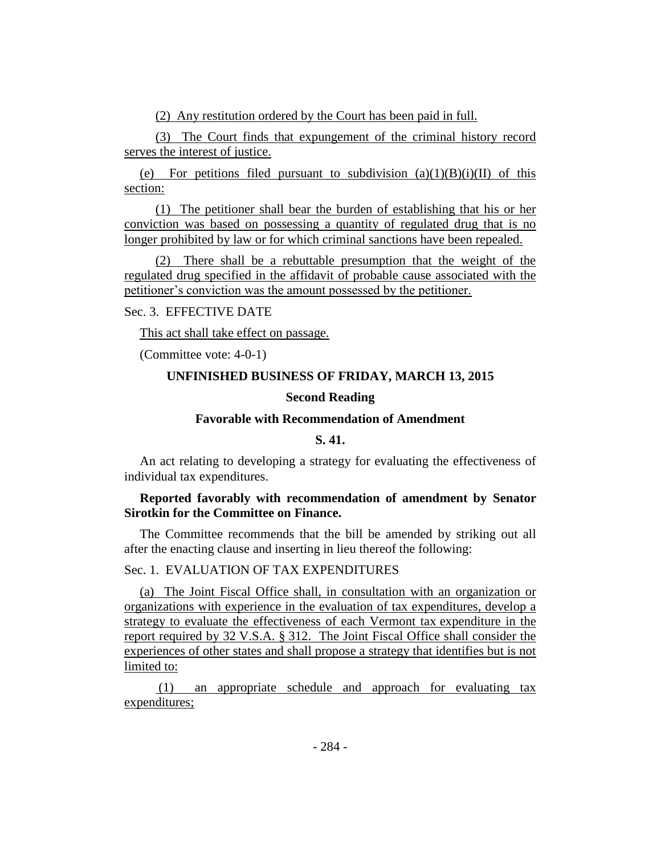(2) Any restitution ordered by the Court has been paid in full.

(3) The Court finds that expungement of the criminal history record serves the interest of justice.

(e) For petitions filed pursuant to subdivision  $(a)(1)(B)(i)(II)$  of this section:

(1) The petitioner shall bear the burden of establishing that his or her conviction was based on possessing a quantity of regulated drug that is no longer prohibited by law or for which criminal sanctions have been repealed.

(2) There shall be a rebuttable presumption that the weight of the regulated drug specified in the affidavit of probable cause associated with the petitioner's conviction was the amount possessed by the petitioner.

Sec. 3. EFFECTIVE DATE

This act shall take effect on passage.

(Committee vote: 4-0-1)

## **UNFINISHED BUSINESS OF FRIDAY, MARCH 13, 2015**

## **Second Reading**

## **Favorable with Recommendation of Amendment**

## **S. 41.**

An act relating to developing a strategy for evaluating the effectiveness of individual tax expenditures.

## **Reported favorably with recommendation of amendment by Senator Sirotkin for the Committee on Finance.**

The Committee recommends that the bill be amended by striking out all after the enacting clause and inserting in lieu thereof the following:

## Sec. 1. EVALUATION OF TAX EXPENDITURES

(a) The Joint Fiscal Office shall, in consultation with an organization or organizations with experience in the evaluation of tax expenditures, develop a strategy to evaluate the effectiveness of each Vermont tax expenditure in the report required by 32 V.S.A. § 312. The Joint Fiscal Office shall consider the experiences of other states and shall propose a strategy that identifies but is not limited to:

(1) an appropriate schedule and approach for evaluating tax expenditures;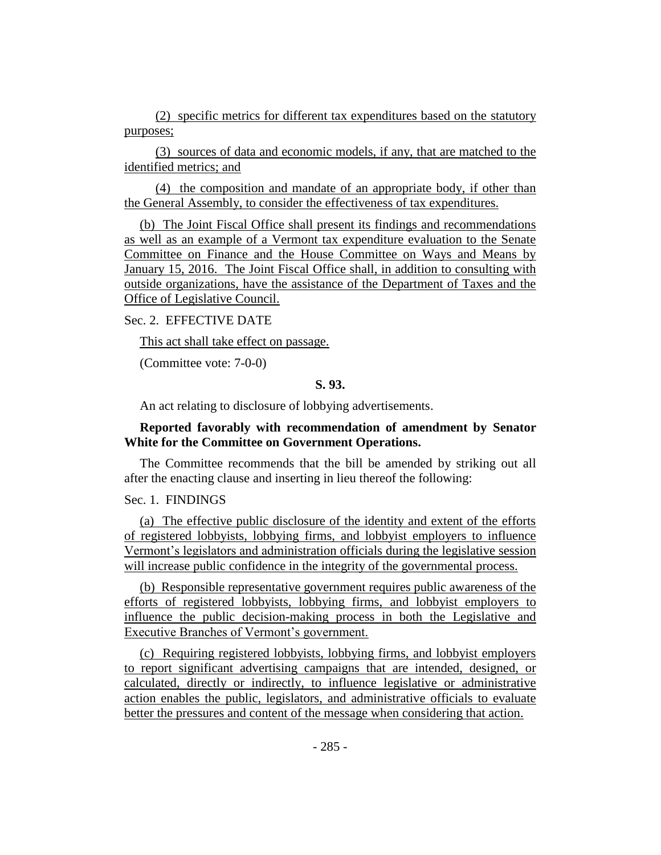(2) specific metrics for different tax expenditures based on the statutory purposes;

(3) sources of data and economic models, if any, that are matched to the identified metrics; and

(4) the composition and mandate of an appropriate body, if other than the General Assembly, to consider the effectiveness of tax expenditures.

(b) The Joint Fiscal Office shall present its findings and recommendations as well as an example of a Vermont tax expenditure evaluation to the Senate Committee on Finance and the House Committee on Ways and Means by January 15, 2016. The Joint Fiscal Office shall, in addition to consulting with outside organizations, have the assistance of the Department of Taxes and the Office of Legislative Council.

## Sec. 2. EFFECTIVE DATE

This act shall take effect on passage.

(Committee vote: 7-0-0)

## **S. 93.**

An act relating to disclosure of lobbying advertisements.

## **Reported favorably with recommendation of amendment by Senator White for the Committee on Government Operations.**

The Committee recommends that the bill be amended by striking out all after the enacting clause and inserting in lieu thereof the following:

## Sec. 1. FINDINGS

(a) The effective public disclosure of the identity and extent of the efforts of registered lobbyists, lobbying firms, and lobbyist employers to influence Vermont's legislators and administration officials during the legislative session will increase public confidence in the integrity of the governmental process.

(b) Responsible representative government requires public awareness of the efforts of registered lobbyists, lobbying firms, and lobbyist employers to influence the public decision-making process in both the Legislative and Executive Branches of Vermont's government.

(c) Requiring registered lobbyists, lobbying firms, and lobbyist employers to report significant advertising campaigns that are intended, designed, or calculated, directly or indirectly, to influence legislative or administrative action enables the public, legislators, and administrative officials to evaluate better the pressures and content of the message when considering that action.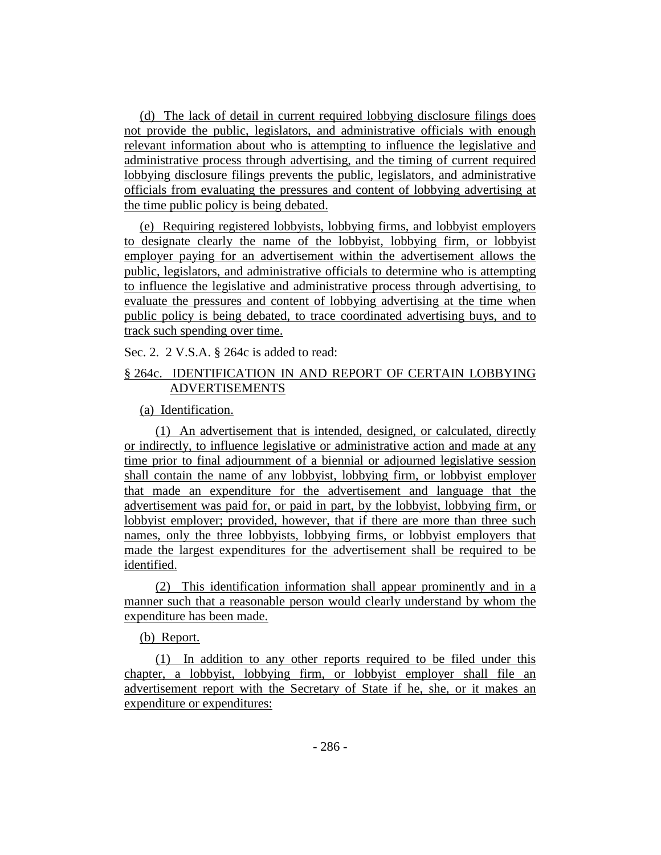(d) The lack of detail in current required lobbying disclosure filings does not provide the public, legislators, and administrative officials with enough relevant information about who is attempting to influence the legislative and administrative process through advertising, and the timing of current required lobbying disclosure filings prevents the public, legislators, and administrative officials from evaluating the pressures and content of lobbying advertising at the time public policy is being debated.

(e) Requiring registered lobbyists, lobbying firms, and lobbyist employers to designate clearly the name of the lobbyist, lobbying firm, or lobbyist employer paying for an advertisement within the advertisement allows the public, legislators, and administrative officials to determine who is attempting to influence the legislative and administrative process through advertising, to evaluate the pressures and content of lobbying advertising at the time when public policy is being debated, to trace coordinated advertising buys, and to track such spending over time.

Sec. 2. 2 V.S.A. § 264c is added to read:

## § 264c. IDENTIFICATION IN AND REPORT OF CERTAIN LOBBYING ADVERTISEMENTS

(a) Identification.

(1) An advertisement that is intended, designed, or calculated, directly or indirectly, to influence legislative or administrative action and made at any time prior to final adjournment of a biennial or adjourned legislative session shall contain the name of any lobbyist, lobbying firm, or lobbyist employer that made an expenditure for the advertisement and language that the advertisement was paid for, or paid in part, by the lobbyist, lobbying firm, or lobbyist employer; provided, however, that if there are more than three such names, only the three lobbyists, lobbying firms, or lobbyist employers that made the largest expenditures for the advertisement shall be required to be identified.

(2) This identification information shall appear prominently and in a manner such that a reasonable person would clearly understand by whom the expenditure has been made.

## (b) Report.

(1) In addition to any other reports required to be filed under this chapter, a lobbyist, lobbying firm, or lobbyist employer shall file an advertisement report with the Secretary of State if he, she, or it makes an expenditure or expenditures: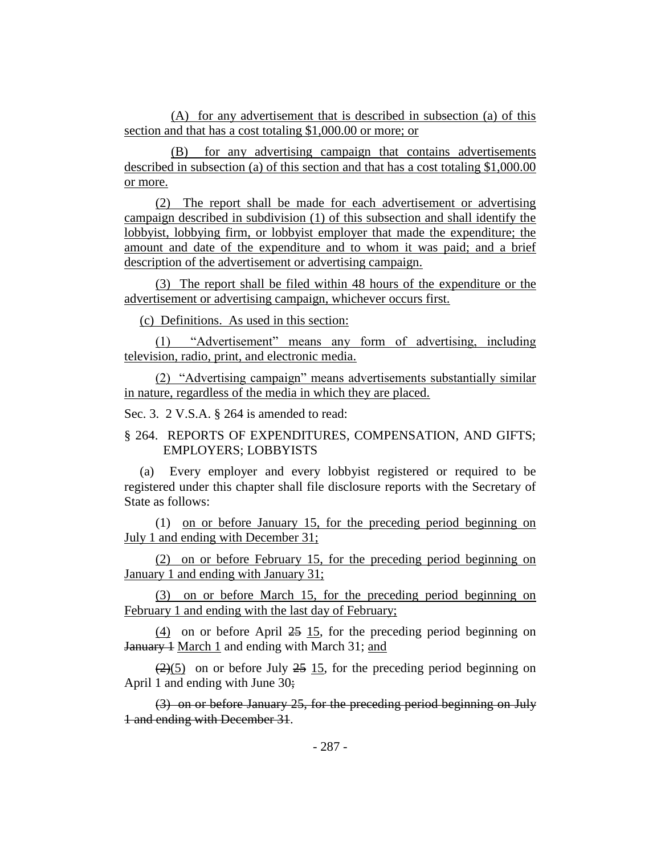(A) for any advertisement that is described in subsection (a) of this section and that has a cost totaling \$1,000.00 or more; or

(B) for any advertising campaign that contains advertisements described in subsection (a) of this section and that has a cost totaling \$1,000.00 or more.

(2) The report shall be made for each advertisement or advertising campaign described in subdivision (1) of this subsection and shall identify the lobbyist, lobbying firm, or lobbyist employer that made the expenditure; the amount and date of the expenditure and to whom it was paid; and a brief description of the advertisement or advertising campaign.

(3) The report shall be filed within 48 hours of the expenditure or the advertisement or advertising campaign, whichever occurs first.

(c) Definitions. As used in this section:

(1) "Advertisement" means any form of advertising, including television, radio, print, and electronic media.

(2) "Advertising campaign" means advertisements substantially similar in nature, regardless of the media in which they are placed.

Sec. 3. 2 V.S.A. § 264 is amended to read:

## § 264. REPORTS OF EXPENDITURES, COMPENSATION, AND GIFTS; EMPLOYERS; LOBBYISTS

(a) Every employer and every lobbyist registered or required to be registered under this chapter shall file disclosure reports with the Secretary of State as follows:

(1) on or before January 15, for the preceding period beginning on July 1 and ending with December 31;

(2) on or before February 15, for the preceding period beginning on January 1 and ending with January 31;

(3) on or before March 15, for the preceding period beginning on February 1 and ending with the last day of February;

(4) on or before April 25 15, for the preceding period beginning on January 1 March 1 and ending with March 31; and

 $(2)(5)$  on or before July 25 15, for the preceding period beginning on April 1 and ending with June 30;

(3) on or before January 25, for the preceding period beginning on July 1 and ending with December 31.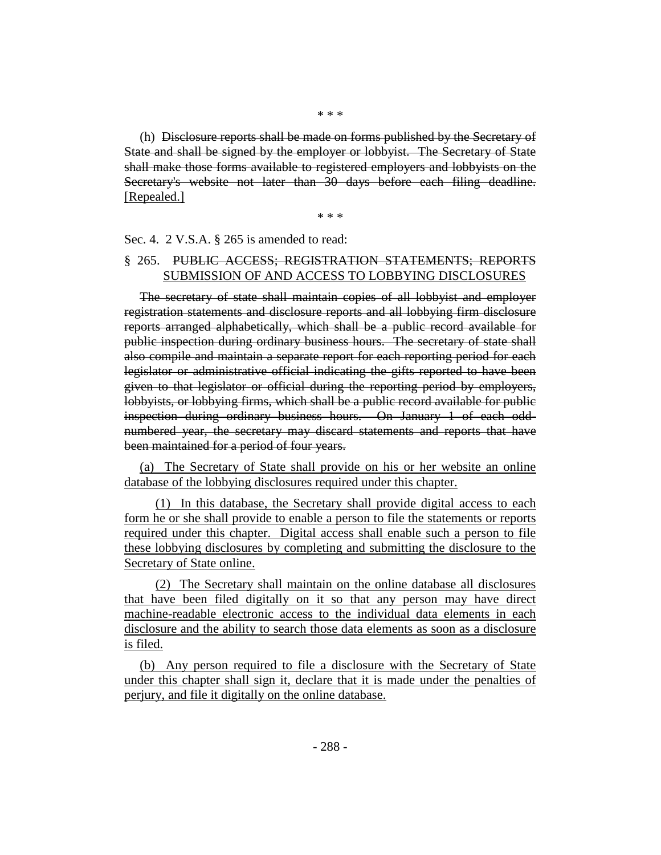(h) Disclosure reports shall be made on forms published by the Secretary of State and shall be signed by the employer or lobbyist. The Secretary of State shall make those forms available to registered employers and lobbyists on the Secretary's website not later than 30 days before each filing deadline. [Repealed.]

\* \* \*

#### Sec. 4. 2 V.S.A. § 265 is amended to read:

## § 265. PUBLIC ACCESS; REGISTRATION STATEMENTS; REPORTS SUBMISSION OF AND ACCESS TO LOBBYING DISCLOSURES

The secretary of state shall maintain copies of all lobbyist and employer registration statements and disclosure reports and all lobbying firm disclosure reports arranged alphabetically, which shall be a public record available for public inspection during ordinary business hours. The secretary of state shall also compile and maintain a separate report for each reporting period for each legislator or administrative official indicating the gifts reported to have been given to that legislator or official during the reporting period by employers, lobbyists, or lobbying firms, which shall be a public record available for public inspection during ordinary business hours. On January 1 of each oddnumbered year, the secretary may discard statements and reports that have been maintained for a period of four years.

(a) The Secretary of State shall provide on his or her website an online database of the lobbying disclosures required under this chapter.

(1) In this database, the Secretary shall provide digital access to each form he or she shall provide to enable a person to file the statements or reports required under this chapter. Digital access shall enable such a person to file these lobbying disclosures by completing and submitting the disclosure to the Secretary of State online.

(2) The Secretary shall maintain on the online database all disclosures that have been filed digitally on it so that any person may have direct machine-readable electronic access to the individual data elements in each disclosure and the ability to search those data elements as soon as a disclosure is filed.

(b) Any person required to file a disclosure with the Secretary of State under this chapter shall sign it, declare that it is made under the penalties of perjury, and file it digitally on the online database.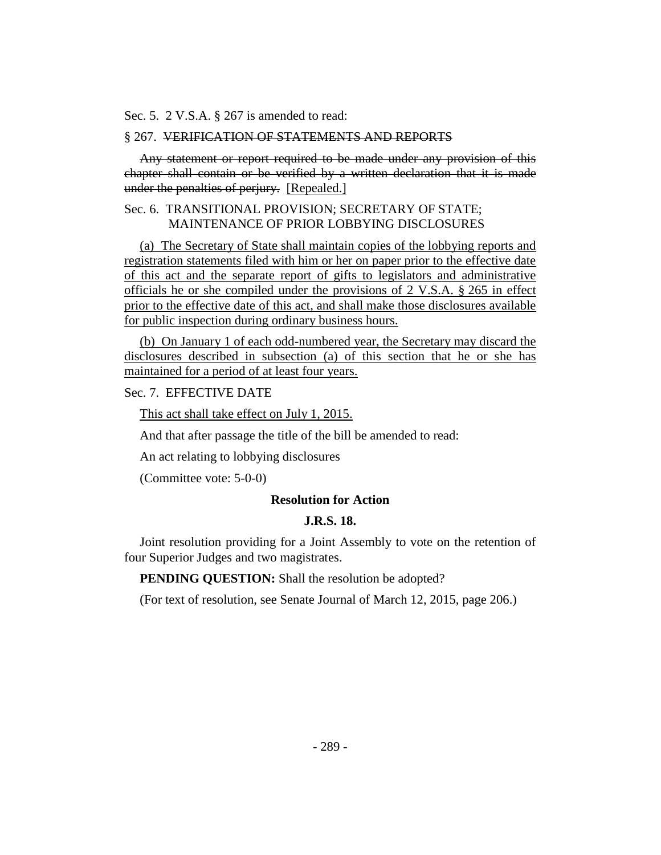Sec. 5. 2 V.S.A. § 267 is amended to read:

## § 267. VERIFICATION OF STATEMENTS AND REPORTS

Any statement or report required to be made under any provision of this chapter shall contain or be verified by a written declaration that it is made under the penalties of perjury. [Repealed.]

## Sec. 6. TRANSITIONAL PROVISION; SECRETARY OF STATE; MAINTENANCE OF PRIOR LOBBYING DISCLOSURES

(a) The Secretary of State shall maintain copies of the lobbying reports and registration statements filed with him or her on paper prior to the effective date of this act and the separate report of gifts to legislators and administrative officials he or she compiled under the provisions of 2 V.S.A. § 265 in effect prior to the effective date of this act, and shall make those disclosures available for public inspection during ordinary business hours.

(b) On January 1 of each odd-numbered year, the Secretary may discard the disclosures described in subsection (a) of this section that he or she has maintained for a period of at least four years.

## Sec. 7. EFFECTIVE DATE

This act shall take effect on July 1, 2015.

And that after passage the title of the bill be amended to read:

An act relating to lobbying disclosures

(Committee vote: 5-0-0)

#### **Resolution for Action**

#### **J.R.S. 18.**

Joint resolution providing for a Joint Assembly to vote on the retention of four Superior Judges and two magistrates.

**PENDING QUESTION:** Shall the resolution be adopted?

(For text of resolution, see Senate Journal of March 12, 2015, page 206.)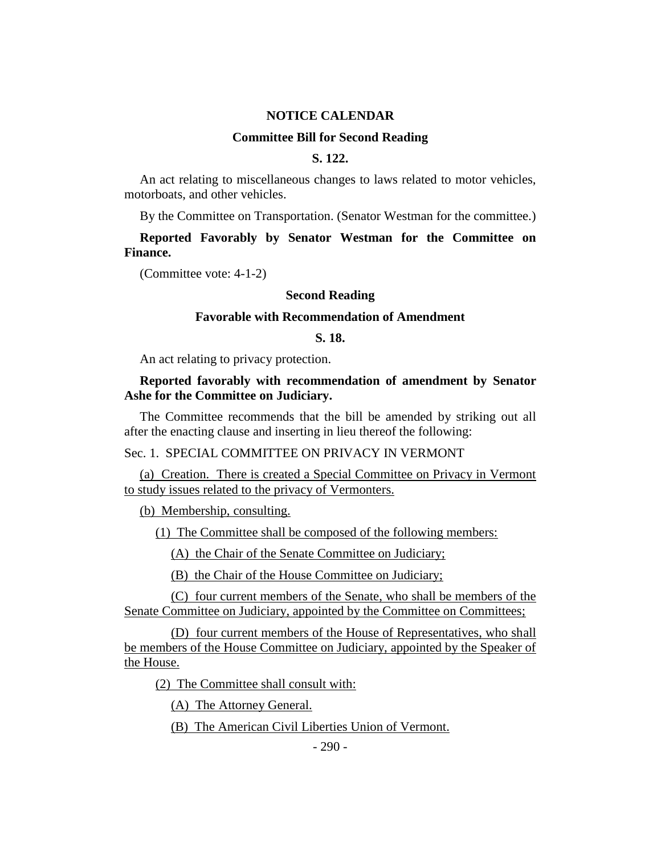#### **NOTICE CALENDAR**

#### **Committee Bill for Second Reading**

## **S. 122.**

An act relating to miscellaneous changes to laws related to motor vehicles, motorboats, and other vehicles.

By the Committee on Transportation. (Senator Westman for the committee.)

**Reported Favorably by Senator Westman for the Committee on Finance.**

(Committee vote: 4-1-2)

#### **Second Reading**

#### **Favorable with Recommendation of Amendment**

## **S. 18.**

An act relating to privacy protection.

## **Reported favorably with recommendation of amendment by Senator Ashe for the Committee on Judiciary.**

The Committee recommends that the bill be amended by striking out all after the enacting clause and inserting in lieu thereof the following:

Sec. 1. SPECIAL COMMITTEE ON PRIVACY IN VERMONT

(a) Creation. There is created a Special Committee on Privacy in Vermont to study issues related to the privacy of Vermonters.

(b) Membership, consulting.

(1) The Committee shall be composed of the following members:

(A) the Chair of the Senate Committee on Judiciary;

(B) the Chair of the House Committee on Judiciary;

(C) four current members of the Senate, who shall be members of the Senate Committee on Judiciary, appointed by the Committee on Committees;

(D) four current members of the House of Representatives, who shall be members of the House Committee on Judiciary, appointed by the Speaker of the House.

(2) The Committee shall consult with:

(A) The Attorney General.

(B) The American Civil Liberties Union of Vermont.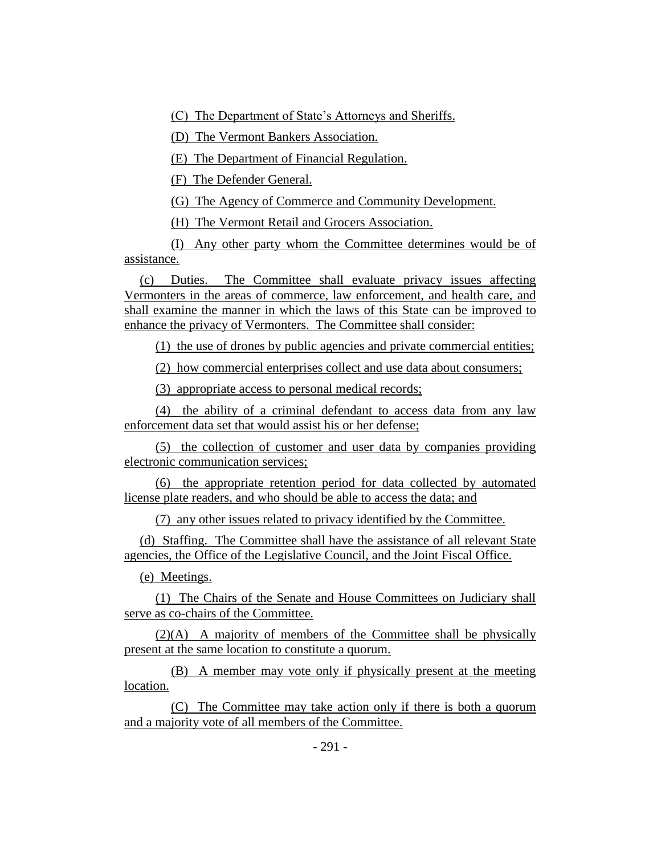(C) The Department of State's Attorneys and Sheriffs.

(D) The Vermont Bankers Association.

(E) The Department of Financial Regulation.

(F) The Defender General.

(G) The Agency of Commerce and Community Development.

(H) The Vermont Retail and Grocers Association.

(I) Any other party whom the Committee determines would be of assistance.

(c) Duties. The Committee shall evaluate privacy issues affecting Vermonters in the areas of commerce, law enforcement, and health care, and shall examine the manner in which the laws of this State can be improved to enhance the privacy of Vermonters. The Committee shall consider:

(1) the use of drones by public agencies and private commercial entities;

(2) how commercial enterprises collect and use data about consumers;

(3) appropriate access to personal medical records;

(4) the ability of a criminal defendant to access data from any law enforcement data set that would assist his or her defense;

(5) the collection of customer and user data by companies providing electronic communication services;

(6) the appropriate retention period for data collected by automated license plate readers, and who should be able to access the data; and

(7) any other issues related to privacy identified by the Committee.

(d) Staffing. The Committee shall have the assistance of all relevant State agencies, the Office of the Legislative Council, and the Joint Fiscal Office.

(e) Meetings.

(1) The Chairs of the Senate and House Committees on Judiciary shall serve as co-chairs of the Committee.

(2)(A) A majority of members of the Committee shall be physically present at the same location to constitute a quorum.

(B) A member may vote only if physically present at the meeting location.

(C) The Committee may take action only if there is both a quorum and a majority vote of all members of the Committee.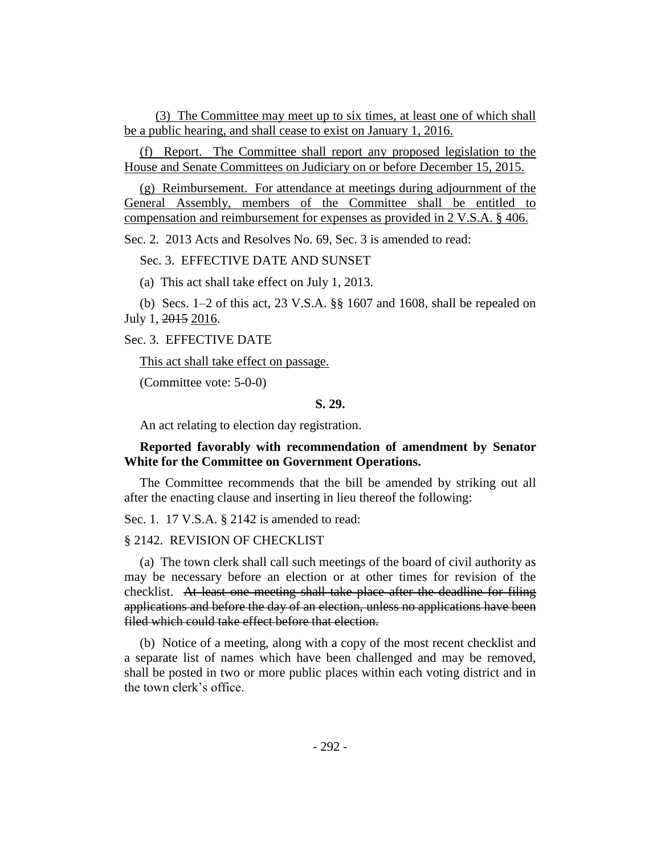(3) The Committee may meet up to six times, at least one of which shall be a public hearing, and shall cease to exist on January 1, 2016.

(f) Report. The Committee shall report any proposed legislation to the House and Senate Committees on Judiciary on or before December 15, 2015.

(g) Reimbursement. For attendance at meetings during adjournment of the General Assembly, members of the Committee shall be entitled to compensation and reimbursement for expenses as provided in 2 V.S.A. § 406.

Sec. 2. 2013 Acts and Resolves No. 69, Sec. 3 is amended to read:

Sec. 3. EFFECTIVE DATE AND SUNSET

(a) This act shall take effect on July 1, 2013.

(b) Secs. 1–2 of this act, 23 V.S.A. §§ 1607 and 1608, shall be repealed on July 1, 2015 2016.

Sec. 3. EFFECTIVE DATE

This act shall take effect on passage.

(Committee vote: 5-0-0)

## **S. 29.**

An act relating to election day registration.

## **Reported favorably with recommendation of amendment by Senator White for the Committee on Government Operations.**

The Committee recommends that the bill be amended by striking out all after the enacting clause and inserting in lieu thereof the following:

Sec. 1. 17 V.S.A. § 2142 is amended to read:

## § 2142. REVISION OF CHECKLIST

(a) The town clerk shall call such meetings of the board of civil authority as may be necessary before an election or at other times for revision of the checklist. At least one meeting shall take place after the deadline for filing applications and before the day of an election, unless no applications have been filed which could take effect before that election.

(b) Notice of a meeting, along with a copy of the most recent checklist and a separate list of names which have been challenged and may be removed, shall be posted in two or more public places within each voting district and in the town clerk's office.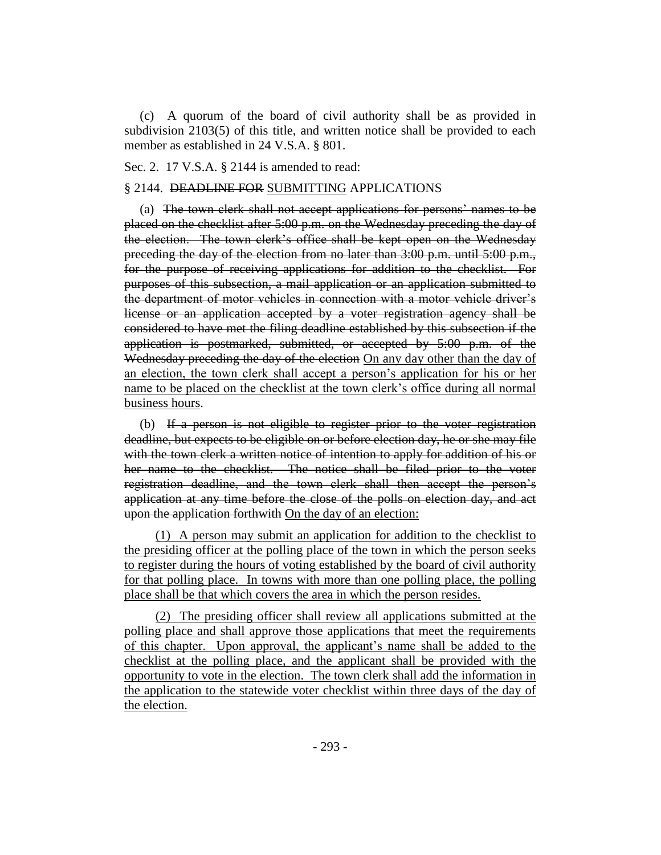(c) A quorum of the board of civil authority shall be as provided in subdivision 2103(5) of this title, and written notice shall be provided to each member as established in 24 V.S.A. § 801.

## Sec. 2. 17 V.S.A. § 2144 is amended to read:

#### § 2144. DEADLINE FOR SUBMITTING APPLICATIONS

(a) The town clerk shall not accept applications for persons' names to be placed on the checklist after 5:00 p.m. on the Wednesday preceding the day of the election. The town clerk's office shall be kept open on the Wednesday preceding the day of the election from no later than 3:00 p.m. until 5:00 p.m., for the purpose of receiving applications for addition to the checklist. For purposes of this subsection, a mail application or an application submitted to the department of motor vehicles in connection with a motor vehicle driver's license or an application accepted by a voter registration agency shall be considered to have met the filing deadline established by this subsection if the application is postmarked, submitted, or accepted by 5:00 p.m. of the Wednesday preceding the day of the election On any day other than the day of an election, the town clerk shall accept a person's application for his or her name to be placed on the checklist at the town clerk's office during all normal business hours.

(b) If a person is not eligible to register prior to the voter registration deadline, but expects to be eligible on or before election day, he or she may file with the town clerk a written notice of intention to apply for addition of his or her name to the checklist. The notice shall be filed prior to the voter registration deadline, and the town clerk shall then accept the person's application at any time before the close of the polls on election day, and act upon the application forthwith On the day of an election:

(1) A person may submit an application for addition to the checklist to the presiding officer at the polling place of the town in which the person seeks to register during the hours of voting established by the board of civil authority for that polling place. In towns with more than one polling place, the polling place shall be that which covers the area in which the person resides.

(2) The presiding officer shall review all applications submitted at the polling place and shall approve those applications that meet the requirements of this chapter. Upon approval, the applicant's name shall be added to the checklist at the polling place, and the applicant shall be provided with the opportunity to vote in the election. The town clerk shall add the information in the application to the statewide voter checklist within three days of the day of the election.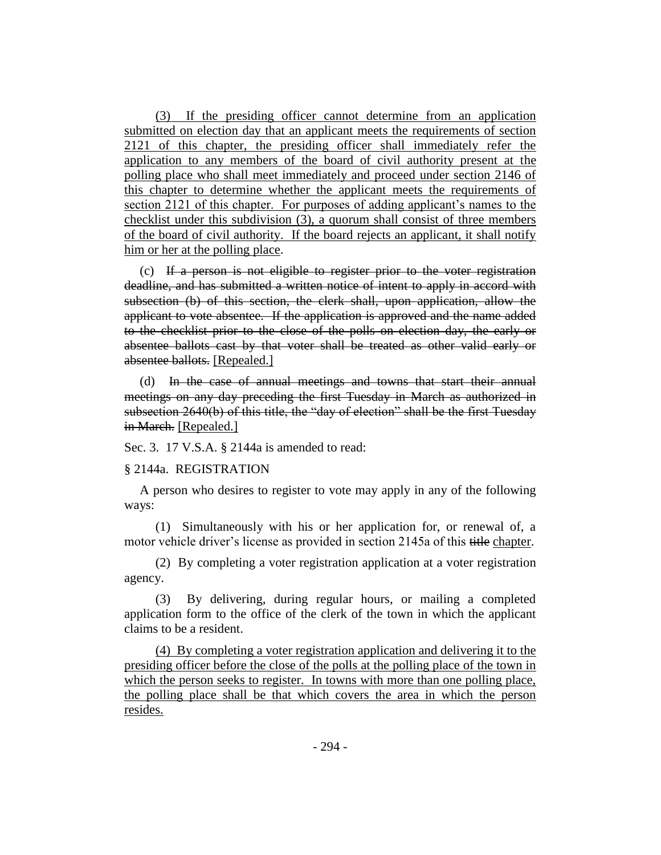(3) If the presiding officer cannot determine from an application submitted on election day that an applicant meets the requirements of section 2121 of this chapter, the presiding officer shall immediately refer the application to any members of the board of civil authority present at the polling place who shall meet immediately and proceed under section 2146 of this chapter to determine whether the applicant meets the requirements of section 2121 of this chapter. For purposes of adding applicant's names to the checklist under this subdivision (3), a quorum shall consist of three members of the board of civil authority. If the board rejects an applicant, it shall notify him or her at the polling place.

(c) If a person is not eligible to register prior to the voter registration deadline, and has submitted a written notice of intent to apply in accord with subsection (b) of this section, the clerk shall, upon application, allow the applicant to vote absentee. If the application is approved and the name added to the checklist prior to the close of the polls on election day, the early or absentee ballots cast by that voter shall be treated as other valid early or absentee ballots. [Repealed.]

(d) In the case of annual meetings and towns that start their annual meetings on any day preceding the first Tuesday in March as authorized in subsection 2640(b) of this title, the "day of election" shall be the first Tuesday in March. [Repealed.]

Sec. 3. 17 V.S.A. § 2144a is amended to read:

## § 2144a. REGISTRATION

A person who desires to register to vote may apply in any of the following ways:

(1) Simultaneously with his or her application for, or renewal of, a motor vehicle driver's license as provided in section 2145a of this title chapter.

(2) By completing a voter registration application at a voter registration agency.

(3) By delivering, during regular hours, or mailing a completed application form to the office of the clerk of the town in which the applicant claims to be a resident.

(4) By completing a voter registration application and delivering it to the presiding officer before the close of the polls at the polling place of the town in which the person seeks to register. In towns with more than one polling place, the polling place shall be that which covers the area in which the person resides.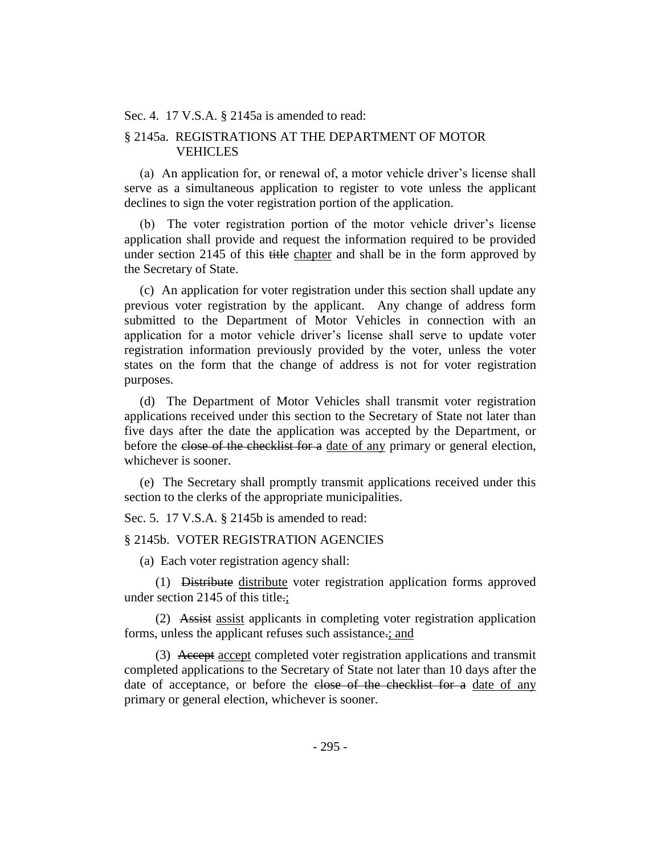Sec. 4. 17 V.S.A. § 2145a is amended to read:

## § 2145a. REGISTRATIONS AT THE DEPARTMENT OF MOTOR VEHICLES

(a) An application for, or renewal of, a motor vehicle driver's license shall serve as a simultaneous application to register to vote unless the applicant declines to sign the voter registration portion of the application.

(b) The voter registration portion of the motor vehicle driver's license application shall provide and request the information required to be provided under section 2145 of this title chapter and shall be in the form approved by the Secretary of State.

(c) An application for voter registration under this section shall update any previous voter registration by the applicant. Any change of address form submitted to the Department of Motor Vehicles in connection with an application for a motor vehicle driver's license shall serve to update voter registration information previously provided by the voter, unless the voter states on the form that the change of address is not for voter registration purposes.

(d) The Department of Motor Vehicles shall transmit voter registration applications received under this section to the Secretary of State not later than five days after the date the application was accepted by the Department, or before the close of the checklist for a date of any primary or general election, whichever is sooner.

(e) The Secretary shall promptly transmit applications received under this section to the clerks of the appropriate municipalities.

Sec. 5. 17 V.S.A. § 2145b is amended to read:

## § 2145b. VOTER REGISTRATION AGENCIES

(a) Each voter registration agency shall:

(1) Distribute distribute voter registration application forms approved under section 2145 of this title.;

(2) Assist assist applicants in completing voter registration application forms, unless the applicant refuses such assistance.; and

(3) Accept accept completed voter registration applications and transmit completed applications to the Secretary of State not later than 10 days after the date of acceptance, or before the close of the checklist for a date of any primary or general election, whichever is sooner.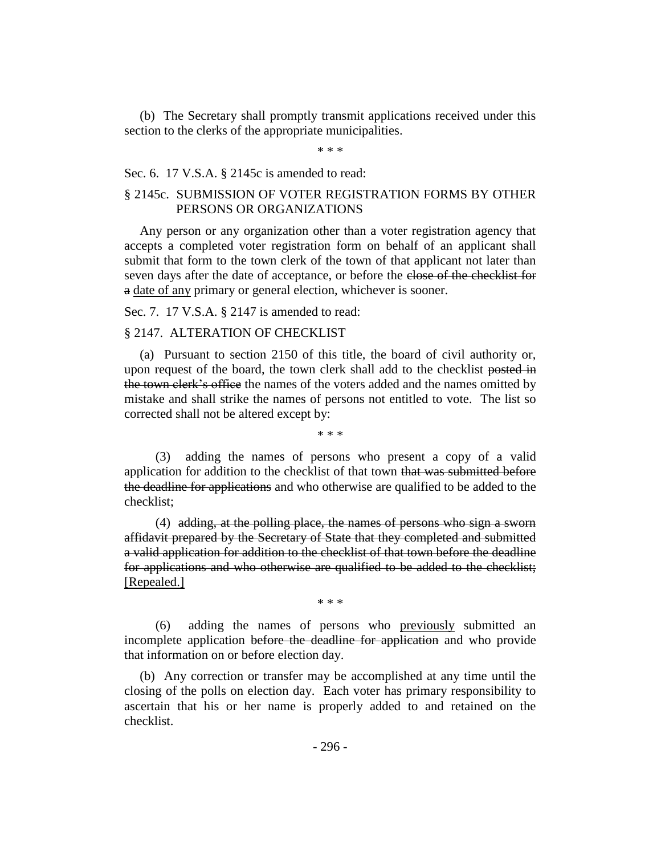(b) The Secretary shall promptly transmit applications received under this section to the clerks of the appropriate municipalities.

\* \* \*

#### Sec. 6. 17 V.S.A. § 2145c is amended to read:

## § 2145c. SUBMISSION OF VOTER REGISTRATION FORMS BY OTHER PERSONS OR ORGANIZATIONS

Any person or any organization other than a voter registration agency that accepts a completed voter registration form on behalf of an applicant shall submit that form to the town clerk of the town of that applicant not later than seven days after the date of acceptance, or before the close of the checklist for a date of any primary or general election, whichever is sooner.

Sec. 7. 17 V.S.A. § 2147 is amended to read:

## § 2147. ALTERATION OF CHECKLIST

(a) Pursuant to section 2150 of this title, the board of civil authority or, upon request of the board, the town clerk shall add to the checklist posted in the town clerk's office the names of the voters added and the names omitted by mistake and shall strike the names of persons not entitled to vote. The list so corrected shall not be altered except by:

\* \* \*

(3) adding the names of persons who present a copy of a valid application for addition to the checklist of that town that was submitted before the deadline for applications and who otherwise are qualified to be added to the checklist;

(4) adding, at the polling place, the names of persons who sign a sworn affidavit prepared by the Secretary of State that they completed and submitted a valid application for addition to the checklist of that town before the deadline for applications and who otherwise are qualified to be added to the checklist; [Repealed.]

\* \* \*

(6) adding the names of persons who previously submitted an incomplete application before the deadline for application and who provide that information on or before election day.

(b) Any correction or transfer may be accomplished at any time until the closing of the polls on election day. Each voter has primary responsibility to ascertain that his or her name is properly added to and retained on the checklist.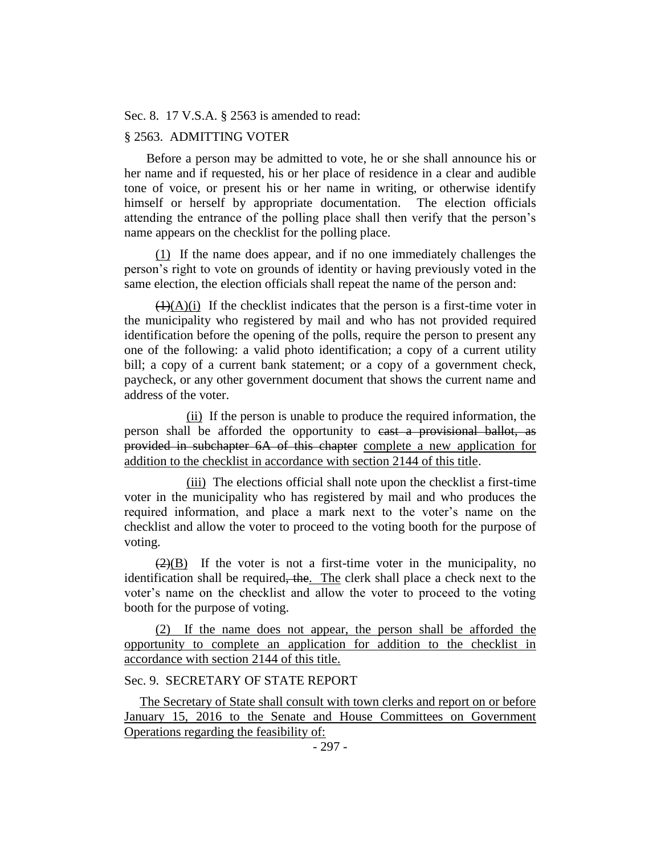Sec. 8. 17 V.S.A. § 2563 is amended to read:

## § 2563. ADMITTING VOTER

 Before a person may be admitted to vote, he or she shall announce his or her name and if requested, his or her place of residence in a clear and audible tone of voice, or present his or her name in writing, or otherwise identify himself or herself by appropriate documentation. The election officials attending the entrance of the polling place shall then verify that the person's name appears on the checklist for the polling place.

(1) If the name does appear, and if no one immediately challenges the person's right to vote on grounds of identity or having previously voted in the same election, the election officials shall repeat the name of the person and:

 $(1)(A)(i)$  If the checklist indicates that the person is a first-time voter in the municipality who registered by mail and who has not provided required identification before the opening of the polls, require the person to present any one of the following: a valid photo identification; a copy of a current utility bill; a copy of a current bank statement; or a copy of a government check, paycheck, or any other government document that shows the current name and address of the voter.

(ii) If the person is unable to produce the required information, the person shall be afforded the opportunity to cast a provisional ballot, as provided in subchapter 6A of this chapter complete a new application for addition to the checklist in accordance with section 2144 of this title.

(iii) The elections official shall note upon the checklist a first-time voter in the municipality who has registered by mail and who produces the required information, and place a mark next to the voter's name on the checklist and allow the voter to proceed to the voting booth for the purpose of voting.

 $\left(\frac{2}{B}\right)$  If the voter is not a first-time voter in the municipality, no identification shall be required, the. The clerk shall place a check next to the voter's name on the checklist and allow the voter to proceed to the voting booth for the purpose of voting.

(2) If the name does not appear, the person shall be afforded the opportunity to complete an application for addition to the checklist in accordance with section 2144 of this title.

## Sec. 9. SECRETARY OF STATE REPORT

The Secretary of State shall consult with town clerks and report on or before January 15, 2016 to the Senate and House Committees on Government Operations regarding the feasibility of: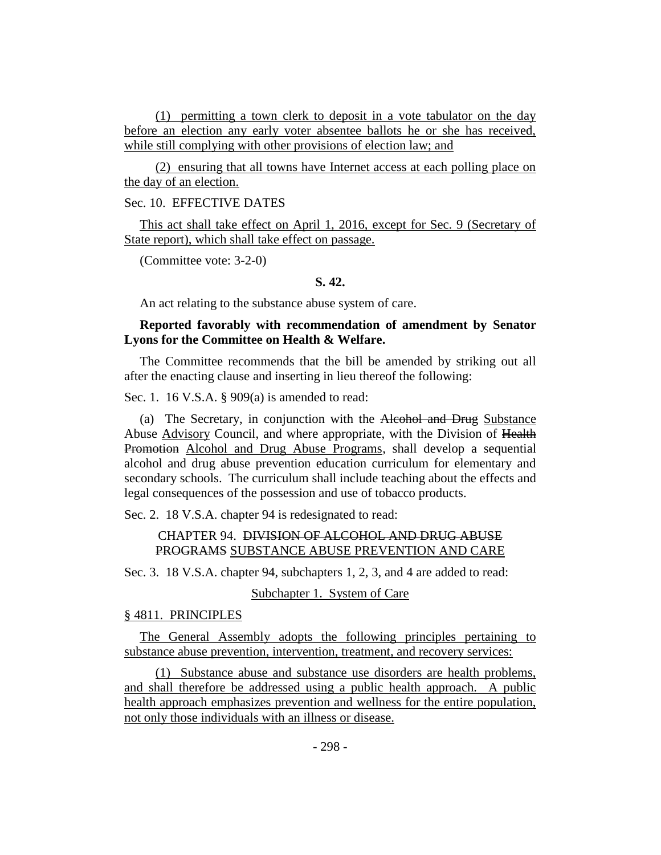(1) permitting a town clerk to deposit in a vote tabulator on the day before an election any early voter absentee ballots he or she has received, while still complying with other provisions of election law; and

(2) ensuring that all towns have Internet access at each polling place on the day of an election.

## Sec. 10. EFFECTIVE DATES

This act shall take effect on April 1, 2016, except for Sec. 9 (Secretary of State report), which shall take effect on passage.

(Committee vote: 3-2-0)

## **S. 42.**

An act relating to the substance abuse system of care.

## **Reported favorably with recommendation of amendment by Senator Lyons for the Committee on Health & Welfare.**

The Committee recommends that the bill be amended by striking out all after the enacting clause and inserting in lieu thereof the following:

Sec. 1. 16 V.S.A. § 909(a) is amended to read:

(a) The Secretary, in conjunction with the Alcohol and Drug Substance Abuse Advisory Council, and where appropriate, with the Division of Health Promotion Alcohol and Drug Abuse Programs, shall develop a sequential alcohol and drug abuse prevention education curriculum for elementary and secondary schools. The curriculum shall include teaching about the effects and legal consequences of the possession and use of tobacco products.

Sec. 2. 18 V.S.A. chapter 94 is redesignated to read:

## CHAPTER 94. DIVISION OF ALCOHOL AND DRUG ABUSE PROGRAMS SUBSTANCE ABUSE PREVENTION AND CARE

Sec. 3. 18 V.S.A. chapter 94, subchapters 1, 2, 3, and 4 are added to read:

## Subchapter 1. System of Care

#### § 4811. PRINCIPLES

The General Assembly adopts the following principles pertaining to substance abuse prevention, intervention, treatment, and recovery services:

(1) Substance abuse and substance use disorders are health problems, and shall therefore be addressed using a public health approach. A public health approach emphasizes prevention and wellness for the entire population, not only those individuals with an illness or disease.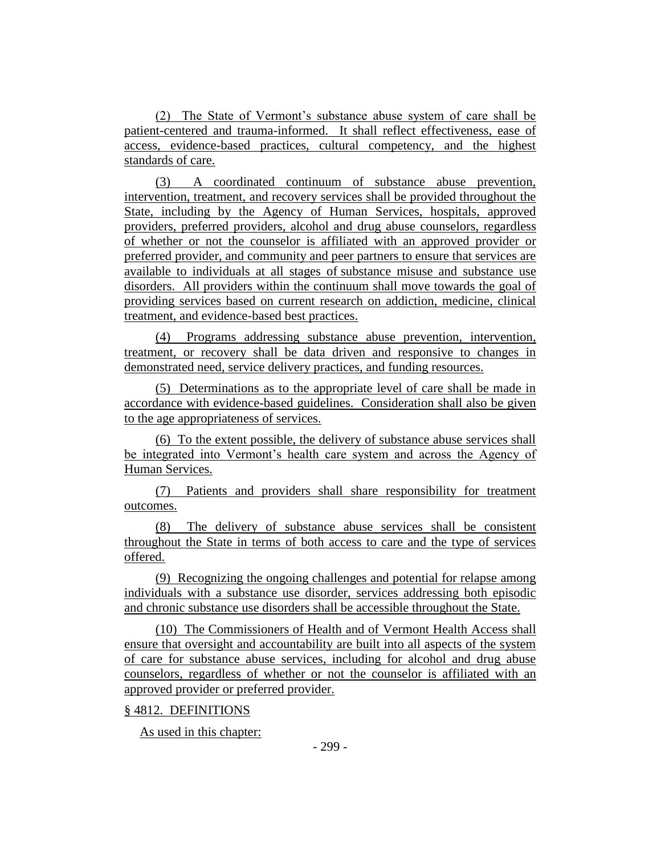(2) The State of Vermont's substance abuse system of care shall be patient-centered and trauma-informed. It shall reflect effectiveness, ease of access, evidence-based practices, cultural competency, and the highest standards of care.

(3) A coordinated continuum of substance abuse prevention, intervention, treatment, and recovery services shall be provided throughout the State, including by the Agency of Human Services, hospitals, approved providers, preferred providers, alcohol and drug abuse counselors, regardless of whether or not the counselor is affiliated with an approved provider or preferred provider, and community and peer partners to ensure that services are available to individuals at all stages of substance misuse and substance use disorders. All providers within the continuum shall move towards the goal of providing services based on current research on addiction, medicine, clinical treatment, and evidence-based best practices.

(4) Programs addressing substance abuse prevention, intervention, treatment, or recovery shall be data driven and responsive to changes in demonstrated need, service delivery practices, and funding resources.

(5) Determinations as to the appropriate level of care shall be made in accordance with evidence-based guidelines. Consideration shall also be given to the age appropriateness of services.

(6) To the extent possible, the delivery of substance abuse services shall be integrated into Vermont's health care system and across the Agency of Human Services.

(7) Patients and providers shall share responsibility for treatment outcomes.

The delivery of substance abuse services shall be consistent throughout the State in terms of both access to care and the type of services offered.

(9) Recognizing the ongoing challenges and potential for relapse among individuals with a substance use disorder, services addressing both episodic and chronic substance use disorders shall be accessible throughout the State.

(10) The Commissioners of Health and of Vermont Health Access shall ensure that oversight and accountability are built into all aspects of the system of care for substance abuse services, including for alcohol and drug abuse counselors, regardless of whether or not the counselor is affiliated with an approved provider or preferred provider.

## § 4812. DEFINITIONS

As used in this chapter: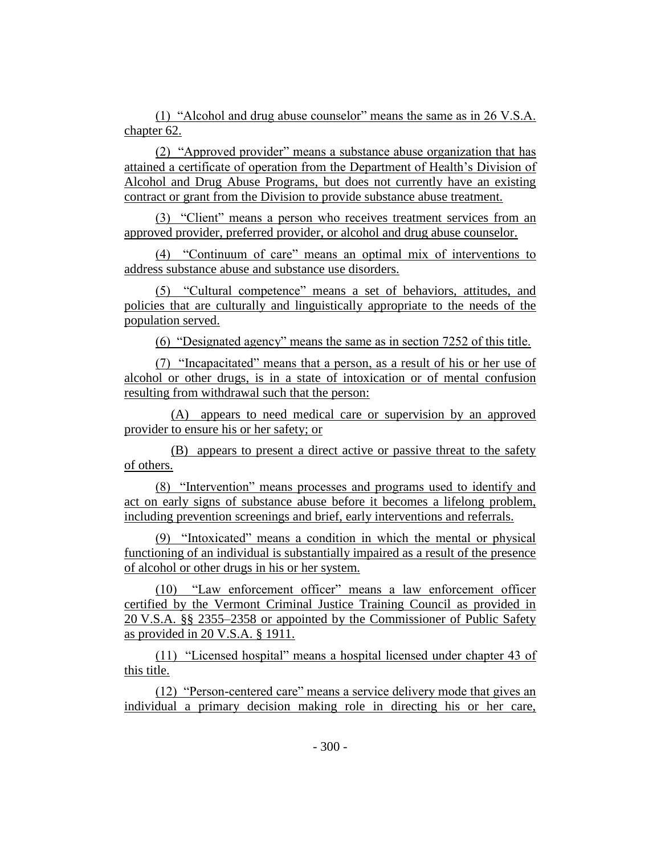(1) "Alcohol and drug abuse counselor" means the same as in 26 V.S.A. chapter 62.

(2) "Approved provider" means a substance abuse organization that has attained a certificate of operation from the Department of Health's Division of Alcohol and Drug Abuse Programs, but does not currently have an existing contract or grant from the Division to provide substance abuse treatment.

(3) "Client" means a person who receives treatment services from an approved provider, preferred provider, or alcohol and drug abuse counselor.

(4) "Continuum of care" means an optimal mix of interventions to address substance abuse and substance use disorders.

(5) "Cultural competence" means a set of behaviors, attitudes, and policies that are culturally and linguistically appropriate to the needs of the population served.

(6) "Designated agency" means the same as in section 7252 of this title.

(7) "Incapacitated" means that a person, as a result of his or her use of alcohol or other drugs, is in a state of intoxication or of mental confusion resulting from withdrawal such that the person:

(A) appears to need medical care or supervision by an approved provider to ensure his or her safety; or

(B) appears to present a direct active or passive threat to the safety of others.

(8) "Intervention" means processes and programs used to identify and act on early signs of substance abuse before it becomes a lifelong problem, including prevention screenings and brief, early interventions and referrals.

(9) "Intoxicated" means a condition in which the mental or physical functioning of an individual is substantially impaired as a result of the presence of alcohol or other drugs in his or her system.

(10) "Law enforcement officer" means a law enforcement officer certified by the Vermont Criminal Justice Training Council as provided in 20 V.S.A. §§ 2355–2358 or appointed by the Commissioner of Public Safety as provided in 20 V.S.A. § 1911.

(11) "Licensed hospital" means a hospital licensed under chapter 43 of this title.

(12) "Person-centered care" means a service delivery mode that gives an individual a primary decision making role in directing his or her care,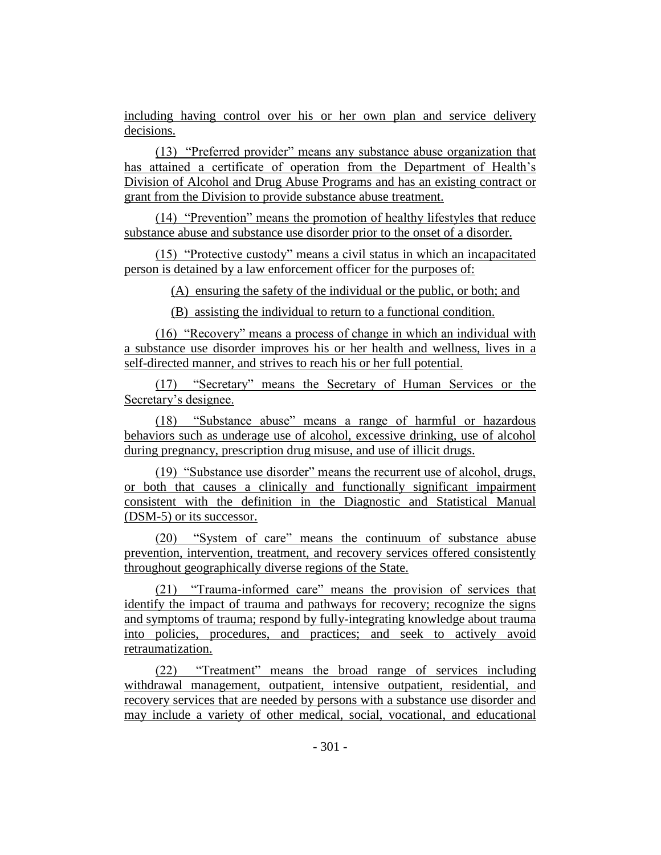including having control over his or her own plan and service delivery decisions.

(13) "Preferred provider" means any substance abuse organization that has attained a certificate of operation from the Department of Health's Division of Alcohol and Drug Abuse Programs and has an existing contract or grant from the Division to provide substance abuse treatment.

(14) "Prevention" means the promotion of healthy lifestyles that reduce substance abuse and substance use disorder prior to the onset of a disorder.

(15) "Protective custody" means a civil status in which an incapacitated person is detained by a law enforcement officer for the purposes of:

(A) ensuring the safety of the individual or the public, or both; and

(B) assisting the individual to return to a functional condition.

(16) "Recovery" means a process of change in which an individual with a substance use disorder improves his or her health and wellness, lives in a self-directed manner, and strives to reach his or her full potential.

(17) "Secretary" means the Secretary of Human Services or the Secretary's designee.

(18) "Substance abuse" means a range of harmful or hazardous behaviors such as underage use of alcohol, excessive drinking, use of alcohol during pregnancy, prescription drug misuse, and use of illicit drugs.

(19) "Substance use disorder" means the recurrent use of alcohol, drugs, or both that causes a clinically and functionally significant impairment consistent with the definition in the Diagnostic and Statistical Manual (DSM-5) or its successor.

(20) "System of care" means the continuum of substance abuse prevention, intervention, treatment, and recovery services offered consistently throughout geographically diverse regions of the State.

(21) "Trauma-informed care" means the provision of services that identify the impact of trauma and pathways for recovery; recognize the signs and symptoms of trauma; respond by fully-integrating knowledge about trauma into policies, procedures, and practices; and seek to actively avoid retraumatization.

(22) "Treatment" means the broad range of services including withdrawal management, outpatient, intensive outpatient, residential, and recovery services that are needed by persons with a substance use disorder and may include a variety of other medical, social, vocational, and educational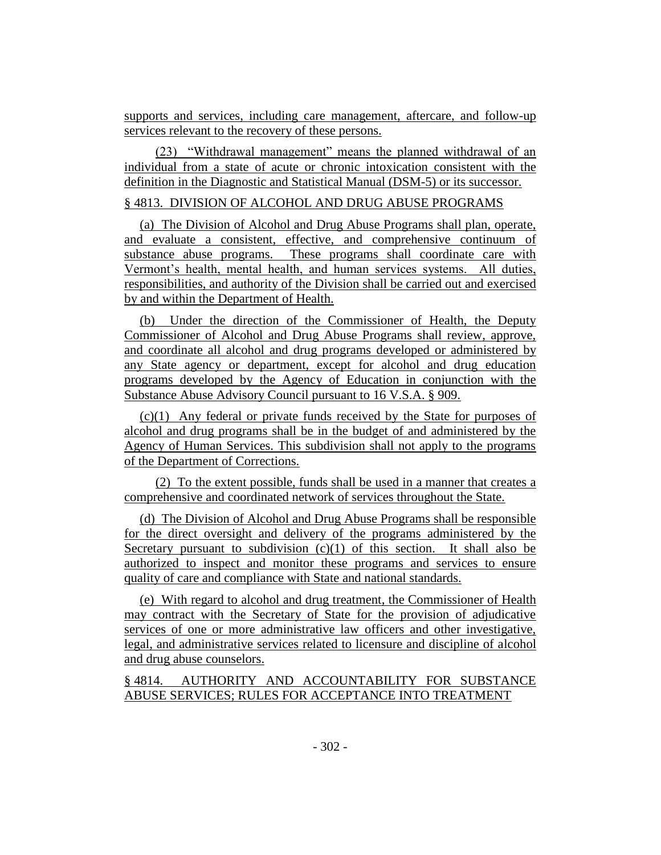supports and services, including care management, aftercare, and follow-up services relevant to the recovery of these persons.

(23) "Withdrawal management" means the planned withdrawal of an individual from a state of acute or chronic intoxication consistent with the definition in the Diagnostic and Statistical Manual (DSM-5) or its successor.

## § 4813. DIVISION OF ALCOHOL AND DRUG ABUSE PROGRAMS

(a) The Division of Alcohol and Drug Abuse Programs shall plan, operate, and evaluate a consistent, effective, and comprehensive continuum of substance abuse programs. These programs shall coordinate care with Vermont's health, mental health, and human services systems. All duties, responsibilities, and authority of the Division shall be carried out and exercised by and within the Department of Health.

(b) Under the direction of the Commissioner of Health, the Deputy Commissioner of Alcohol and Drug Abuse Programs shall review, approve, and coordinate all alcohol and drug programs developed or administered by any State agency or department, except for alcohol and drug education programs developed by the Agency of Education in conjunction with the Substance Abuse Advisory Council pursuant to 16 V.S.A. § 909.

(c)(1) Any federal or private funds received by the State for purposes of alcohol and drug programs shall be in the budget of and administered by the Agency of Human Services. This subdivision shall not apply to the programs of the Department of Corrections.

(2) To the extent possible, funds shall be used in a manner that creates a comprehensive and coordinated network of services throughout the State.

(d) The Division of Alcohol and Drug Abuse Programs shall be responsible for the direct oversight and delivery of the programs administered by the Secretary pursuant to subdivision  $(c)(1)$  of this section. It shall also be authorized to inspect and monitor these programs and services to ensure quality of care and compliance with State and national standards.

(e) With regard to alcohol and drug treatment, the Commissioner of Health may contract with the Secretary of State for the provision of adjudicative services of one or more administrative law officers and other investigative, legal, and administrative services related to licensure and discipline of alcohol and drug abuse counselors.

§ 4814. AUTHORITY AND ACCOUNTABILITY FOR SUBSTANCE ABUSE SERVICES; RULES FOR ACCEPTANCE INTO TREATMENT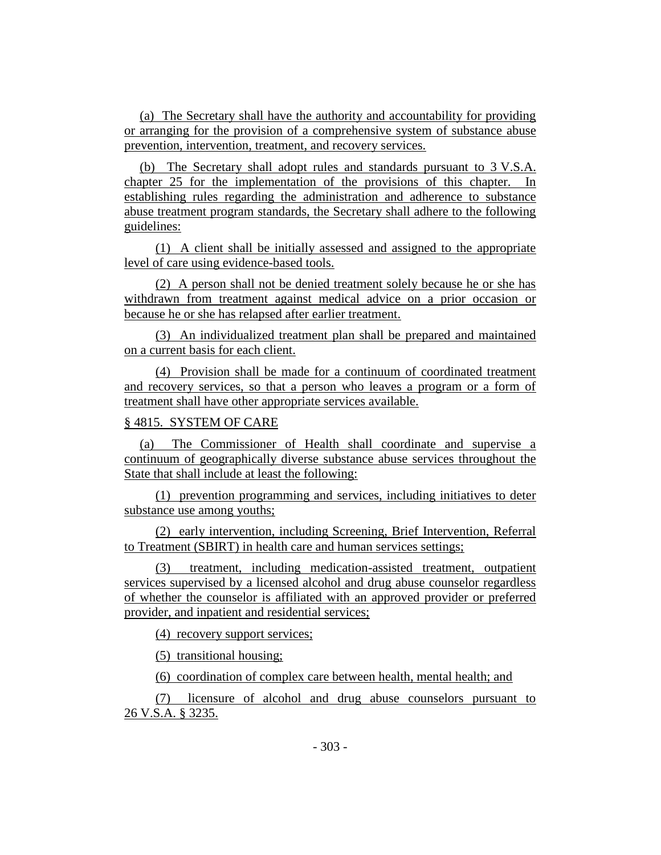(a) The Secretary shall have the authority and accountability for providing or arranging for the provision of a comprehensive system of substance abuse prevention, intervention, treatment, and recovery services.

(b) The Secretary shall adopt rules and standards pursuant to 3 V.S.A. chapter 25 for the implementation of the provisions of this chapter. In establishing rules regarding the administration and adherence to substance abuse treatment program standards, the Secretary shall adhere to the following guidelines:

(1) A client shall be initially assessed and assigned to the appropriate level of care using evidence-based tools.

(2) A person shall not be denied treatment solely because he or she has withdrawn from treatment against medical advice on a prior occasion or because he or she has relapsed after earlier treatment.

(3) An individualized treatment plan shall be prepared and maintained on a current basis for each client.

(4) Provision shall be made for a continuum of coordinated treatment and recovery services, so that a person who leaves a program or a form of treatment shall have other appropriate services available.

## § 4815. SYSTEM OF CARE

(a) The Commissioner of Health shall coordinate and supervise a continuum of geographically diverse substance abuse services throughout the State that shall include at least the following:

(1) prevention programming and services, including initiatives to deter substance use among youths;

(2) early intervention, including Screening, Brief Intervention, Referral to Treatment (SBIRT) in health care and human services settings;

(3) treatment, including medication-assisted treatment, outpatient services supervised by a licensed alcohol and drug abuse counselor regardless of whether the counselor is affiliated with an approved provider or preferred provider, and inpatient and residential services;

(4) recovery support services;

(5) transitional housing;

(6) coordination of complex care between health, mental health; and

(7) licensure of alcohol and drug abuse counselors pursuant to 26 V.S.A. § 3235.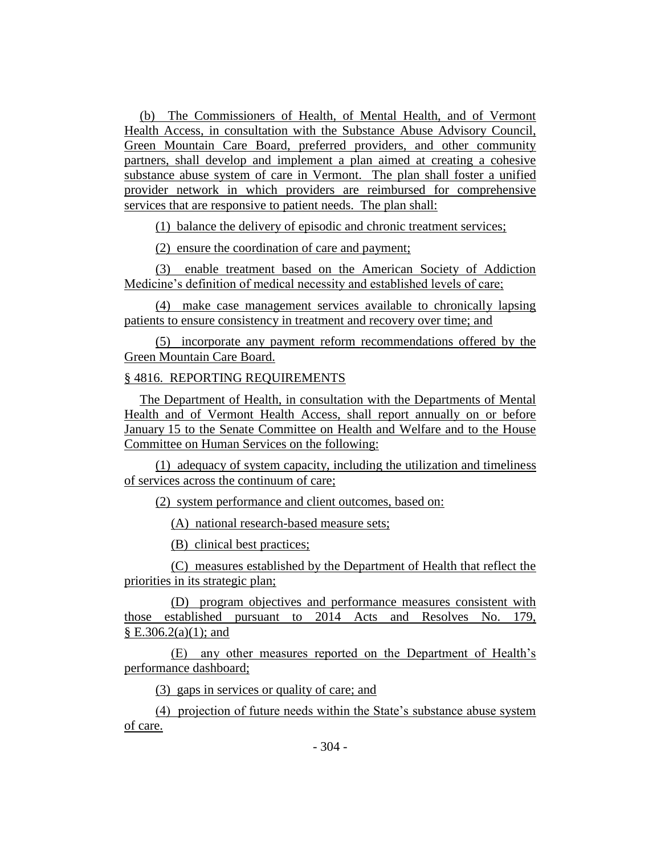(b) The Commissioners of Health, of Mental Health, and of Vermont Health Access, in consultation with the Substance Abuse Advisory Council, Green Mountain Care Board, preferred providers, and other community partners, shall develop and implement a plan aimed at creating a cohesive substance abuse system of care in Vermont. The plan shall foster a unified provider network in which providers are reimbursed for comprehensive services that are responsive to patient needs. The plan shall:

(1) balance the delivery of episodic and chronic treatment services;

(2) ensure the coordination of care and payment;

(3) enable treatment based on the American Society of Addiction Medicine's definition of medical necessity and established levels of care;

(4) make case management services available to chronically lapsing patients to ensure consistency in treatment and recovery over time; and

(5) incorporate any payment reform recommendations offered by the Green Mountain Care Board.

## § 4816. REPORTING REQUIREMENTS

The Department of Health, in consultation with the Departments of Mental Health and of Vermont Health Access, shall report annually on or before January 15 to the Senate Committee on Health and Welfare and to the House Committee on Human Services on the following:

(1) adequacy of system capacity, including the utilization and timeliness of services across the continuum of care;

(2) system performance and client outcomes, based on:

(A) national research-based measure sets;

(B) clinical best practices;

(C) measures established by the Department of Health that reflect the priorities in its strategic plan;

(D) program objectives and performance measures consistent with those established pursuant to 2014 Acts and Resolves No. 179,  $\S E.306.2(a)(1)$ ; and

(E) any other measures reported on the Department of Health's performance dashboard;

(3) gaps in services or quality of care; and

(4) projection of future needs within the State's substance abuse system of care.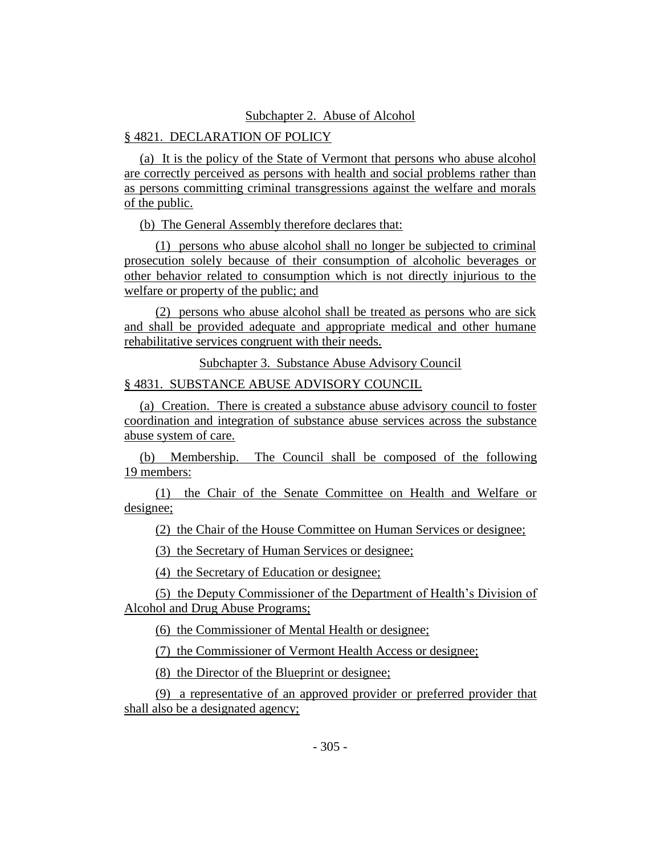## Subchapter 2. Abuse of Alcohol

# § 4821. DECLARATION OF POLICY

(a) It is the policy of the State of Vermont that persons who abuse alcohol are correctly perceived as persons with health and social problems rather than as persons committing criminal transgressions against the welfare and morals of the public.

(b) The General Assembly therefore declares that:

(1) persons who abuse alcohol shall no longer be subjected to criminal prosecution solely because of their consumption of alcoholic beverages or other behavior related to consumption which is not directly injurious to the welfare or property of the public; and

(2) persons who abuse alcohol shall be treated as persons who are sick and shall be provided adequate and appropriate medical and other humane rehabilitative services congruent with their needs.

Subchapter 3. Substance Abuse Advisory Council

§ 4831. SUBSTANCE ABUSE ADVISORY COUNCIL

(a) Creation. There is created a substance abuse advisory council to foster coordination and integration of substance abuse services across the substance abuse system of care.

(b) Membership. The Council shall be composed of the following 19 members:

(1) the Chair of the Senate Committee on Health and Welfare or designee;

(2) the Chair of the House Committee on Human Services or designee;

(3) the Secretary of Human Services or designee;

(4) the Secretary of Education or designee;

(5) the Deputy Commissioner of the Department of Health's Division of Alcohol and Drug Abuse Programs;

(6) the Commissioner of Mental Health or designee;

(7) the Commissioner of Vermont Health Access or designee;

(8) the Director of the Blueprint or designee;

(9) a representative of an approved provider or preferred provider that shall also be a designated agency;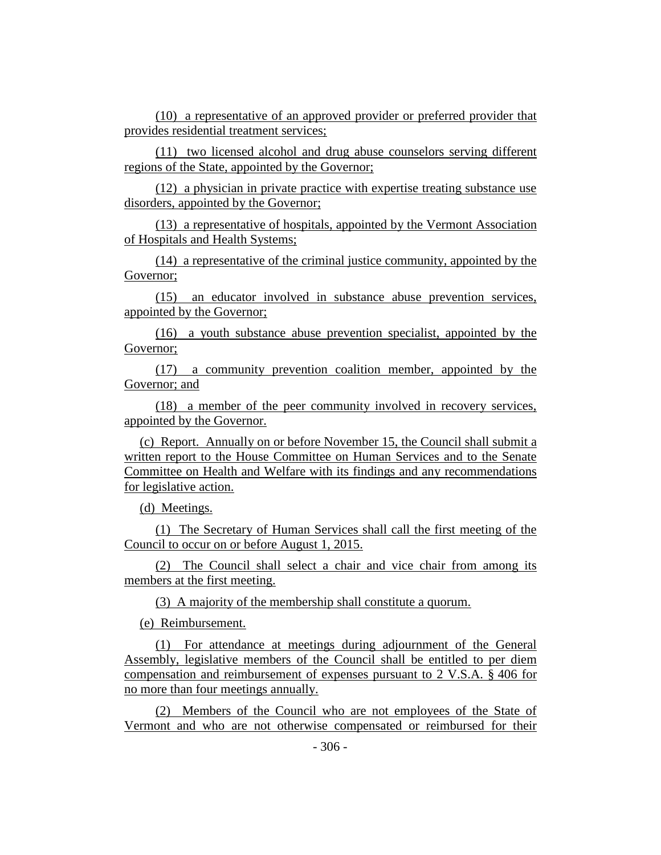(10) a representative of an approved provider or preferred provider that provides residential treatment services;

(11) two licensed alcohol and drug abuse counselors serving different regions of the State, appointed by the Governor;

(12) a physician in private practice with expertise treating substance use disorders, appointed by the Governor;

(13) a representative of hospitals, appointed by the Vermont Association of Hospitals and Health Systems;

(14) a representative of the criminal justice community, appointed by the Governor;

(15) an educator involved in substance abuse prevention services, appointed by the Governor;

(16) a youth substance abuse prevention specialist, appointed by the Governor;

(17) a community prevention coalition member, appointed by the Governor; and

(18) a member of the peer community involved in recovery services, appointed by the Governor.

(c) Report. Annually on or before November 15, the Council shall submit a written report to the House Committee on Human Services and to the Senate Committee on Health and Welfare with its findings and any recommendations for legislative action.

(d) Meetings.

(1) The Secretary of Human Services shall call the first meeting of the Council to occur on or before August 1, 2015.

(2) The Council shall select a chair and vice chair from among its members at the first meeting.

(3) A majority of the membership shall constitute a quorum.

(e) Reimbursement.

(1) For attendance at meetings during adjournment of the General Assembly, legislative members of the Council shall be entitled to per diem compensation and reimbursement of expenses pursuant to 2 V.S.A. § 406 for no more than four meetings annually.

(2) Members of the Council who are not employees of the State of Vermont and who are not otherwise compensated or reimbursed for their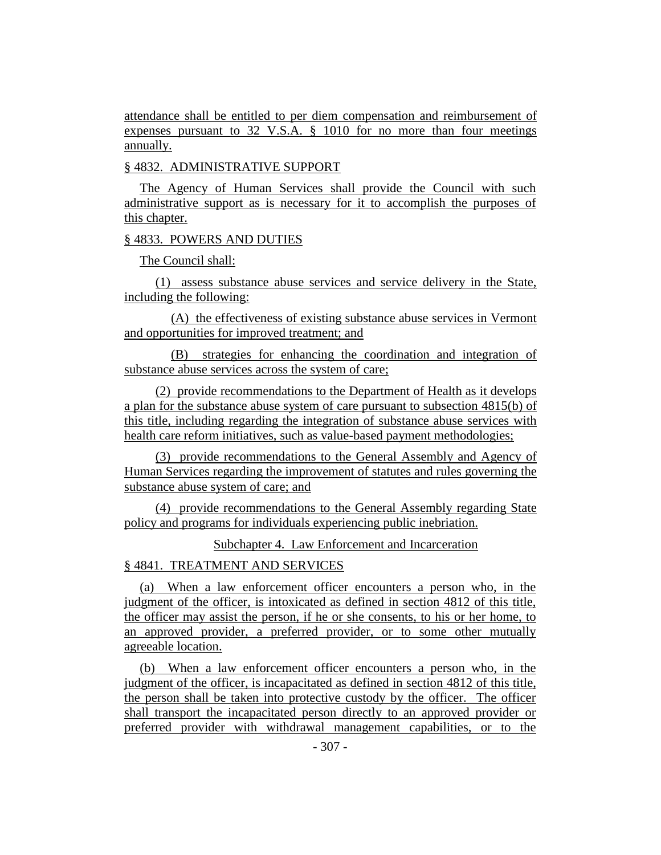attendance shall be entitled to per diem compensation and reimbursement of expenses pursuant to 32 V.S.A. § 1010 for no more than four meetings annually.

## § 4832. ADMINISTRATIVE SUPPORT

The Agency of Human Services shall provide the Council with such administrative support as is necessary for it to accomplish the purposes of this chapter.

### § 4833. POWERS AND DUTIES

The Council shall:

(1) assess substance abuse services and service delivery in the State, including the following:

(A) the effectiveness of existing substance abuse services in Vermont and opportunities for improved treatment; and

(B) strategies for enhancing the coordination and integration of substance abuse services across the system of care;

(2) provide recommendations to the Department of Health as it develops a plan for the substance abuse system of care pursuant to subsection 4815(b) of this title, including regarding the integration of substance abuse services with health care reform initiatives, such as value-based payment methodologies;

(3) provide recommendations to the General Assembly and Agency of Human Services regarding the improvement of statutes and rules governing the substance abuse system of care; and

(4) provide recommendations to the General Assembly regarding State policy and programs for individuals experiencing public inebriation.

Subchapter 4. Law Enforcement and Incarceration

## § 4841. TREATMENT AND SERVICES

(a) When a law enforcement officer encounters a person who, in the judgment of the officer, is intoxicated as defined in section 4812 of this title, the officer may assist the person, if he or she consents, to his or her home, to an approved provider, a preferred provider, or to some other mutually agreeable location.

(b) When a law enforcement officer encounters a person who, in the judgment of the officer, is incapacitated as defined in section 4812 of this title, the person shall be taken into protective custody by the officer. The officer shall transport the incapacitated person directly to an approved provider or preferred provider with withdrawal management capabilities, or to the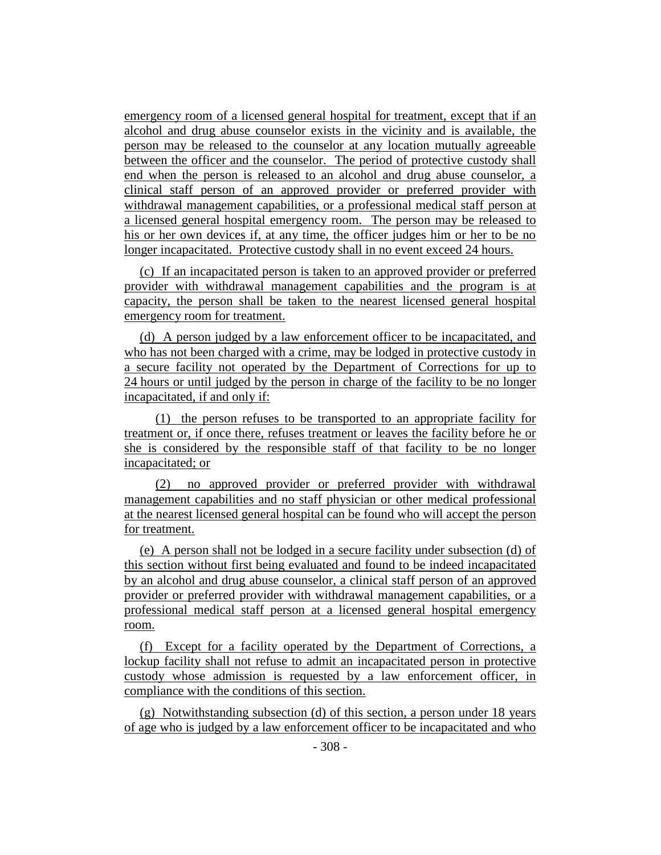emergency room of a licensed general hospital for treatment, except that if an alcohol and drug abuse counselor exists in the vicinity and is available, the person may be released to the counselor at any location mutually agreeable between the officer and the counselor. The period of protective custody shall end when the person is released to an alcohol and drug abuse counselor, a clinical staff person of an approved provider or preferred provider with withdrawal management capabilities, or a professional medical staff person at a licensed general hospital emergency room. The person may be released to his or her own devices if, at any time, the officer judges him or her to be no longer incapacitated. Protective custody shall in no event exceed 24 hours.

(c) If an incapacitated person is taken to an approved provider or preferred provider with withdrawal management capabilities and the program is at capacity, the person shall be taken to the nearest licensed general hospital emergency room for treatment.

(d) A person judged by a law enforcement officer to be incapacitated, and who has not been charged with a crime, may be lodged in protective custody in a secure facility not operated by the Department of Corrections for up to 24 hours or until judged by the person in charge of the facility to be no longer incapacitated, if and only if:

(1) the person refuses to be transported to an appropriate facility for treatment or, if once there, refuses treatment or leaves the facility before he or she is considered by the responsible staff of that facility to be no longer incapacitated; or

(2) no approved provider or preferred provider with withdrawal management capabilities and no staff physician or other medical professional at the nearest licensed general hospital can be found who will accept the person for treatment.

(e) A person shall not be lodged in a secure facility under subsection (d) of this section without first being evaluated and found to be indeed incapacitated by an alcohol and drug abuse counselor, a clinical staff person of an approved provider or preferred provider with withdrawal management capabilities, or a professional medical staff person at a licensed general hospital emergency room.

(f) Except for a facility operated by the Department of Corrections, a lockup facility shall not refuse to admit an incapacitated person in protective custody whose admission is requested by a law enforcement officer, in compliance with the conditions of this section.

(g) Notwithstanding subsection (d) of this section, a person under 18 years of age who is judged by a law enforcement officer to be incapacitated and who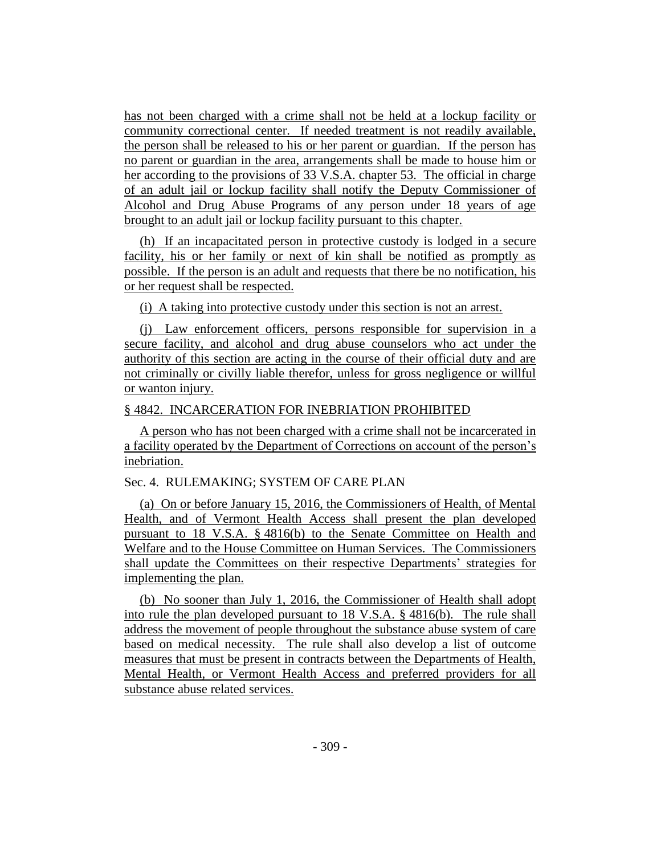has not been charged with a crime shall not be held at a lockup facility or community correctional center. If needed treatment is not readily available, the person shall be released to his or her parent or guardian. If the person has no parent or guardian in the area, arrangements shall be made to house him or her according to the provisions of 33 V.S.A. chapter 53. The official in charge of an adult jail or lockup facility shall notify the Deputy Commissioner of Alcohol and Drug Abuse Programs of any person under 18 years of age brought to an adult jail or lockup facility pursuant to this chapter.

(h) If an incapacitated person in protective custody is lodged in a secure facility, his or her family or next of kin shall be notified as promptly as possible. If the person is an adult and requests that there be no notification, his or her request shall be respected.

(i) A taking into protective custody under this section is not an arrest.

(j) Law enforcement officers, persons responsible for supervision in a secure facility, and alcohol and drug abuse counselors who act under the authority of this section are acting in the course of their official duty and are not criminally or civilly liable therefor, unless for gross negligence or willful or wanton injury.

### § 4842. INCARCERATION FOR INEBRIATION PROHIBITED

A person who has not been charged with a crime shall not be incarcerated in a facility operated by the Department of Corrections on account of the person's inebriation.

## Sec. 4. RULEMAKING; SYSTEM OF CARE PLAN

(a) On or before January 15, 2016, the Commissioners of Health, of Mental Health, and of Vermont Health Access shall present the plan developed pursuant to 18 V.S.A. § 4816(b) to the Senate Committee on Health and Welfare and to the House Committee on Human Services. The Commissioners shall update the Committees on their respective Departments' strategies for implementing the plan.

(b) No sooner than July 1, 2016, the Commissioner of Health shall adopt into rule the plan developed pursuant to 18 V.S.A. § 4816(b). The rule shall address the movement of people throughout the substance abuse system of care based on medical necessity. The rule shall also develop a list of outcome measures that must be present in contracts between the Departments of Health, Mental Health, or Vermont Health Access and preferred providers for all substance abuse related services.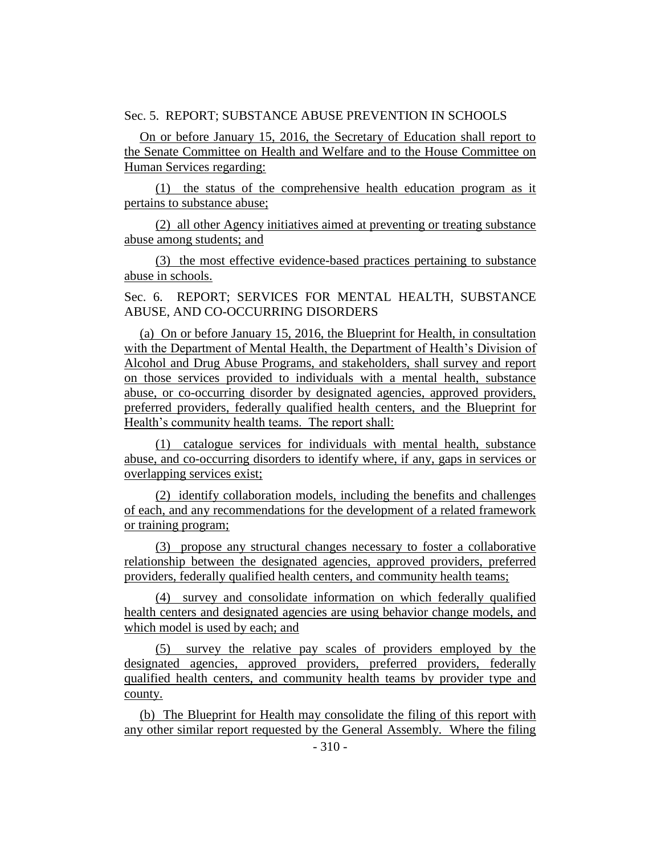### Sec. 5. REPORT; SUBSTANCE ABUSE PREVENTION IN SCHOOLS

On or before January 15, 2016, the Secretary of Education shall report to the Senate Committee on Health and Welfare and to the House Committee on Human Services regarding:

(1) the status of the comprehensive health education program as it pertains to substance abuse;

(2) all other Agency initiatives aimed at preventing or treating substance abuse among students; and

(3) the most effective evidence-based practices pertaining to substance abuse in schools.

Sec. 6. REPORT; SERVICES FOR MENTAL HEALTH, SUBSTANCE ABUSE, AND CO-OCCURRING DISORDERS

(a) On or before January 15, 2016, the Blueprint for Health, in consultation with the Department of Mental Health, the Department of Health's Division of Alcohol and Drug Abuse Programs, and stakeholders, shall survey and report on those services provided to individuals with a mental health, substance abuse, or co-occurring disorder by designated agencies, approved providers, preferred providers, federally qualified health centers, and the Blueprint for Health's community health teams. The report shall:

(1) catalogue services for individuals with mental health, substance abuse, and co-occurring disorders to identify where, if any, gaps in services or overlapping services exist;

(2) identify collaboration models, including the benefits and challenges of each, and any recommendations for the development of a related framework or training program;

(3) propose any structural changes necessary to foster a collaborative relationship between the designated agencies, approved providers, preferred providers, federally qualified health centers, and community health teams;

(4) survey and consolidate information on which federally qualified health centers and designated agencies are using behavior change models, and which model is used by each; and

(5) survey the relative pay scales of providers employed by the designated agencies, approved providers, preferred providers, federally qualified health centers, and community health teams by provider type and county.

(b) The Blueprint for Health may consolidate the filing of this report with any other similar report requested by the General Assembly. Where the filing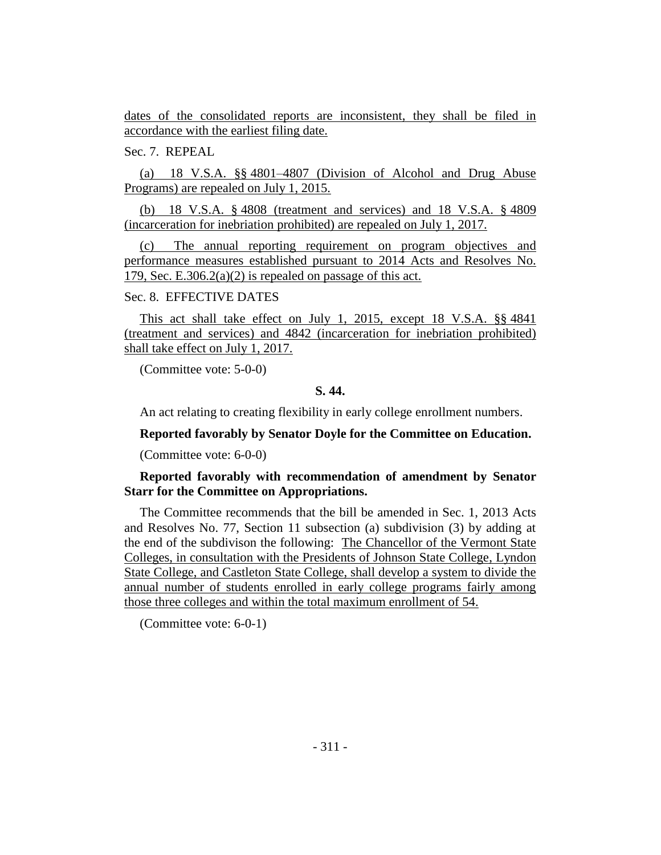dates of the consolidated reports are inconsistent, they shall be filed in accordance with the earliest filing date.

Sec. 7. REPEAL

(a) 18 V.S.A. §§ 4801–4807 (Division of Alcohol and Drug Abuse Programs) are repealed on July 1, 2015.

(b) 18 V.S.A. § 4808 (treatment and services) and 18 V.S.A. § 4809 (incarceration for inebriation prohibited) are repealed on July 1, 2017.

(c) The annual reporting requirement on program objectives and performance measures established pursuant to 2014 Acts and Resolves No. 179, Sec. E.306.2(a)(2) is repealed on passage of this act.

# Sec. 8. EFFECTIVE DATES

This act shall take effect on July 1, 2015, except 18 V.S.A. §§ 4841 (treatment and services) and 4842 (incarceration for inebriation prohibited) shall take effect on July 1, 2017.

(Committee vote: 5-0-0)

## **S. 44.**

An act relating to creating flexibility in early college enrollment numbers.

## **Reported favorably by Senator Doyle for the Committee on Education.**

(Committee vote: 6-0-0)

# **Reported favorably with recommendation of amendment by Senator Starr for the Committee on Appropriations.**

The Committee recommends that the bill be amended in Sec. 1, 2013 Acts and Resolves No. 77, Section 11 subsection (a) subdivision (3) by adding at the end of the subdivison the following: The Chancellor of the Vermont State Colleges, in consultation with the Presidents of Johnson State College, Lyndon State College, and Castleton State College, shall develop a system to divide the annual number of students enrolled in early college programs fairly among those three colleges and within the total maximum enrollment of 54.

(Committee vote: 6-0-1)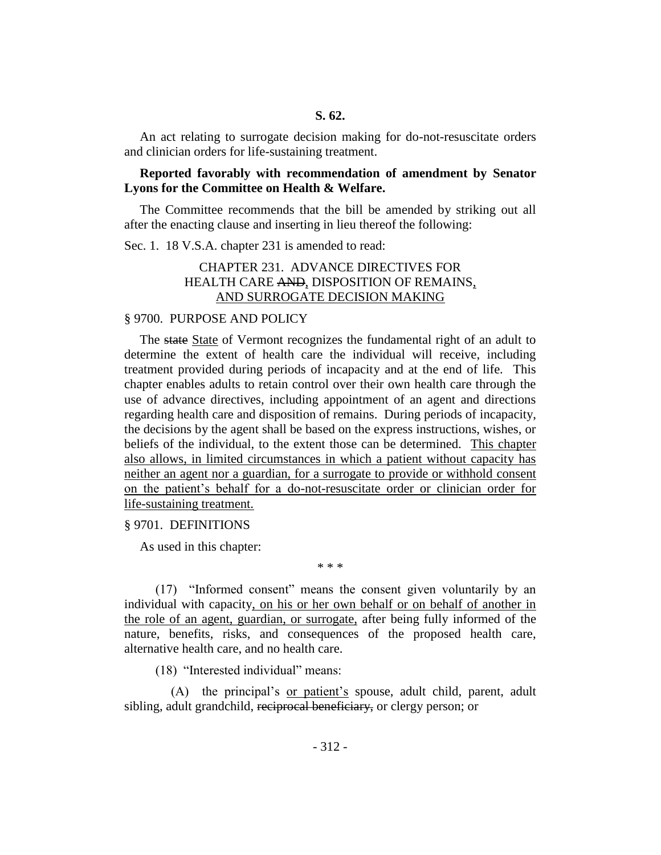## **S. 62.**

An act relating to surrogate decision making for do-not-resuscitate orders and clinician orders for life-sustaining treatment.

## **Reported favorably with recommendation of amendment by Senator Lyons for the Committee on Health & Welfare.**

The Committee recommends that the bill be amended by striking out all after the enacting clause and inserting in lieu thereof the following:

Sec. 1. 18 V.S.A. chapter 231 is amended to read:

# CHAPTER 231. ADVANCE DIRECTIVES FOR HEALTH CARE AND, DISPOSITION OF REMAINS, AND SURROGATE DECISION MAKING

### § 9700. PURPOSE AND POLICY

The state State of Vermont recognizes the fundamental right of an adult to determine the extent of health care the individual will receive, including treatment provided during periods of incapacity and at the end of life. This chapter enables adults to retain control over their own health care through the use of advance directives, including appointment of an agent and directions regarding health care and disposition of remains. During periods of incapacity, the decisions by the agent shall be based on the express instructions, wishes, or beliefs of the individual, to the extent those can be determined. This chapter also allows, in limited circumstances in which a patient without capacity has neither an agent nor a guardian, for a surrogate to provide or withhold consent on the patient's behalf for a do-not-resuscitate order or clinician order for life-sustaining treatment.

§ 9701. DEFINITIONS

As used in this chapter:

(17) "Informed consent" means the consent given voluntarily by an individual with capacity, on his or her own behalf or on behalf of another in the role of an agent, guardian, or surrogate, after being fully informed of the nature, benefits, risks, and consequences of the proposed health care, alternative health care, and no health care.

\* \* \*

(18) "Interested individual" means:

(A) the principal's or patient's spouse, adult child, parent, adult sibling, adult grandchild, reciprocal beneficiary, or clergy person; or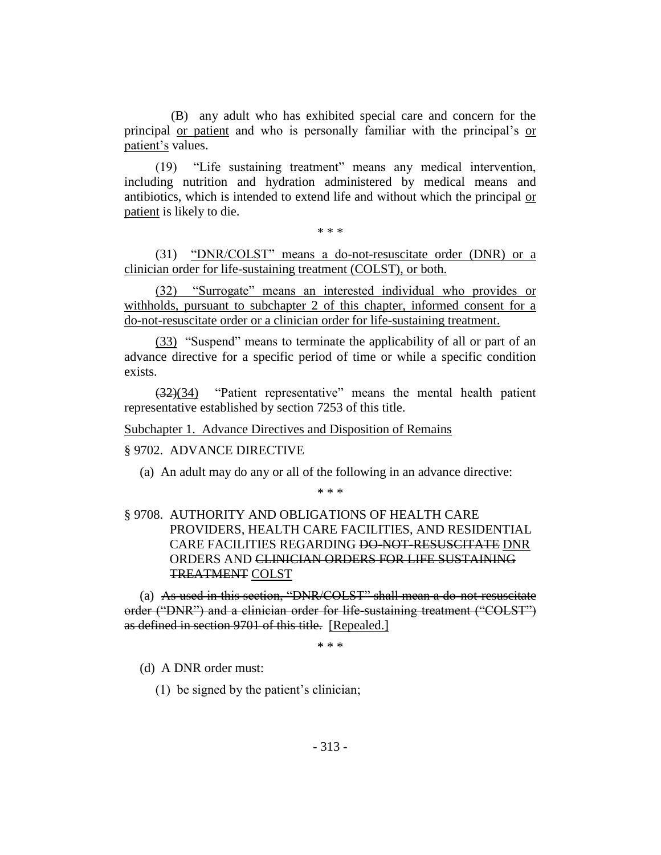(B) any adult who has exhibited special care and concern for the principal or patient and who is personally familiar with the principal's or patient's values.

(19) "Life sustaining treatment" means any medical intervention, including nutrition and hydration administered by medical means and antibiotics, which is intended to extend life and without which the principal or patient is likely to die.

\* \* \*

(31) "DNR/COLST" means a do-not-resuscitate order (DNR) or a clinician order for life-sustaining treatment (COLST), or both.

(32) "Surrogate" means an interested individual who provides or withholds, pursuant to subchapter 2 of this chapter, informed consent for a do-not-resuscitate order or a clinician order for life-sustaining treatment.

(33) "Suspend" means to terminate the applicability of all or part of an advance directive for a specific period of time or while a specific condition exists.

(32)(34) "Patient representative" means the mental health patient representative established by section 7253 of this title.

Subchapter 1. Advance Directives and Disposition of Remains

# § 9702. ADVANCE DIRECTIVE

(a) An adult may do any or all of the following in an advance directive:

\* \* \*

# § 9708. AUTHORITY AND OBLIGATIONS OF HEALTH CARE PROVIDERS, HEALTH CARE FACILITIES, AND RESIDENTIAL CARE FACILITIES REGARDING DO-NOT-RESUSCITATE DNR ORDERS AND CLINICIAN ORDERS FOR LIFE SUSTAINING TREATMENT COLST

(a) As used in this section, "DNR/COLST" shall mean a do-not-resuscitate order ("DNR") and a clinician order for life-sustaining treatment ("COLST") as defined in section 9701 of this title. [Repealed.]

\* \* \*

(d) A DNR order must:

(1) be signed by the patient's clinician;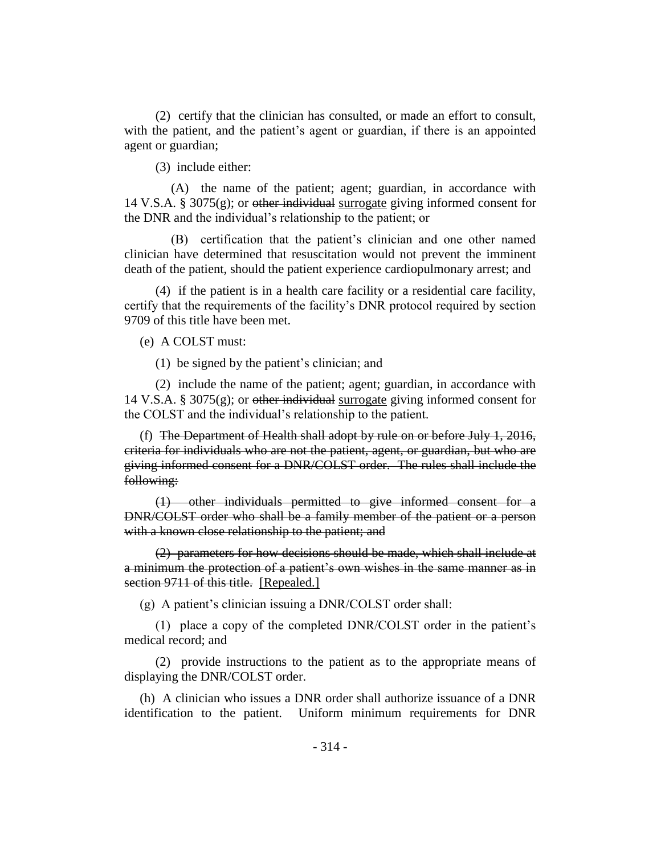(2) certify that the clinician has consulted, or made an effort to consult, with the patient, and the patient's agent or guardian, if there is an appointed agent or guardian;

(3) include either:

(A) the name of the patient; agent; guardian, in accordance with 14 V.S.A. § 3075(g); or other individual surrogate giving informed consent for the DNR and the individual's relationship to the patient; or

(B) certification that the patient's clinician and one other named clinician have determined that resuscitation would not prevent the imminent death of the patient, should the patient experience cardiopulmonary arrest; and

(4) if the patient is in a health care facility or a residential care facility, certify that the requirements of the facility's DNR protocol required by section 9709 of this title have been met.

(e) A COLST must:

(1) be signed by the patient's clinician; and

(2) include the name of the patient; agent; guardian, in accordance with 14 V.S.A. § 3075 $(g)$ ; or other individual surrogate giving informed consent for the COLST and the individual's relationship to the patient.

(f) The Department of Health shall adopt by rule on or before July 1, 2016, criteria for individuals who are not the patient, agent, or guardian, but who are giving informed consent for a DNR/COLST order. The rules shall include the following:

(1) other individuals permitted to give informed consent for a DNR/COLST order who shall be a family member of the patient or a person with a known close relationship to the patient; and

(2) parameters for how decisions should be made, which shall include at a minimum the protection of a patient's own wishes in the same manner as in section 9711 of this title. [Repealed.]

(g) A patient's clinician issuing a DNR/COLST order shall:

(1) place a copy of the completed DNR/COLST order in the patient's medical record; and

(2) provide instructions to the patient as to the appropriate means of displaying the DNR/COLST order.

(h) A clinician who issues a DNR order shall authorize issuance of a DNR identification to the patient. Uniform minimum requirements for DNR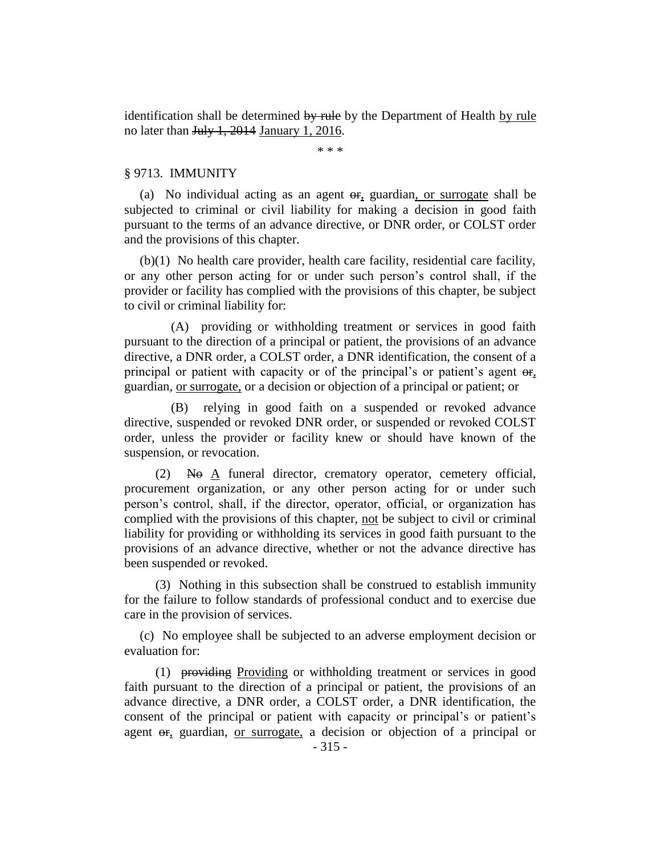identification shall be determined by rule by the Department of Health by rule no later than July 1, 2014 January 1, 2016.

\* \* \*

### § 9713. IMMUNITY

(a) No individual acting as an agent  $\theta$ , guardian, or surrogate shall be subjected to criminal or civil liability for making a decision in good faith pursuant to the terms of an advance directive, or DNR order, or COLST order and the provisions of this chapter.

(b)(1) No health care provider, health care facility, residential care facility, or any other person acting for or under such person's control shall, if the provider or facility has complied with the provisions of this chapter, be subject to civil or criminal liability for:

(A) providing or withholding treatment or services in good faith pursuant to the direction of a principal or patient, the provisions of an advance directive, a DNR order, a COLST order, a DNR identification, the consent of a principal or patient with capacity or of the principal's or patient's agent  $\Theta$ <sub>r</sub>, guardian, or surrogate, or a decision or objection of a principal or patient; or

(B) relying in good faith on a suspended or revoked advance directive, suspended or revoked DNR order, or suspended or revoked COLST order, unless the provider or facility knew or should have known of the suspension, or revocation.

 $(2)$  No A funeral director, crematory operator, cemetery official, procurement organization, or any other person acting for or under such person's control, shall, if the director, operator, official, or organization has complied with the provisions of this chapter, not be subject to civil or criminal liability for providing or withholding its services in good faith pursuant to the provisions of an advance directive, whether or not the advance directive has been suspended or revoked.

(3) Nothing in this subsection shall be construed to establish immunity for the failure to follow standards of professional conduct and to exercise due care in the provision of services.

(c) No employee shall be subjected to an adverse employment decision or evaluation for:

(1) providing Providing or withholding treatment or services in good faith pursuant to the direction of a principal or patient, the provisions of an advance directive, a DNR order, a COLST order, a DNR identification, the consent of the principal or patient with capacity or principal's or patient's agent or, guardian, or surrogate, a decision or objection of a principal or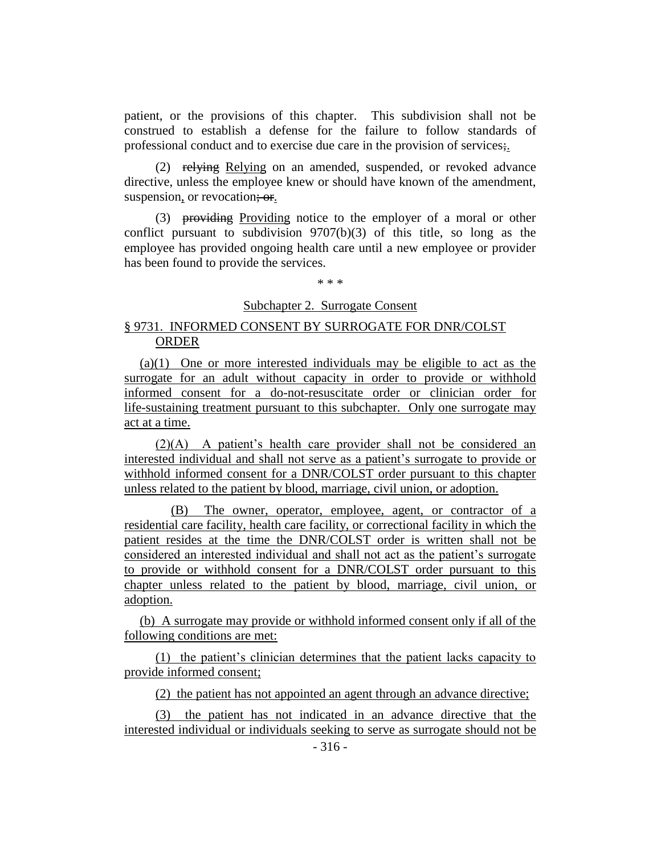patient, or the provisions of this chapter. This subdivision shall not be construed to establish a defense for the failure to follow standards of professional conduct and to exercise due care in the provision of services;.

(2) relying Relying on an amended, suspended, or revoked advance directive, unless the employee knew or should have known of the amendment, suspension, or revocation; or.

(3) providing Providing notice to the employer of a moral or other conflict pursuant to subdivision 9707(b)(3) of this title, so long as the employee has provided ongoing health care until a new employee or provider has been found to provide the services.

\* \* \*

# Subchapter 2. Surrogate Consent

# § 9731. INFORMED CONSENT BY SURROGATE FOR DNR/COLST ORDER

(a)(1) One or more interested individuals may be eligible to act as the surrogate for an adult without capacity in order to provide or withhold informed consent for a do-not-resuscitate order or clinician order for life-sustaining treatment pursuant to this subchapter. Only one surrogate may act at a time.

(2)(A) A patient's health care provider shall not be considered an interested individual and shall not serve as a patient's surrogate to provide or withhold informed consent for a DNR/COLST order pursuant to this chapter unless related to the patient by blood, marriage, civil union, or adoption.

(B) The owner, operator, employee, agent, or contractor of a residential care facility, health care facility, or correctional facility in which the patient resides at the time the DNR/COLST order is written shall not be considered an interested individual and shall not act as the patient's surrogate to provide or withhold consent for a DNR/COLST order pursuant to this chapter unless related to the patient by blood, marriage, civil union, or adoption.

(b) A surrogate may provide or withhold informed consent only if all of the following conditions are met:

(1) the patient's clinician determines that the patient lacks capacity to provide informed consent;

(2) the patient has not appointed an agent through an advance directive;

(3) the patient has not indicated in an advance directive that the interested individual or individuals seeking to serve as surrogate should not be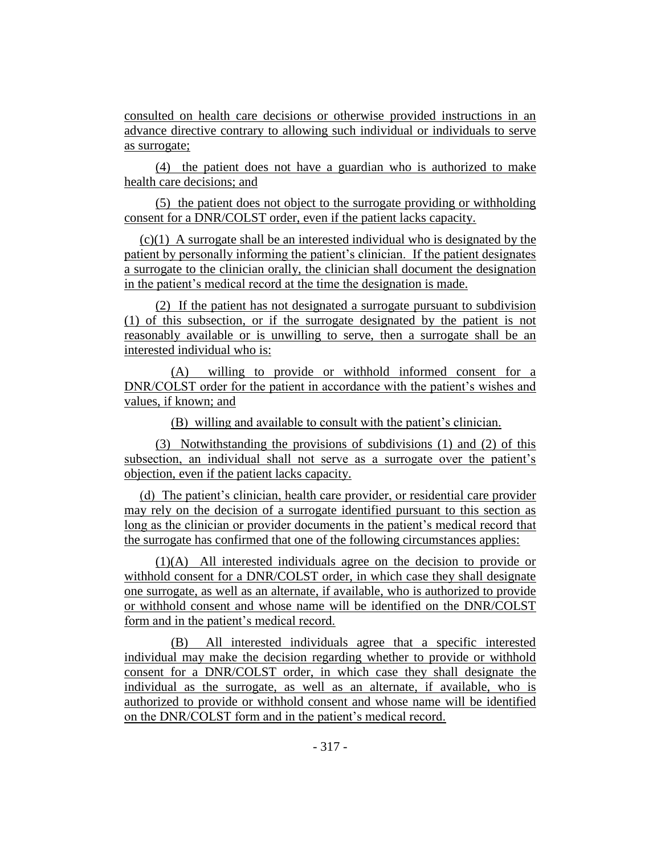consulted on health care decisions or otherwise provided instructions in an advance directive contrary to allowing such individual or individuals to serve as surrogate;

(4) the patient does not have a guardian who is authorized to make health care decisions; and

(5) the patient does not object to the surrogate providing or withholding consent for a DNR/COLST order, even if the patient lacks capacity.

(c)(1) A surrogate shall be an interested individual who is designated by the patient by personally informing the patient's clinician. If the patient designates a surrogate to the clinician orally, the clinician shall document the designation in the patient's medical record at the time the designation is made.

(2) If the patient has not designated a surrogate pursuant to subdivision (1) of this subsection, or if the surrogate designated by the patient is not reasonably available or is unwilling to serve, then a surrogate shall be an interested individual who is:

(A) willing to provide or withhold informed consent for a DNR/COLST order for the patient in accordance with the patient's wishes and values, if known; and

(B) willing and available to consult with the patient's clinician.

(3) Notwithstanding the provisions of subdivisions (1) and (2) of this subsection, an individual shall not serve as a surrogate over the patient's objection, even if the patient lacks capacity.

(d) The patient's clinician, health care provider, or residential care provider may rely on the decision of a surrogate identified pursuant to this section as long as the clinician or provider documents in the patient's medical record that the surrogate has confirmed that one of the following circumstances applies:

(1)(A) All interested individuals agree on the decision to provide or withhold consent for a DNR/COLST order, in which case they shall designate one surrogate, as well as an alternate, if available, who is authorized to provide or withhold consent and whose name will be identified on the DNR/COLST form and in the patient's medical record.

(B) All interested individuals agree that a specific interested individual may make the decision regarding whether to provide or withhold consent for a DNR/COLST order, in which case they shall designate the individual as the surrogate, as well as an alternate, if available, who is authorized to provide or withhold consent and whose name will be identified on the DNR/COLST form and in the patient's medical record.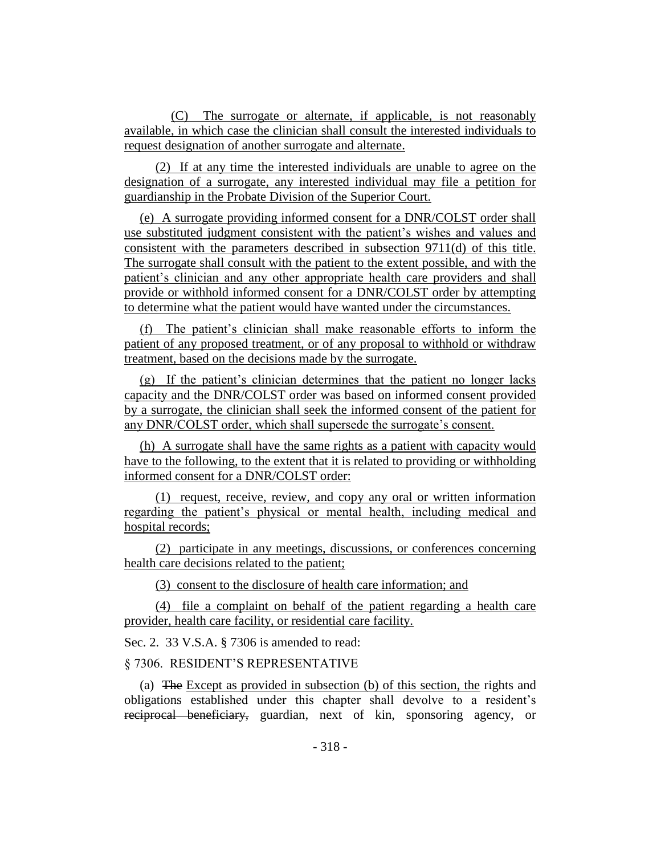(C) The surrogate or alternate, if applicable, is not reasonably available, in which case the clinician shall consult the interested individuals to request designation of another surrogate and alternate.

(2) If at any time the interested individuals are unable to agree on the designation of a surrogate, any interested individual may file a petition for guardianship in the Probate Division of the Superior Court.

(e) A surrogate providing informed consent for a DNR/COLST order shall use substituted judgment consistent with the patient's wishes and values and consistent with the parameters described in subsection 9711(d) of this title. The surrogate shall consult with the patient to the extent possible, and with the patient's clinician and any other appropriate health care providers and shall provide or withhold informed consent for a DNR/COLST order by attempting to determine what the patient would have wanted under the circumstances.

(f) The patient's clinician shall make reasonable efforts to inform the patient of any proposed treatment, or of any proposal to withhold or withdraw treatment, based on the decisions made by the surrogate.

(g) If the patient's clinician determines that the patient no longer lacks capacity and the DNR/COLST order was based on informed consent provided by a surrogate, the clinician shall seek the informed consent of the patient for any DNR/COLST order, which shall supersede the surrogate's consent.

(h) A surrogate shall have the same rights as a patient with capacity would have to the following, to the extent that it is related to providing or withholding informed consent for a DNR/COLST order:

(1) request, receive, review, and copy any oral or written information regarding the patient's physical or mental health, including medical and hospital records;

(2) participate in any meetings, discussions, or conferences concerning health care decisions related to the patient;

(3) consent to the disclosure of health care information; and

(4) file a complaint on behalf of the patient regarding a health care provider, health care facility, or residential care facility.

Sec. 2. 33 V.S.A. § 7306 is amended to read:

§ 7306. RESIDENT'S REPRESENTATIVE

(a) The Except as provided in subsection (b) of this section, the rights and obligations established under this chapter shall devolve to a resident's reciprocal beneficiary, guardian, next of kin, sponsoring agency, or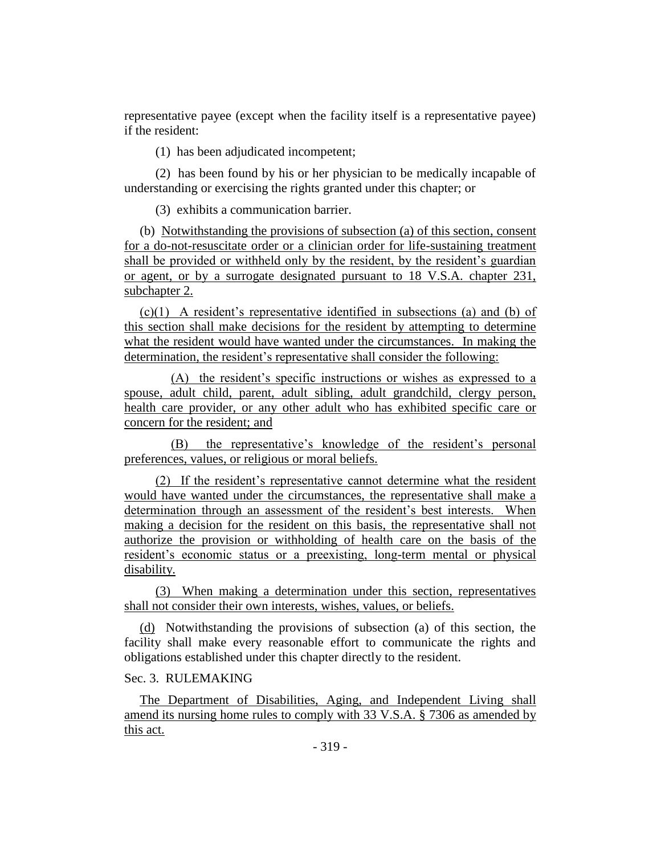representative payee (except when the facility itself is a representative payee) if the resident:

(1) has been adjudicated incompetent;

(2) has been found by his or her physician to be medically incapable of understanding or exercising the rights granted under this chapter; or

(3) exhibits a communication barrier.

(b) Notwithstanding the provisions of subsection (a) of this section, consent for a do-not-resuscitate order or a clinician order for life-sustaining treatment shall be provided or withheld only by the resident, by the resident's guardian or agent, or by a surrogate designated pursuant to 18 V.S.A. chapter 231, subchapter 2.

(c)(1) A resident's representative identified in subsections (a) and (b) of this section shall make decisions for the resident by attempting to determine what the resident would have wanted under the circumstances. In making the determination, the resident's representative shall consider the following:

(A) the resident's specific instructions or wishes as expressed to a spouse, adult child, parent, adult sibling, adult grandchild, clergy person, health care provider, or any other adult who has exhibited specific care or concern for the resident; and

(B) the representative's knowledge of the resident's personal preferences, values, or religious or moral beliefs.

(2) If the resident's representative cannot determine what the resident would have wanted under the circumstances, the representative shall make a determination through an assessment of the resident's best interests. When making a decision for the resident on this basis, the representative shall not authorize the provision or withholding of health care on the basis of the resident's economic status or a preexisting, long-term mental or physical disability.

(3) When making a determination under this section, representatives shall not consider their own interests, wishes, values, or beliefs.

(d) Notwithstanding the provisions of subsection (a) of this section, the facility shall make every reasonable effort to communicate the rights and obligations established under this chapter directly to the resident.

# Sec. 3. RULEMAKING

The Department of Disabilities, Aging, and Independent Living shall amend its nursing home rules to comply with 33 V.S.A. § 7306 as amended by this act.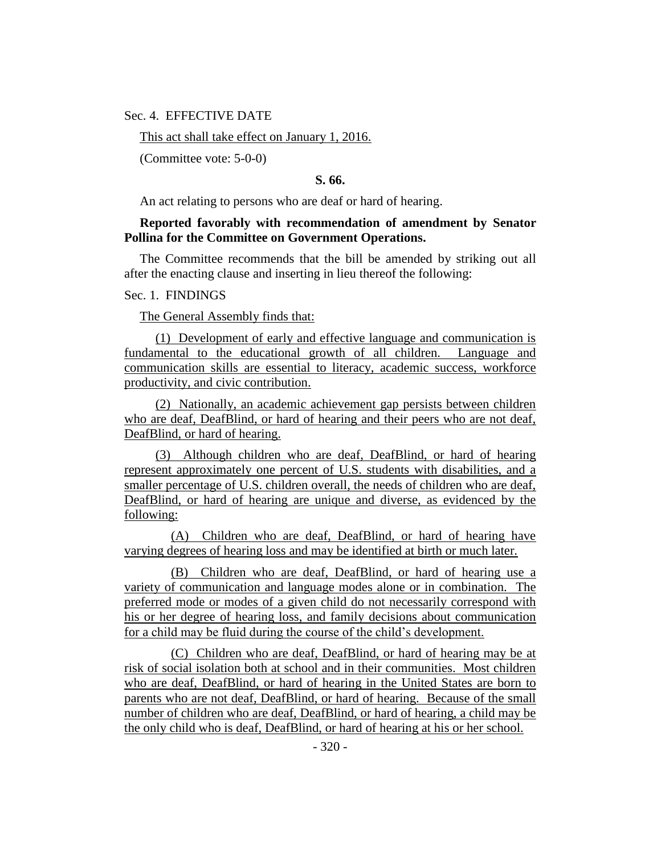Sec. 4. EFFECTIVE DATE

This act shall take effect on January 1, 2016.

(Committee vote: 5-0-0)

# **S. 66.**

An act relating to persons who are deaf or hard of hearing.

# **Reported favorably with recommendation of amendment by Senator Pollina for the Committee on Government Operations.**

The Committee recommends that the bill be amended by striking out all after the enacting clause and inserting in lieu thereof the following:

### Sec. 1. FINDINGS

The General Assembly finds that:

(1) Development of early and effective language and communication is fundamental to the educational growth of all children. Language and communication skills are essential to literacy, academic success, workforce productivity, and civic contribution.

(2) Nationally, an academic achievement gap persists between children who are deaf, DeafBlind, or hard of hearing and their peers who are not deaf, DeafBlind, or hard of hearing.

(3) Although children who are deaf, DeafBlind, or hard of hearing represent approximately one percent of U.S. students with disabilities, and a smaller percentage of U.S. children overall, the needs of children who are deaf, DeafBlind, or hard of hearing are unique and diverse, as evidenced by the following:

(A) Children who are deaf, DeafBlind, or hard of hearing have varying degrees of hearing loss and may be identified at birth or much later.

(B) Children who are deaf, DeafBlind, or hard of hearing use a variety of communication and language modes alone or in combination. The preferred mode or modes of a given child do not necessarily correspond with his or her degree of hearing loss, and family decisions about communication for a child may be fluid during the course of the child's development.

(C) Children who are deaf, DeafBlind, or hard of hearing may be at risk of social isolation both at school and in their communities. Most children who are deaf, DeafBlind, or hard of hearing in the United States are born to parents who are not deaf, DeafBlind, or hard of hearing. Because of the small number of children who are deaf, DeafBlind, or hard of hearing, a child may be the only child who is deaf, DeafBlind, or hard of hearing at his or her school.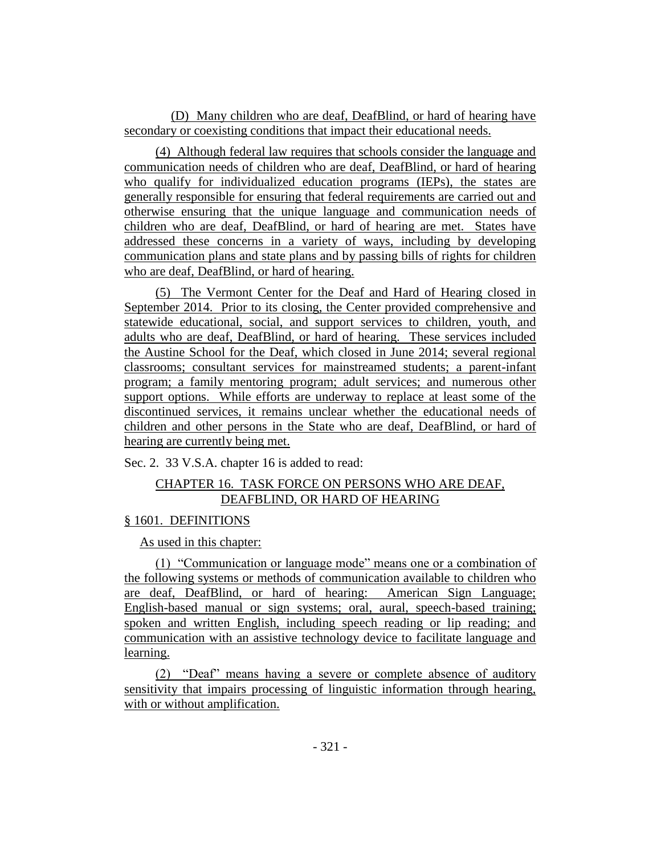(D) Many children who are deaf, DeafBlind, or hard of hearing have secondary or coexisting conditions that impact their educational needs.

(4) Although federal law requires that schools consider the language and communication needs of children who are deaf, DeafBlind, or hard of hearing who qualify for individualized education programs (IEPs), the states are generally responsible for ensuring that federal requirements are carried out and otherwise ensuring that the unique language and communication needs of children who are deaf, DeafBlind, or hard of hearing are met. States have addressed these concerns in a variety of ways, including by developing communication plans and state plans and by passing bills of rights for children who are deaf, DeafBlind, or hard of hearing.

(5) The Vermont Center for the Deaf and Hard of Hearing closed in September 2014. Prior to its closing, the Center provided comprehensive and statewide educational, social, and support services to children, youth, and adults who are deaf, DeafBlind, or hard of hearing. These services included the Austine School for the Deaf, which closed in June 2014; several regional classrooms; consultant services for mainstreamed students; a parent-infant program; a family mentoring program; adult services; and numerous other support options. While efforts are underway to replace at least some of the discontinued services, it remains unclear whether the educational needs of children and other persons in the State who are deaf, DeafBlind, or hard of hearing are currently being met.

Sec. 2. 33 V.S.A. chapter 16 is added to read:

# CHAPTER 16. TASK FORCE ON PERSONS WHO ARE DEAF, DEAFBLIND, OR HARD OF HEARING

# § 1601. DEFINITIONS

As used in this chapter:

(1) "Communication or language mode" means one or a combination of the following systems or methods of communication available to children who are deaf, DeafBlind, or hard of hearing: American Sign Language; English-based manual or sign systems; oral, aural, speech-based training; spoken and written English, including speech reading or lip reading; and communication with an assistive technology device to facilitate language and learning.

(2) "Deaf" means having a severe or complete absence of auditory sensitivity that impairs processing of linguistic information through hearing, with or without amplification.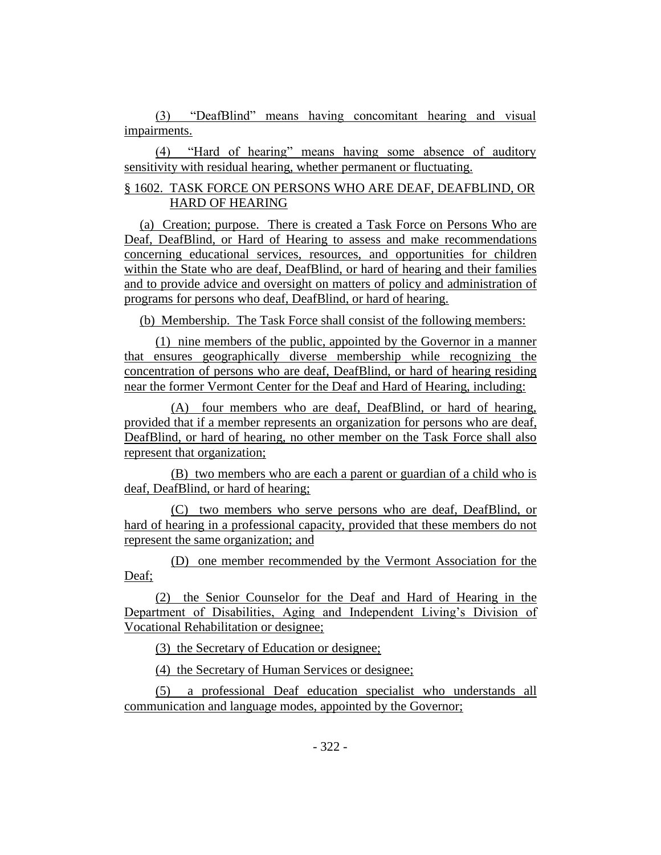(3) "DeafBlind" means having concomitant hearing and visual impairments.

(4) "Hard of hearing" means having some absence of auditory sensitivity with residual hearing, whether permanent or fluctuating.

# § 1602. TASK FORCE ON PERSONS WHO ARE DEAF, DEAFBLIND, OR HARD OF HEARING

(a) Creation; purpose. There is created a Task Force on Persons Who are Deaf, DeafBlind, or Hard of Hearing to assess and make recommendations concerning educational services, resources, and opportunities for children within the State who are deaf, DeafBlind, or hard of hearing and their families and to provide advice and oversight on matters of policy and administration of programs for persons who deaf, DeafBlind, or hard of hearing.

(b) Membership. The Task Force shall consist of the following members:

(1) nine members of the public, appointed by the Governor in a manner that ensures geographically diverse membership while recognizing the concentration of persons who are deaf, DeafBlind, or hard of hearing residing near the former Vermont Center for the Deaf and Hard of Hearing, including:

(A) four members who are deaf, DeafBlind, or hard of hearing, provided that if a member represents an organization for persons who are deaf, DeafBlind, or hard of hearing, no other member on the Task Force shall also represent that organization;

(B) two members who are each a parent or guardian of a child who is deaf, DeafBlind, or hard of hearing;

(C) two members who serve persons who are deaf, DeafBlind, or hard of hearing in a professional capacity, provided that these members do not represent the same organization; and

(D) one member recommended by the Vermont Association for the Deaf;

(2) the Senior Counselor for the Deaf and Hard of Hearing in the Department of Disabilities, Aging and Independent Living's Division of Vocational Rehabilitation or designee;

(3) the Secretary of Education or designee;

(4) the Secretary of Human Services or designee;

(5) a professional Deaf education specialist who understands all communication and language modes, appointed by the Governor;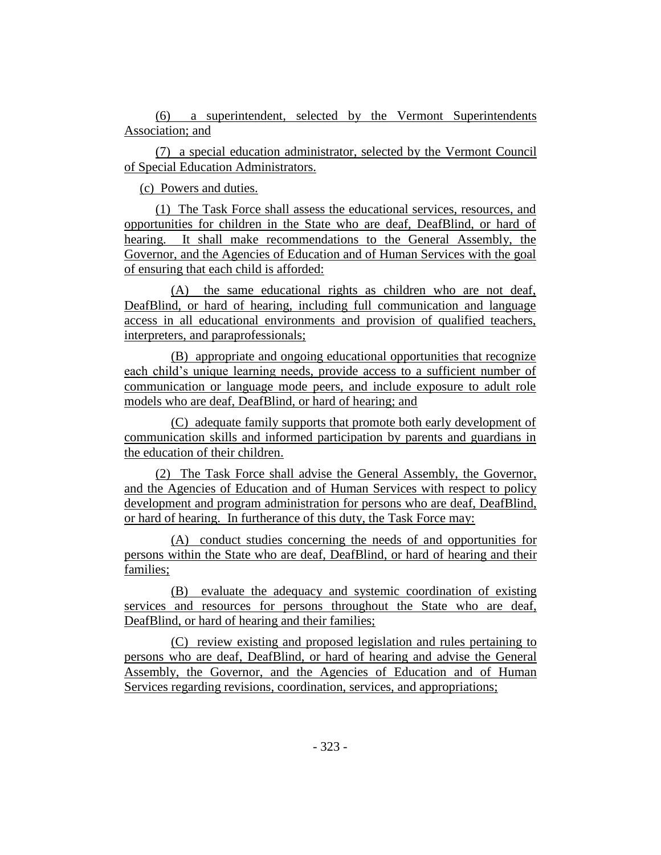(6) a superintendent, selected by the Vermont Superintendents Association; and

(7) a special education administrator, selected by the Vermont Council of Special Education Administrators.

(c) Powers and duties.

(1) The Task Force shall assess the educational services, resources, and opportunities for children in the State who are deaf, DeafBlind, or hard of hearing. It shall make recommendations to the General Assembly, the Governor, and the Agencies of Education and of Human Services with the goal of ensuring that each child is afforded:

(A) the same educational rights as children who are not deaf, DeafBlind, or hard of hearing, including full communication and language access in all educational environments and provision of qualified teachers, interpreters, and paraprofessionals;

(B) appropriate and ongoing educational opportunities that recognize each child's unique learning needs, provide access to a sufficient number of communication or language mode peers, and include exposure to adult role models who are deaf, DeafBlind, or hard of hearing; and

(C) adequate family supports that promote both early development of communication skills and informed participation by parents and guardians in the education of their children.

(2) The Task Force shall advise the General Assembly, the Governor, and the Agencies of Education and of Human Services with respect to policy development and program administration for persons who are deaf, DeafBlind, or hard of hearing. In furtherance of this duty, the Task Force may:

(A) conduct studies concerning the needs of and opportunities for persons within the State who are deaf, DeafBlind, or hard of hearing and their families;

(B) evaluate the adequacy and systemic coordination of existing services and resources for persons throughout the State who are deaf, DeafBlind, or hard of hearing and their families;

(C) review existing and proposed legislation and rules pertaining to persons who are deaf, DeafBlind, or hard of hearing and advise the General Assembly, the Governor, and the Agencies of Education and of Human Services regarding revisions, coordination, services, and appropriations;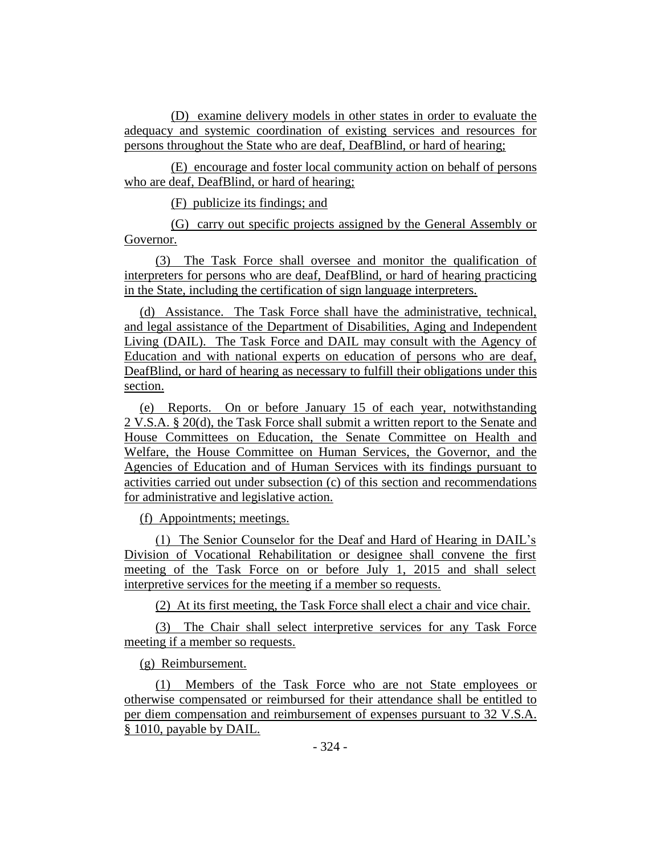(D) examine delivery models in other states in order to evaluate the adequacy and systemic coordination of existing services and resources for persons throughout the State who are deaf, DeafBlind, or hard of hearing;

(E) encourage and foster local community action on behalf of persons who are deaf, DeafBlind, or hard of hearing;

(F) publicize its findings; and

(G) carry out specific projects assigned by the General Assembly or Governor.

(3) The Task Force shall oversee and monitor the qualification of interpreters for persons who are deaf, DeafBlind, or hard of hearing practicing in the State, including the certification of sign language interpreters.

(d) Assistance. The Task Force shall have the administrative, technical, and legal assistance of the Department of Disabilities, Aging and Independent Living (DAIL). The Task Force and DAIL may consult with the Agency of Education and with national experts on education of persons who are deaf, DeafBlind, or hard of hearing as necessary to fulfill their obligations under this section.

(e) Reports. On or before January 15 of each year, notwithstanding 2 V.S.A. § 20(d), the Task Force shall submit a written report to the Senate and House Committees on Education, the Senate Committee on Health and Welfare, the House Committee on Human Services, the Governor, and the Agencies of Education and of Human Services with its findings pursuant to activities carried out under subsection (c) of this section and recommendations for administrative and legislative action.

(f) Appointments; meetings.

(1) The Senior Counselor for the Deaf and Hard of Hearing in DAIL's Division of Vocational Rehabilitation or designee shall convene the first meeting of the Task Force on or before July 1, 2015 and shall select interpretive services for the meeting if a member so requests.

(2) At its first meeting, the Task Force shall elect a chair and vice chair.

(3) The Chair shall select interpretive services for any Task Force meeting if a member so requests.

(g) Reimbursement.

(1) Members of the Task Force who are not State employees or otherwise compensated or reimbursed for their attendance shall be entitled to per diem compensation and reimbursement of expenses pursuant to 32 V.S.A. § 1010, payable by DAIL.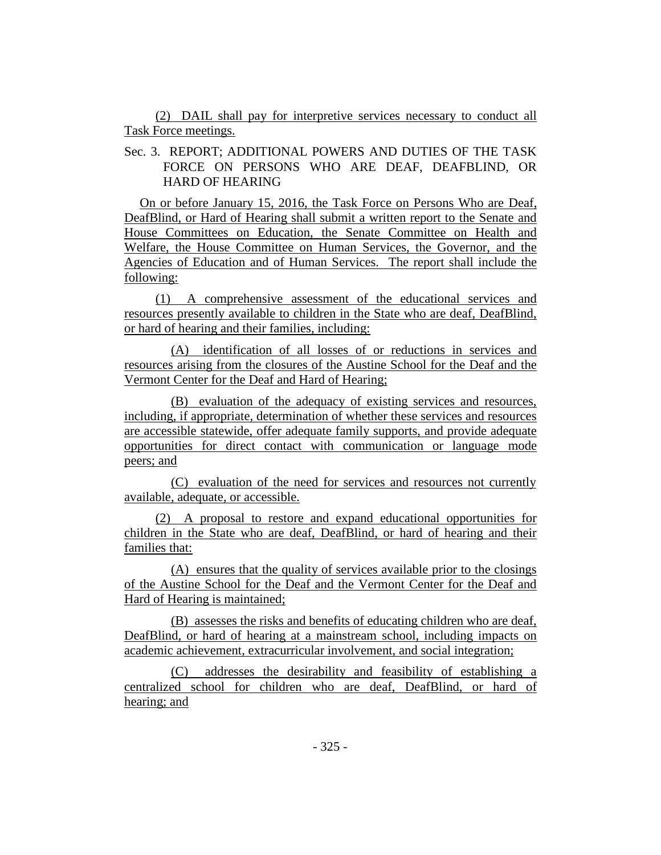(2) DAIL shall pay for interpretive services necessary to conduct all Task Force meetings.

Sec. 3. REPORT; ADDITIONAL POWERS AND DUTIES OF THE TASK FORCE ON PERSONS WHO ARE DEAF, DEAFBLIND, OR HARD OF HEARING

On or before January 15, 2016, the Task Force on Persons Who are Deaf, DeafBlind, or Hard of Hearing shall submit a written report to the Senate and House Committees on Education, the Senate Committee on Health and Welfare, the House Committee on Human Services, the Governor, and the Agencies of Education and of Human Services. The report shall include the following:

(1) A comprehensive assessment of the educational services and resources presently available to children in the State who are deaf, DeafBlind, or hard of hearing and their families, including:

(A) identification of all losses of or reductions in services and resources arising from the closures of the Austine School for the Deaf and the Vermont Center for the Deaf and Hard of Hearing;

(B) evaluation of the adequacy of existing services and resources, including, if appropriate, determination of whether these services and resources are accessible statewide, offer adequate family supports, and provide adequate opportunities for direct contact with communication or language mode peers; and

(C) evaluation of the need for services and resources not currently available, adequate, or accessible.

(2) A proposal to restore and expand educational opportunities for children in the State who are deaf, DeafBlind, or hard of hearing and their families that:

(A) ensures that the quality of services available prior to the closings of the Austine School for the Deaf and the Vermont Center for the Deaf and Hard of Hearing is maintained;

(B) assesses the risks and benefits of educating children who are deaf, DeafBlind, or hard of hearing at a mainstream school, including impacts on academic achievement, extracurricular involvement, and social integration;

(C) addresses the desirability and feasibility of establishing a centralized school for children who are deaf, DeafBlind, or hard of hearing; and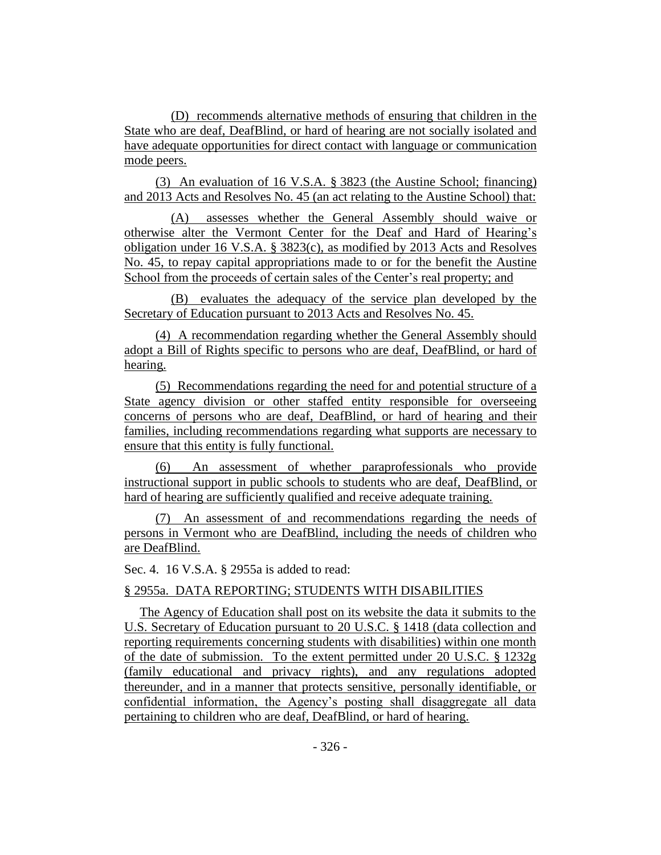(D) recommends alternative methods of ensuring that children in the State who are deaf, DeafBlind, or hard of hearing are not socially isolated and have adequate opportunities for direct contact with language or communication mode peers.

(3) An evaluation of 16 V.S.A. § 3823 (the Austine School; financing) and 2013 Acts and Resolves No. 45 (an act relating to the Austine School) that:

(A) assesses whether the General Assembly should waive or otherwise alter the Vermont Center for the Deaf and Hard of Hearing's obligation under 16 V.S.A. § 3823(c), as modified by 2013 Acts and Resolves No. 45, to repay capital appropriations made to or for the benefit the Austine School from the proceeds of certain sales of the Center's real property; and

(B) evaluates the adequacy of the service plan developed by the Secretary of Education pursuant to 2013 Acts and Resolves No. 45.

(4) A recommendation regarding whether the General Assembly should adopt a Bill of Rights specific to persons who are deaf, DeafBlind, or hard of hearing.

(5) Recommendations regarding the need for and potential structure of a State agency division or other staffed entity responsible for overseeing concerns of persons who are deaf, DeafBlind, or hard of hearing and their families, including recommendations regarding what supports are necessary to ensure that this entity is fully functional.

(6) An assessment of whether paraprofessionals who provide instructional support in public schools to students who are deaf, DeafBlind, or hard of hearing are sufficiently qualified and receive adequate training.

(7) An assessment of and recommendations regarding the needs of persons in Vermont who are DeafBlind, including the needs of children who are DeafBlind.

Sec. 4. 16 V.S.A. § 2955a is added to read:

# § 2955a. DATA REPORTING; STUDENTS WITH DISABILITIES

The Agency of Education shall post on its website the data it submits to the U.S. Secretary of Education pursuant to 20 U.S.C. § 1418 (data collection and reporting requirements concerning students with disabilities) within one month of the date of submission. To the extent permitted under 20 U.S.C. § 1232g (family educational and privacy rights), and any regulations adopted thereunder, and in a manner that protects sensitive, personally identifiable, or confidential information, the Agency's posting shall disaggregate all data pertaining to children who are deaf, DeafBlind, or hard of hearing.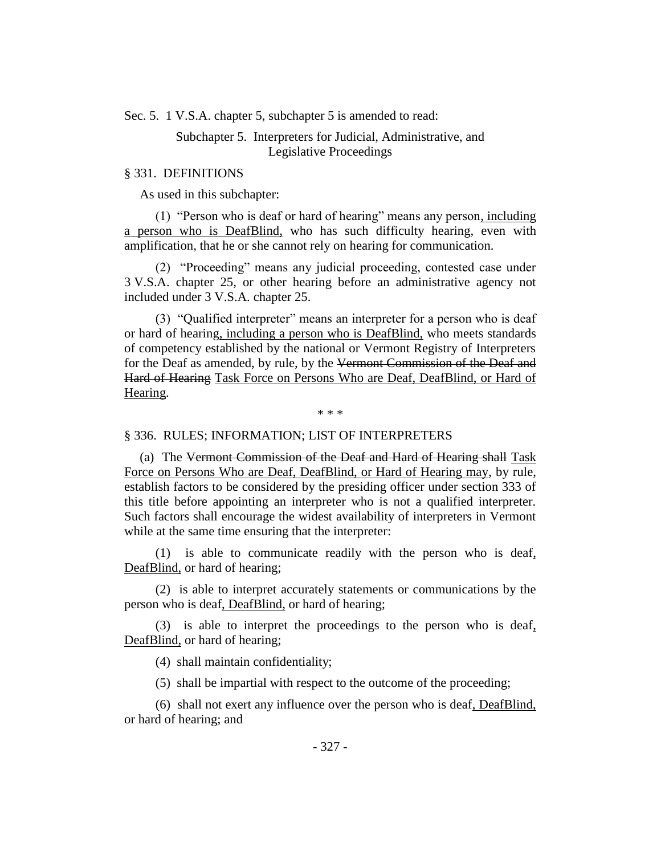Sec. 5. 1 V.S.A. chapter 5, subchapter 5 is amended to read:

# Subchapter 5. Interpreters for Judicial, Administrative, and Legislative Proceedings

### § 331. DEFINITIONS

As used in this subchapter:

(1) "Person who is deaf or hard of hearing" means any person, including a person who is DeafBlind, who has such difficulty hearing, even with amplification, that he or she cannot rely on hearing for communication.

(2) "Proceeding" means any judicial proceeding, contested case under 3 V.S.A. chapter 25, or other hearing before an administrative agency not included under 3 V.S.A. chapter 25.

(3) "Qualified interpreter" means an interpreter for a person who is deaf or hard of hearing, including a person who is DeafBlind, who meets standards of competency established by the national or Vermont Registry of Interpreters for the Deaf as amended, by rule, by the Vermont Commission of the Deaf and Hard of Hearing Task Force on Persons Who are Deaf, DeafBlind, or Hard of Hearing.

\* \* \*

#### § 336. RULES; INFORMATION; LIST OF INTERPRETERS

(a) The Vermont Commission of the Deaf and Hard of Hearing shall Task Force on Persons Who are Deaf, DeafBlind, or Hard of Hearing may, by rule, establish factors to be considered by the presiding officer under section 333 of this title before appointing an interpreter who is not a qualified interpreter. Such factors shall encourage the widest availability of interpreters in Vermont while at the same time ensuring that the interpreter:

(1) is able to communicate readily with the person who is deaf, DeafBlind, or hard of hearing;

(2) is able to interpret accurately statements or communications by the person who is deaf, DeafBlind, or hard of hearing;

(3) is able to interpret the proceedings to the person who is deaf, DeafBlind, or hard of hearing;

(4) shall maintain confidentiality;

(5) shall be impartial with respect to the outcome of the proceeding;

(6) shall not exert any influence over the person who is deaf, DeafBlind, or hard of hearing; and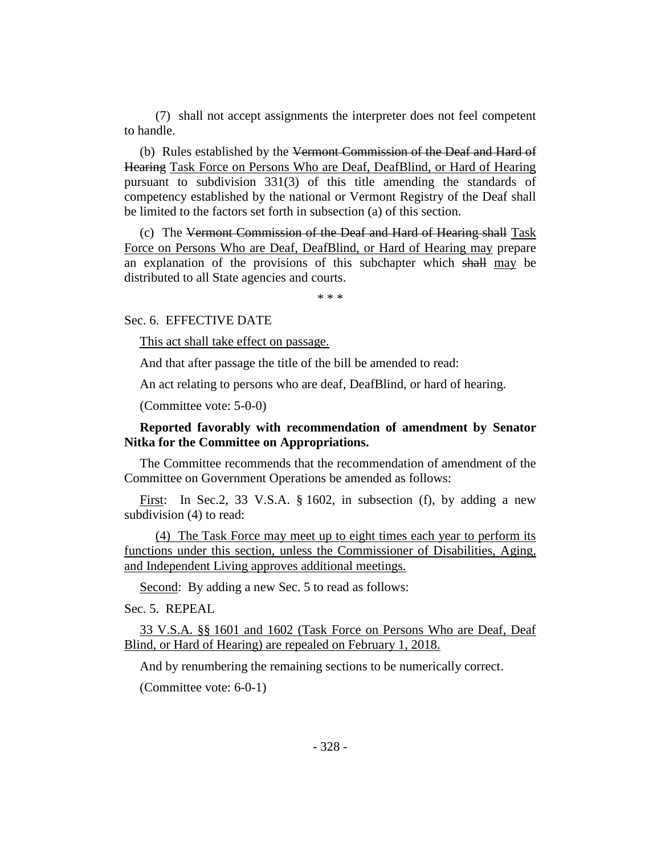(7) shall not accept assignments the interpreter does not feel competent to handle.

(b) Rules established by the Vermont Commission of the Deaf and Hard of Hearing Task Force on Persons Who are Deaf, DeafBlind, or Hard of Hearing pursuant to subdivision 331(3) of this title amending the standards of competency established by the national or Vermont Registry of the Deaf shall be limited to the factors set forth in subsection (a) of this section.

(c) The Vermont Commission of the Deaf and Hard of Hearing shall Task Force on Persons Who are Deaf, DeafBlind, or Hard of Hearing may prepare an explanation of the provisions of this subchapter which shall may be distributed to all State agencies and courts.

\* \* \*

Sec. 6. EFFECTIVE DATE

This act shall take effect on passage.

And that after passage the title of the bill be amended to read:

An act relating to persons who are deaf, DeafBlind, or hard of hearing.

(Committee vote: 5-0-0)

# **Reported favorably with recommendation of amendment by Senator Nitka for the Committee on Appropriations.**

The Committee recommends that the recommendation of amendment of the Committee on Government Operations be amended as follows:

First: In Sec.2, 33 V.S.A. § 1602, in subsection (f), by adding a new subdivision (4) to read:

(4) The Task Force may meet up to eight times each year to perform its functions under this section, unless the Commissioner of Disabilities, Aging, and Independent Living approves additional meetings.

Second: By adding a new Sec. 5 to read as follows:

Sec. 5. REPEAL

33 V.S.A. §§ 1601 and 1602 (Task Force on Persons Who are Deaf, Deaf Blind, or Hard of Hearing) are repealed on February 1, 2018.

And by renumbering the remaining sections to be numerically correct.

(Committee vote: 6-0-1)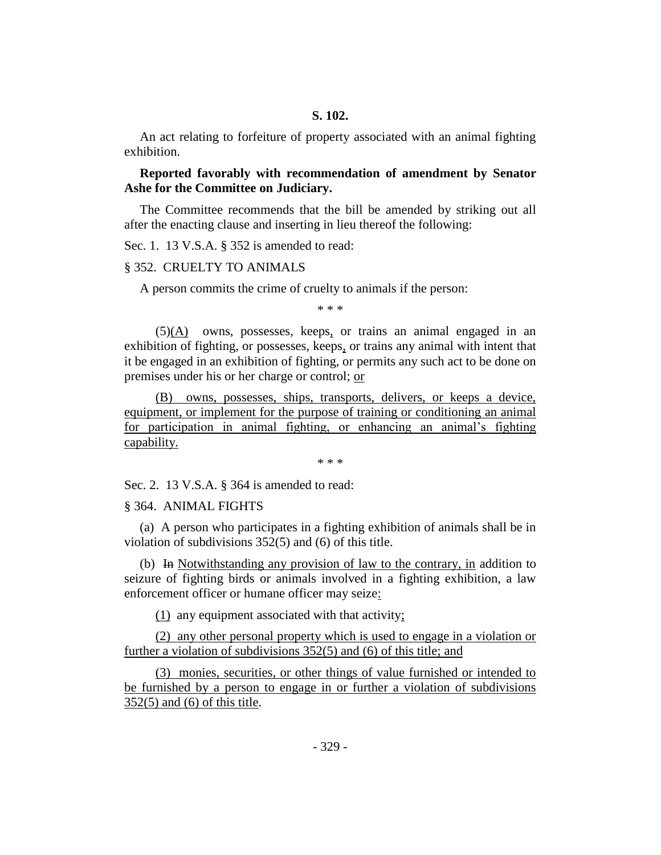An act relating to forfeiture of property associated with an animal fighting exhibition.

# **Reported favorably with recommendation of amendment by Senator Ashe for the Committee on Judiciary.**

The Committee recommends that the bill be amended by striking out all after the enacting clause and inserting in lieu thereof the following:

Sec. 1. 13 V.S.A. § 352 is amended to read:

#### § 352. CRUELTY TO ANIMALS

A person commits the crime of cruelty to animals if the person:

\* \* \*

(5)(A) owns, possesses, keeps, or trains an animal engaged in an exhibition of fighting, or possesses, keeps, or trains any animal with intent that it be engaged in an exhibition of fighting, or permits any such act to be done on premises under his or her charge or control; or

(B) owns, possesses, ships, transports, delivers, or keeps a device, equipment, or implement for the purpose of training or conditioning an animal for participation in animal fighting, or enhancing an animal's fighting capability.

\* \* \*

Sec. 2. 13 V.S.A. § 364 is amended to read:

### § 364. ANIMAL FIGHTS

(a) A person who participates in a fighting exhibition of animals shall be in violation of subdivisions 352(5) and (6) of this title.

(b) In Notwithstanding any provision of law to the contrary, in addition to seizure of fighting birds or animals involved in a fighting exhibition, a law enforcement officer or humane officer may seize:

(1) any equipment associated with that activity;

(2) any other personal property which is used to engage in a violation or further a violation of subdivisions 352(5) and (6) of this title; and

(3) monies, securities, or other things of value furnished or intended to be furnished by a person to engage in or further a violation of subdivisions 352(5) and (6) of this title.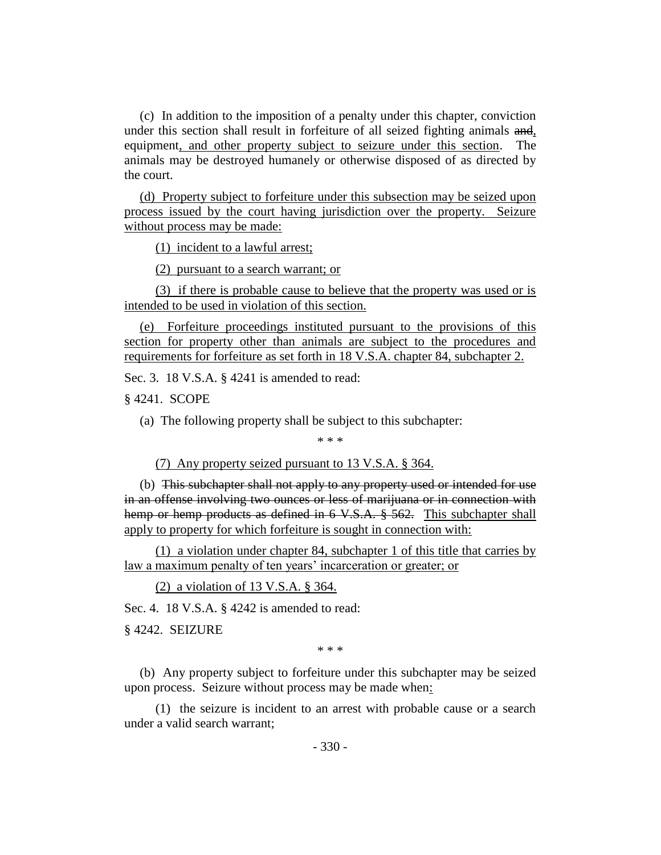(c) In addition to the imposition of a penalty under this chapter, conviction under this section shall result in forfeiture of all seized fighting animals and, equipment, and other property subject to seizure under this section. The animals may be destroyed humanely or otherwise disposed of as directed by the court.

(d) Property subject to forfeiture under this subsection may be seized upon process issued by the court having jurisdiction over the property. Seizure without process may be made:

(1) incident to a lawful arrest;

(2) pursuant to a search warrant; or

(3) if there is probable cause to believe that the property was used or is intended to be used in violation of this section.

(e) Forfeiture proceedings instituted pursuant to the provisions of this section for property other than animals are subject to the procedures and requirements for forfeiture as set forth in 18 V.S.A. chapter 84, subchapter 2.

Sec. 3. 18 V.S.A. § 4241 is amended to read:

§ 4241. SCOPE

(a) The following property shall be subject to this subchapter:

\* \* \*

(7) Any property seized pursuant to 13 V.S.A. § 364.

(b) This subchapter shall not apply to any property used or intended for use in an offense involving two ounces or less of marijuana or in connection with hemp or hemp products as defined in 6 V.S.A. § 562. This subchapter shall apply to property for which forfeiture is sought in connection with:

(1) a violation under chapter 84, subchapter 1 of this title that carries by law a maximum penalty of ten years' incarceration or greater; or

(2) a violation of 13 V.S.A. § 364.

Sec. 4. 18 V.S.A. § 4242 is amended to read:

§ 4242. SEIZURE

\* \* \*

(b) Any property subject to forfeiture under this subchapter may be seized upon process. Seizure without process may be made when:

(1) the seizure is incident to an arrest with probable cause or a search under a valid search warrant;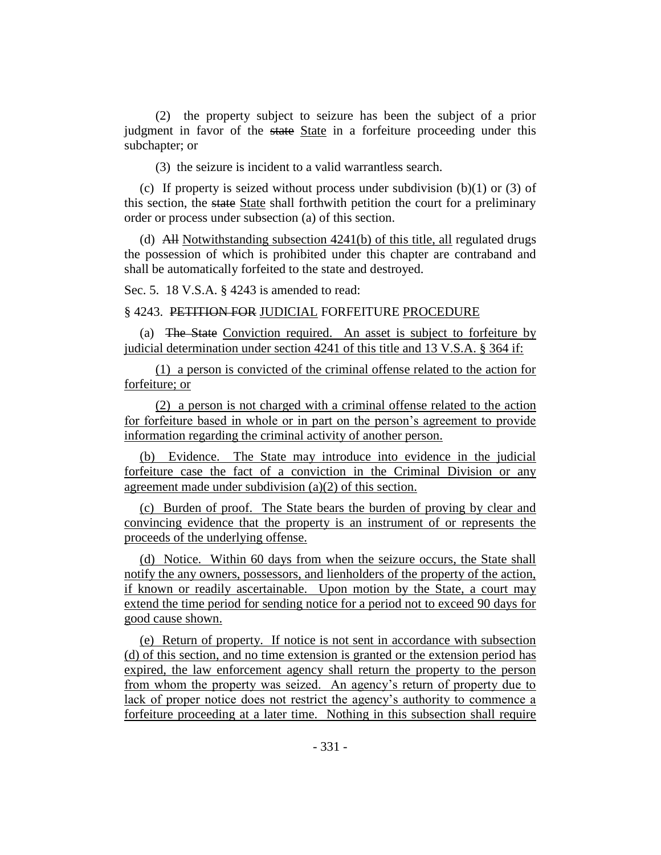(2) the property subject to seizure has been the subject of a prior judgment in favor of the state State in a forfeiture proceeding under this subchapter; or

(3) the seizure is incident to a valid warrantless search.

(c) If property is seized without process under subdivision  $(b)(1)$  or  $(3)$  of this section, the state State shall forthwith petition the court for a preliminary order or process under subsection (a) of this section.

(d) All Notwithstanding subsection 4241(b) of this title, all regulated drugs the possession of which is prohibited under this chapter are contraband and shall be automatically forfeited to the state and destroyed.

Sec. 5. 18 V.S.A. § 4243 is amended to read:

§ 4243. PETITION FOR JUDICIAL FORFEITURE PROCEDURE

(a) The State Conviction required. An asset is subject to forfeiture by judicial determination under section 4241 of this title and 13 V.S.A. § 364 if:

(1) a person is convicted of the criminal offense related to the action for forfeiture; or

(2) a person is not charged with a criminal offense related to the action for forfeiture based in whole or in part on the person's agreement to provide information regarding the criminal activity of another person.

(b) Evidence. The State may introduce into evidence in the judicial forfeiture case the fact of a conviction in the Criminal Division or any agreement made under subdivision (a)(2) of this section.

(c) Burden of proof. The State bears the burden of proving by clear and convincing evidence that the property is an instrument of or represents the proceeds of the underlying offense.

(d) Notice. Within 60 days from when the seizure occurs, the State shall notify the any owners, possessors, and lienholders of the property of the action, if known or readily ascertainable. Upon motion by the State, a court may extend the time period for sending notice for a period not to exceed 90 days for good cause shown.

(e) Return of property. If notice is not sent in accordance with subsection (d) of this section, and no time extension is granted or the extension period has expired, the law enforcement agency shall return the property to the person from whom the property was seized. An agency's return of property due to lack of proper notice does not restrict the agency's authority to commence a forfeiture proceeding at a later time. Nothing in this subsection shall require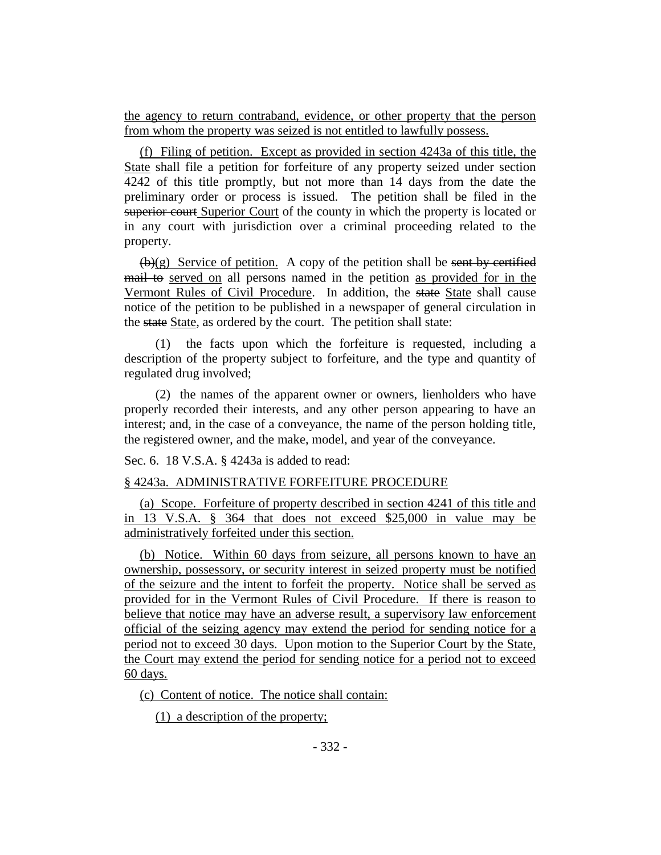the agency to return contraband, evidence, or other property that the person from whom the property was seized is not entitled to lawfully possess.

(f) Filing of petition. Except as provided in section 4243a of this title, the State shall file a petition for forfeiture of any property seized under section 4242 of this title promptly, but not more than 14 days from the date the preliminary order or process is issued. The petition shall be filed in the superior court Superior Court of the county in which the property is located or in any court with jurisdiction over a criminal proceeding related to the property.

 $(\mathbf{b})(g)$  Service of petition. A copy of the petition shall be sent by certified mail to served on all persons named in the petition as provided for in the Vermont Rules of Civil Procedure. In addition, the state State shall cause notice of the petition to be published in a newspaper of general circulation in the state State, as ordered by the court. The petition shall state:

(1) the facts upon which the forfeiture is requested, including a description of the property subject to forfeiture, and the type and quantity of regulated drug involved;

(2) the names of the apparent owner or owners, lienholders who have properly recorded their interests, and any other person appearing to have an interest; and, in the case of a conveyance, the name of the person holding title, the registered owner, and the make, model, and year of the conveyance.

Sec. 6. 18 V.S.A. § 4243a is added to read:

## § 4243a. ADMINISTRATIVE FORFEITURE PROCEDURE

(a) Scope. Forfeiture of property described in section 4241 of this title and in 13 V.S.A. § 364 that does not exceed \$25,000 in value may be administratively forfeited under this section.

(b) Notice. Within 60 days from seizure, all persons known to have an ownership, possessory, or security interest in seized property must be notified of the seizure and the intent to forfeit the property. Notice shall be served as provided for in the Vermont Rules of Civil Procedure. If there is reason to believe that notice may have an adverse result, a supervisory law enforcement official of the seizing agency may extend the period for sending notice for a period not to exceed 30 days. Upon motion to the Superior Court by the State, the Court may extend the period for sending notice for a period not to exceed 60 days.

(c) Content of notice. The notice shall contain:

(1) a description of the property;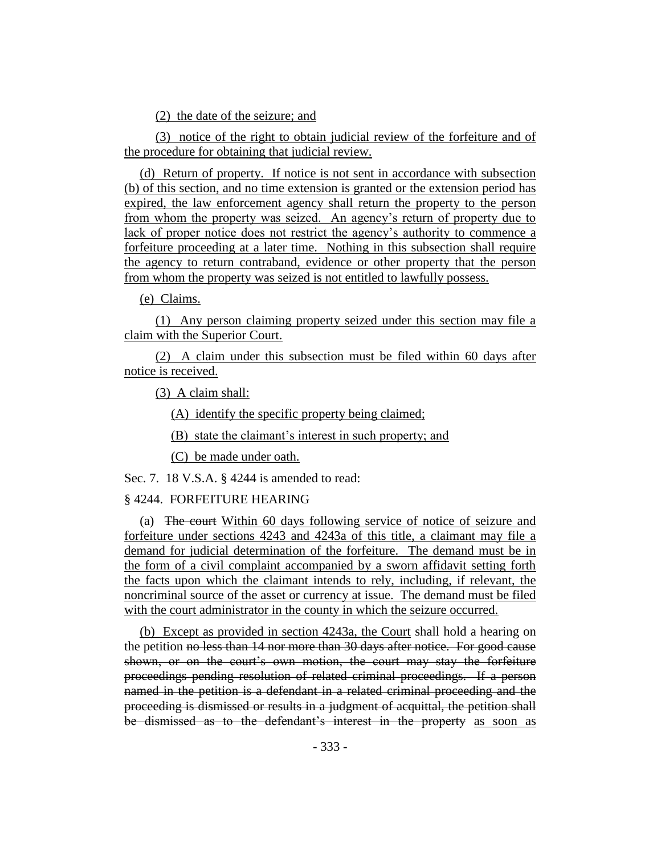(2) the date of the seizure; and

(3) notice of the right to obtain judicial review of the forfeiture and of the procedure for obtaining that judicial review.

(d) Return of property. If notice is not sent in accordance with subsection (b) of this section, and no time extension is granted or the extension period has expired, the law enforcement agency shall return the property to the person from whom the property was seized. An agency's return of property due to lack of proper notice does not restrict the agency's authority to commence a forfeiture proceeding at a later time. Nothing in this subsection shall require the agency to return contraband, evidence or other property that the person from whom the property was seized is not entitled to lawfully possess.

(e) Claims.

(1) Any person claiming property seized under this section may file a claim with the Superior Court.

(2) A claim under this subsection must be filed within 60 days after notice is received.

(3) A claim shall:

(A) identify the specific property being claimed;

(B) state the claimant's interest in such property; and

(C) be made under oath.

Sec. 7. 18 V.S.A. § 4244 is amended to read:

## § 4244. FORFEITURE HEARING

(a) The court Within 60 days following service of notice of seizure and forfeiture under sections 4243 and 4243a of this title, a claimant may file a demand for judicial determination of the forfeiture. The demand must be in the form of a civil complaint accompanied by a sworn affidavit setting forth the facts upon which the claimant intends to rely, including, if relevant, the noncriminal source of the asset or currency at issue. The demand must be filed with the court administrator in the county in which the seizure occurred.

(b) Except as provided in section 4243a, the Court shall hold a hearing on the petition no less than 14 nor more than 30 days after notice. For good cause shown, or on the court's own motion, the court may stay the forfeiture proceedings pending resolution of related criminal proceedings. If a person named in the petition is a defendant in a related criminal proceeding and the proceeding is dismissed or results in a judgment of acquittal, the petition shall be dismissed as to the defendant's interest in the property as soon as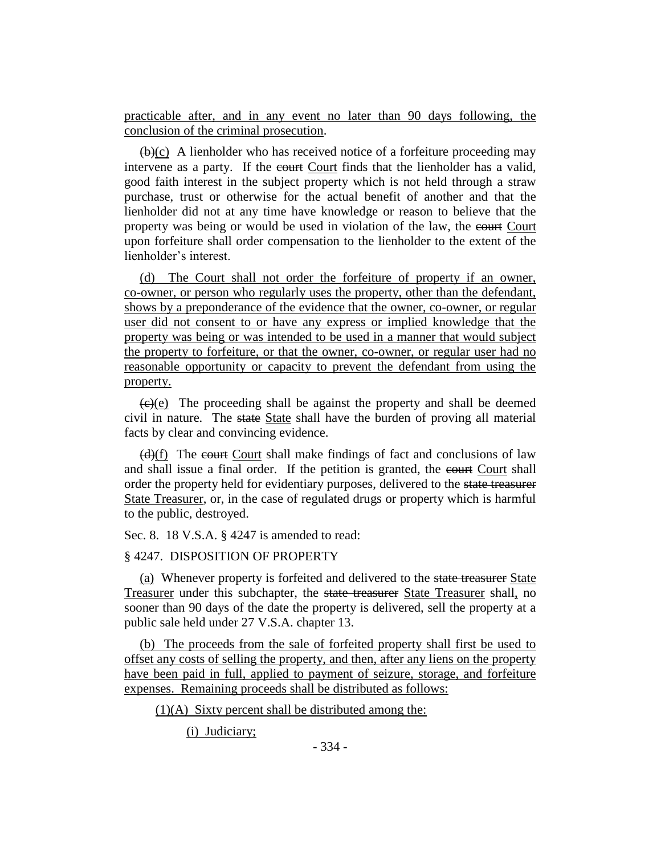practicable after, and in any event no later than 90 days following, the conclusion of the criminal prosecution.

 $(\theta)(c)$  A lienholder who has received notice of a forfeiture proceeding may intervene as a party. If the court Court finds that the lienholder has a valid, good faith interest in the subject property which is not held through a straw purchase, trust or otherwise for the actual benefit of another and that the lienholder did not at any time have knowledge or reason to believe that the property was being or would be used in violation of the law, the court Court upon forfeiture shall order compensation to the lienholder to the extent of the lienholder's interest.

(d) The Court shall not order the forfeiture of property if an owner, co-owner, or person who regularly uses the property, other than the defendant, shows by a preponderance of the evidence that the owner, co-owner, or regular user did not consent to or have any express or implied knowledge that the property was being or was intended to be used in a manner that would subject the property to forfeiture, or that the owner, co-owner, or regular user had no reasonable opportunity or capacity to prevent the defendant from using the property.

 $\overline{(e)(e)}$  The proceeding shall be against the property and shall be deemed civil in nature. The state State shall have the burden of proving all material facts by clear and convincing evidence.

 $(d)(f)$  The court Court shall make findings of fact and conclusions of law and shall issue a final order. If the petition is granted, the court Court shall order the property held for evidentiary purposes, delivered to the state treasurer State Treasurer, or, in the case of regulated drugs or property which is harmful to the public, destroyed.

Sec. 8. 18 V.S.A. § 4247 is amended to read:

## § 4247. DISPOSITION OF PROPERTY

(a) Whenever property is forfeited and delivered to the state treasurer State Treasurer under this subchapter, the state treasurer State Treasurer shall, no sooner than 90 days of the date the property is delivered, sell the property at a public sale held under 27 V.S.A. chapter 13.

(b) The proceeds from the sale of forfeited property shall first be used to offset any costs of selling the property, and then, after any liens on the property have been paid in full, applied to payment of seizure, storage, and forfeiture expenses. Remaining proceeds shall be distributed as follows:

 $(1)(A)$  Sixty percent shall be distributed among the:

(i) Judiciary;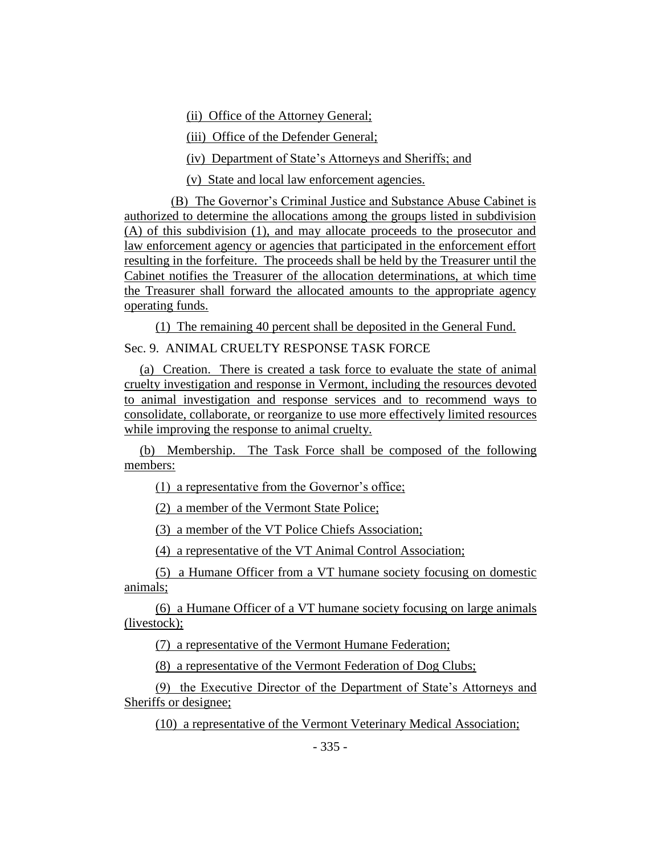(ii) Office of the Attorney General;

(iii) Office of the Defender General;

(iv) Department of State's Attorneys and Sheriffs; and

(v) State and local law enforcement agencies.

(B) The Governor's Criminal Justice and Substance Abuse Cabinet is authorized to determine the allocations among the groups listed in subdivision (A) of this subdivision (1), and may allocate proceeds to the prosecutor and law enforcement agency or agencies that participated in the enforcement effort resulting in the forfeiture. The proceeds shall be held by the Treasurer until the Cabinet notifies the Treasurer of the allocation determinations, at which time the Treasurer shall forward the allocated amounts to the appropriate agency operating funds.

(1) The remaining 40 percent shall be deposited in the General Fund. Sec. 9. ANIMAL CRUELTY RESPONSE TASK FORCE

(a) Creation. There is created a task force to evaluate the state of animal cruelty investigation and response in Vermont, including the resources devoted to animal investigation and response services and to recommend ways to consolidate, collaborate, or reorganize to use more effectively limited resources while improving the response to animal cruelty.

(b) Membership. The Task Force shall be composed of the following members:

(1) a representative from the Governor's office;

(2) a member of the Vermont State Police;

(3) a member of the VT Police Chiefs Association;

(4) a representative of the VT Animal Control Association;

(5) a Humane Officer from a VT humane society focusing on domestic animals;

(6) a Humane Officer of a VT humane society focusing on large animals (livestock);

(7) a representative of the Vermont Humane Federation;

(8) a representative of the Vermont Federation of Dog Clubs;

(9) the Executive Director of the Department of State's Attorneys and Sheriffs or designee;

(10) a representative of the Vermont Veterinary Medical Association;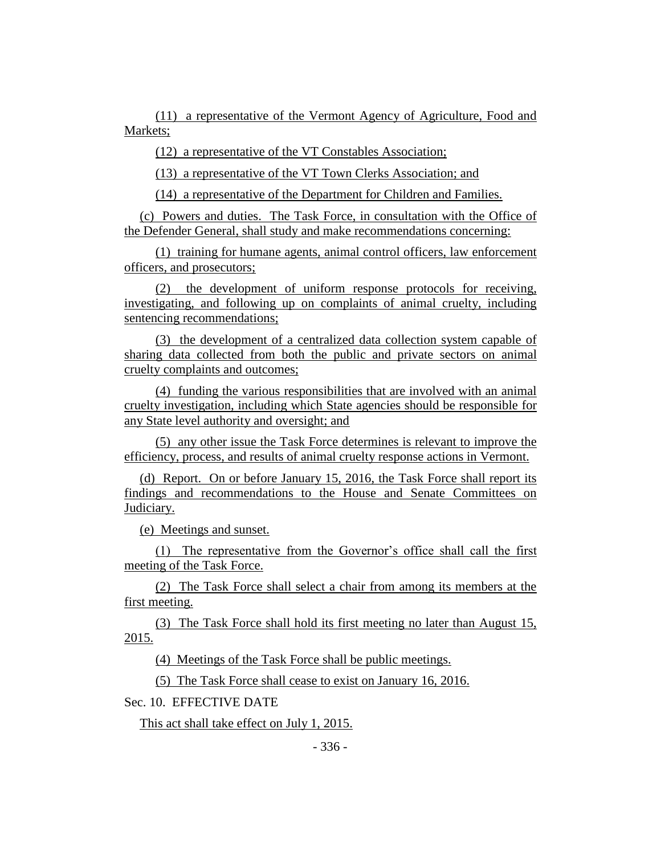(11) a representative of the Vermont Agency of Agriculture, Food and Markets;

(12) a representative of the VT Constables Association;

(13) a representative of the VT Town Clerks Association; and

(14) a representative of the Department for Children and Families.

(c) Powers and duties. The Task Force, in consultation with the Office of the Defender General, shall study and make recommendations concerning:

(1) training for humane agents, animal control officers, law enforcement officers, and prosecutors;

(2) the development of uniform response protocols for receiving, investigating, and following up on complaints of animal cruelty, including sentencing recommendations;

(3) the development of a centralized data collection system capable of sharing data collected from both the public and private sectors on animal cruelty complaints and outcomes;

(4) funding the various responsibilities that are involved with an animal cruelty investigation, including which State agencies should be responsible for any State level authority and oversight; and

(5) any other issue the Task Force determines is relevant to improve the efficiency, process, and results of animal cruelty response actions in Vermont.

(d) Report. On or before January 15, 2016, the Task Force shall report its findings and recommendations to the House and Senate Committees on Judiciary.

(e) Meetings and sunset.

(1) The representative from the Governor's office shall call the first meeting of the Task Force.

(2) The Task Force shall select a chair from among its members at the first meeting.

(3) The Task Force shall hold its first meeting no later than August 15, 2015.

(4) Meetings of the Task Force shall be public meetings.

(5) The Task Force shall cease to exist on January 16, 2016.

Sec. 10. EFFECTIVE DATE

This act shall take effect on July 1, 2015.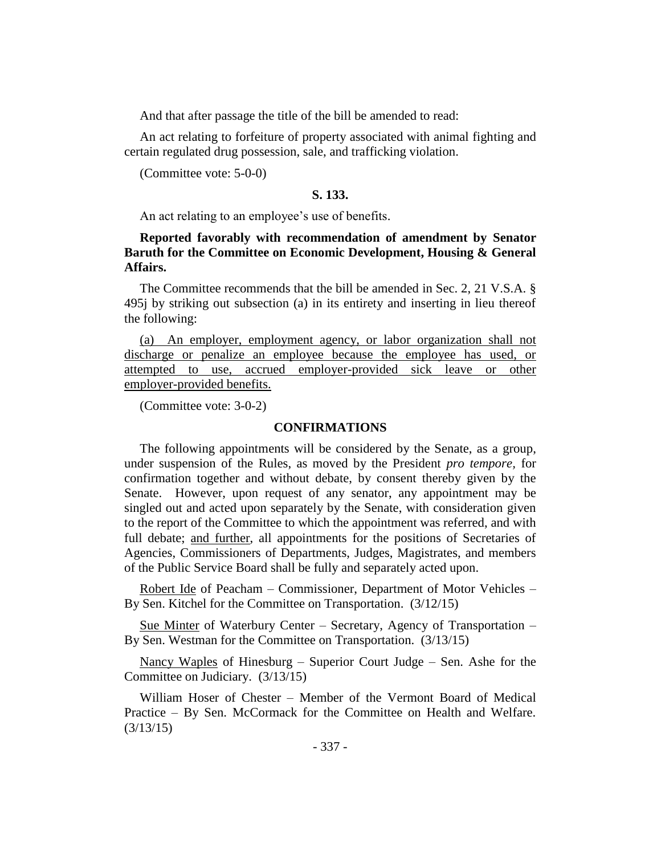And that after passage the title of the bill be amended to read:

An act relating to forfeiture of property associated with animal fighting and certain regulated drug possession, sale, and trafficking violation.

(Committee vote: 5-0-0)

## **S. 133.**

An act relating to an employee's use of benefits.

# **Reported favorably with recommendation of amendment by Senator Baruth for the Committee on Economic Development, Housing & General Affairs.**

The Committee recommends that the bill be amended in Sec. 2, 21 V.S.A. § 495j by striking out subsection (a) in its entirety and inserting in lieu thereof the following:

(a) An employer, employment agency, or labor organization shall not discharge or penalize an employee because the employee has used, or attempted to use, accrued employer-provided sick leave or other employer-provided benefits.

(Committee vote: 3-0-2)

## **CONFIRMATIONS**

The following appointments will be considered by the Senate, as a group, under suspension of the Rules, as moved by the President *pro tempore,* for confirmation together and without debate, by consent thereby given by the Senate. However, upon request of any senator, any appointment may be singled out and acted upon separately by the Senate, with consideration given to the report of the Committee to which the appointment was referred, and with full debate; and further, all appointments for the positions of Secretaries of Agencies, Commissioners of Departments, Judges, Magistrates, and members of the Public Service Board shall be fully and separately acted upon.

Robert Ide of Peacham – Commissioner, Department of Motor Vehicles – By Sen. Kitchel for the Committee on Transportation. (3/12/15)

Sue Minter of Waterbury Center – Secretary, Agency of Transportation – By Sen. Westman for the Committee on Transportation. (3/13/15)

Nancy Waples of Hinesburg – Superior Court Judge – Sen. Ashe for the Committee on Judiciary. (3/13/15)

William Hoser of Chester – Member of the Vermont Board of Medical Practice – By Sen. McCormack for the Committee on Health and Welfare. (3/13/15)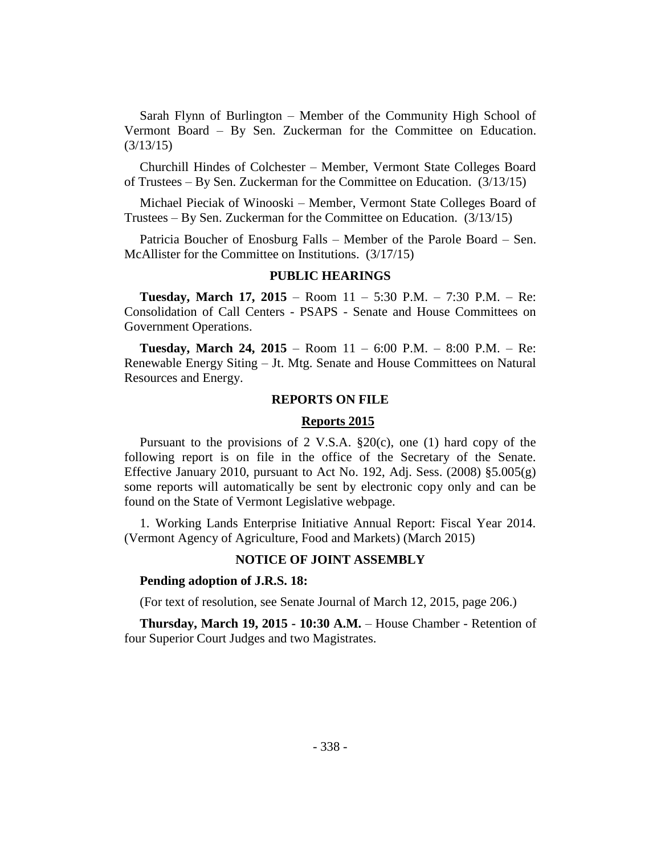Sarah Flynn of Burlington – Member of the Community High School of Vermont Board – By Sen. Zuckerman for the Committee on Education. (3/13/15)

Churchill Hindes of Colchester – Member, Vermont State Colleges Board of Trustees – By Sen. Zuckerman for the Committee on Education. (3/13/15)

Michael Pieciak of Winooski – Member, Vermont State Colleges Board of Trustees – By Sen. Zuckerman for the Committee on Education. (3/13/15)

Patricia Boucher of Enosburg Falls – Member of the Parole Board – Sen. McAllister for the Committee on Institutions. (3/17/15)

## **PUBLIC HEARINGS**

**Tuesday, March 17, 2015** – Room 11 – 5:30 P.M. – 7:30 P.M. – Re: Consolidation of Call Centers - PSAPS - Senate and House Committees on Government Operations.

**Tuesday, March 24, 2015** – Room 11 – 6:00 P.M. – 8:00 P.M. – Re: Renewable Energy Siting – Jt. Mtg. Senate and House Committees on Natural Resources and Energy.

## **REPORTS ON FILE**

### **Reports 2015**

Pursuant to the provisions of 2 V.S.A.  $\S20(c)$ , one (1) hard copy of the following report is on file in the office of the Secretary of the Senate. Effective January 2010, pursuant to Act No. 192, Adj. Sess.  $(2008)$  §5.005 $(g)$ some reports will automatically be sent by electronic copy only and can be found on the State of Vermont Legislative webpage.

1. Working Lands Enterprise Initiative Annual Report: Fiscal Year 2014. (Vermont Agency of Agriculture, Food and Markets) (March 2015)

### **NOTICE OF JOINT ASSEMBLY**

### **Pending adoption of J.R.S. 18:**

(For text of resolution, see Senate Journal of March 12, 2015, page 206.)

**Thursday, March 19, 2015 - 10:30 A.M.** – House Chamber - Retention of four Superior Court Judges and two Magistrates.